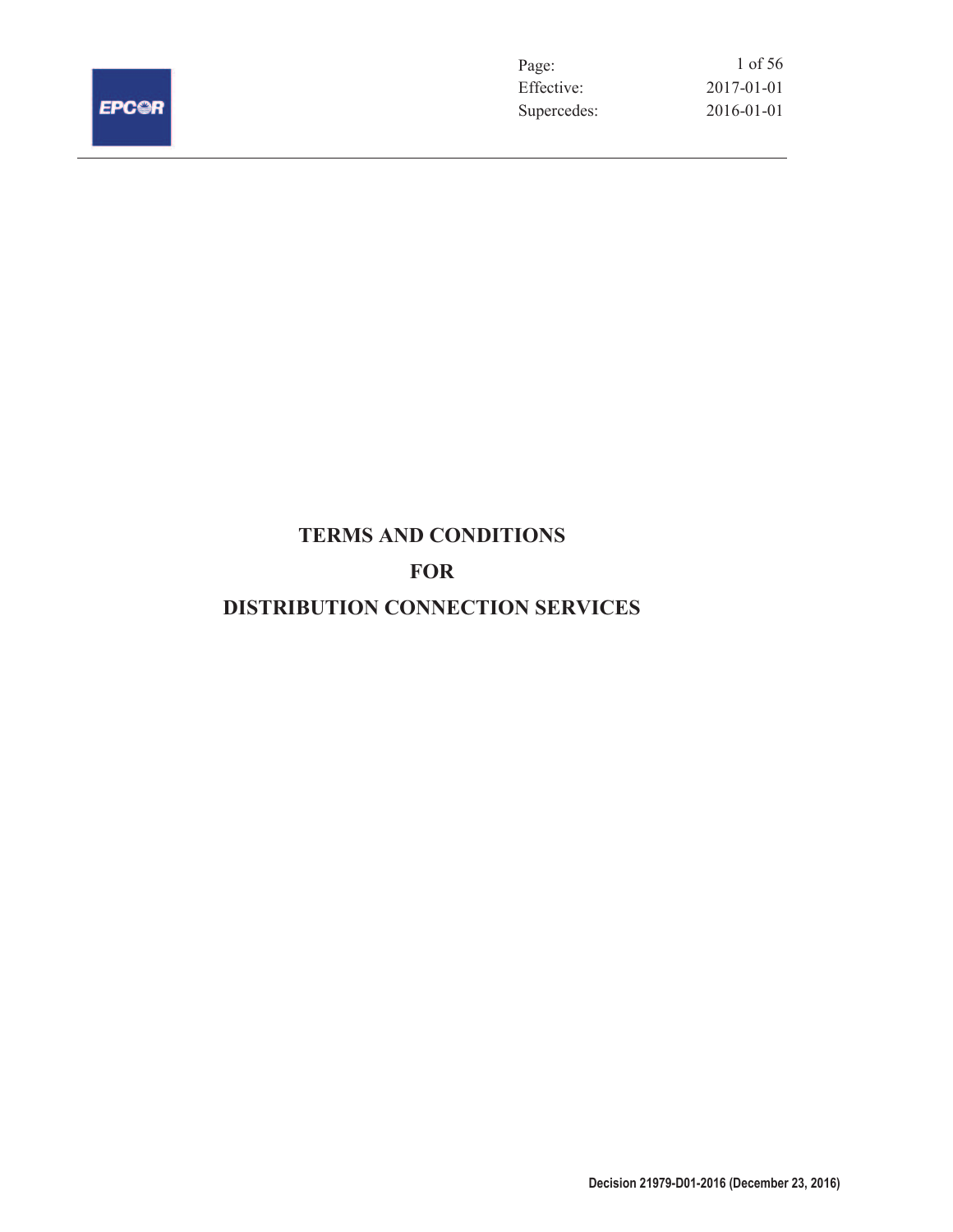

Page:<br>Effective:  $2017 - 01 - 01$ Supercedes: 2016-01-01 1 of 56

# **TERMS AND CONDITIONS FOR DISTRIBUTION CONNECTION SERVICES**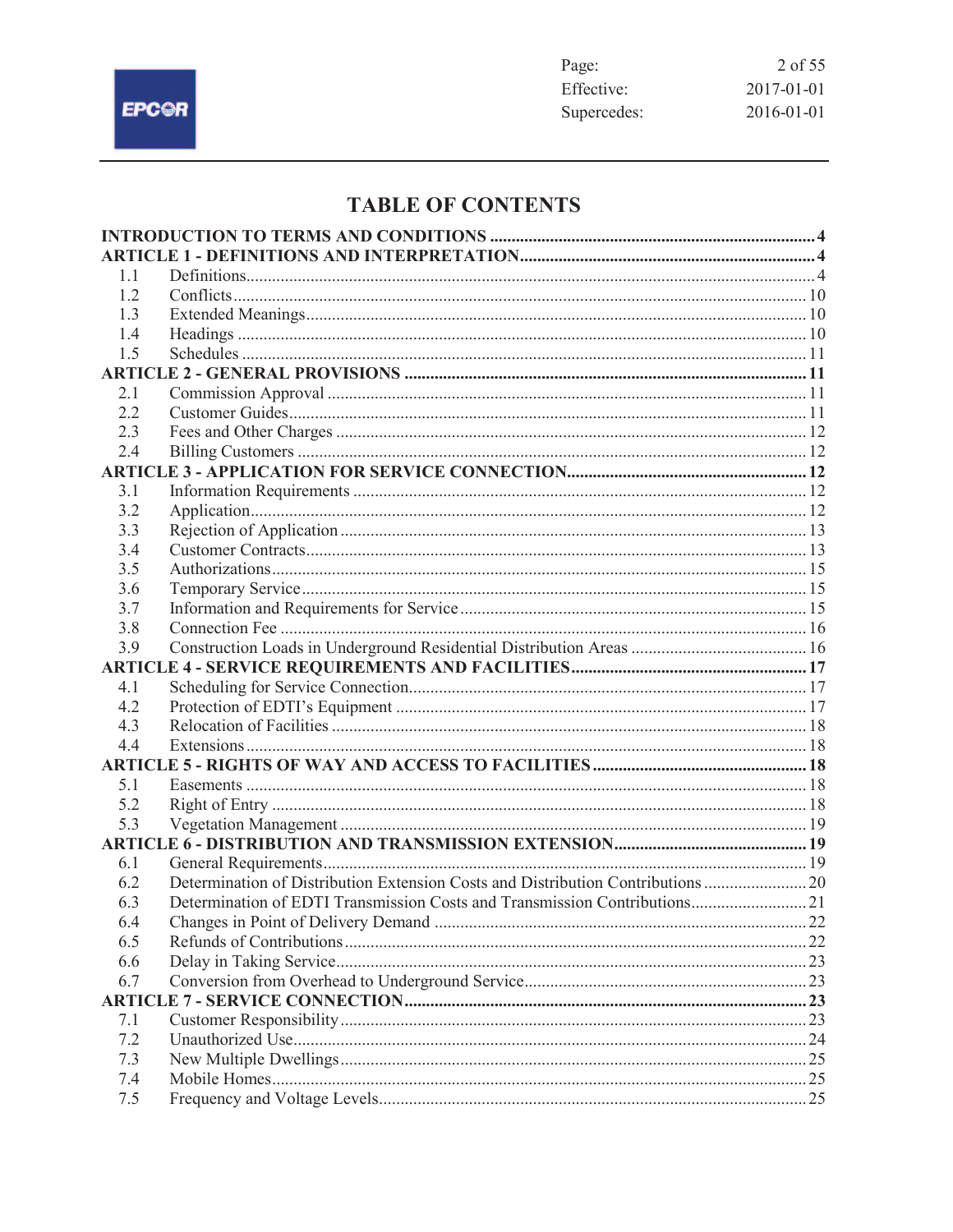

# **TABLE OF CONTENTS**

| 1.1 |                                                                                 |    |
|-----|---------------------------------------------------------------------------------|----|
| 1.2 |                                                                                 |    |
| 1.3 |                                                                                 |    |
| 1.4 |                                                                                 |    |
| 1.5 |                                                                                 |    |
|     |                                                                                 |    |
| 2.1 |                                                                                 |    |
| 2.2 |                                                                                 |    |
| 2.3 |                                                                                 |    |
| 2.4 |                                                                                 |    |
|     |                                                                                 |    |
| 3.1 |                                                                                 |    |
| 3.2 |                                                                                 |    |
| 3.3 |                                                                                 |    |
| 3.4 |                                                                                 |    |
| 3.5 |                                                                                 |    |
| 3.6 |                                                                                 |    |
| 3.7 |                                                                                 |    |
| 3.8 |                                                                                 |    |
| 3.9 |                                                                                 |    |
|     |                                                                                 |    |
| 4.1 |                                                                                 |    |
| 4.2 |                                                                                 |    |
| 4.3 |                                                                                 |    |
| 4.4 |                                                                                 |    |
|     |                                                                                 |    |
| 5.1 |                                                                                 |    |
| 5.2 |                                                                                 |    |
| 5.3 |                                                                                 |    |
|     |                                                                                 |    |
| 6.1 |                                                                                 |    |
| 6.2 | Determination of Distribution Extension Costs and Distribution Contributions 20 |    |
| 6.3 | Determination of EDTI Transmission Costs and Transmission Contributions 21      |    |
| 6.4 | Changes in Point of Delivery Demand                                             | 22 |
| 6.5 |                                                                                 |    |
| 6.6 |                                                                                 |    |
| 6.7 |                                                                                 |    |
|     |                                                                                 |    |
| 7.1 |                                                                                 |    |
| 7.2 |                                                                                 |    |
| 7.3 |                                                                                 |    |
| 7.4 |                                                                                 |    |
| 7.5 |                                                                                 |    |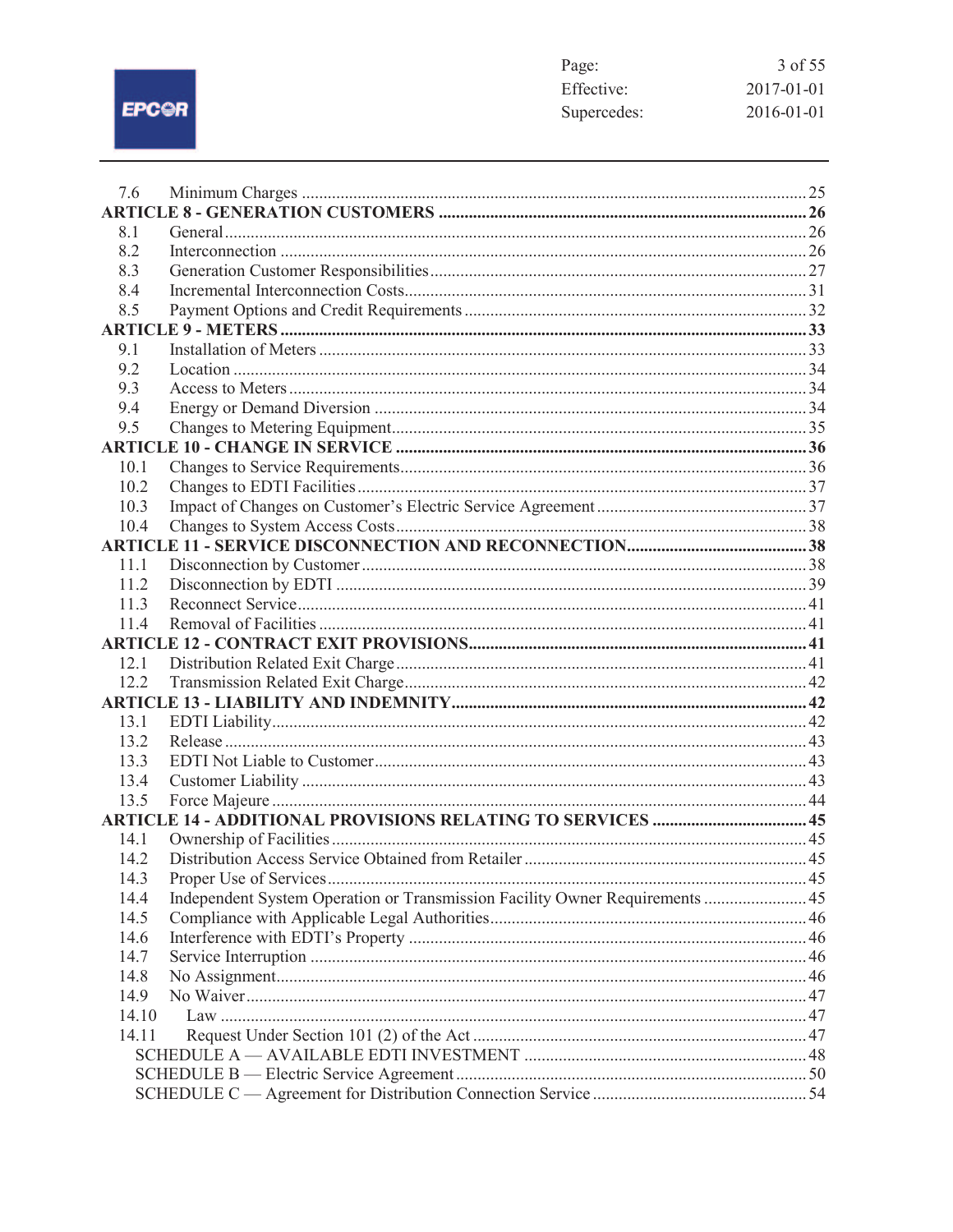EPCOR

| Page:       | 3 of 55          |
|-------------|------------------|
| Effective:  | $2017 - 01 - 01$ |
| Supercedes: | $2016 - 01 - 01$ |

| 8.1                                                                                          |  |
|----------------------------------------------------------------------------------------------|--|
|                                                                                              |  |
|                                                                                              |  |
| 8.2                                                                                          |  |
| 8.3                                                                                          |  |
| 8.4                                                                                          |  |
| 8.5                                                                                          |  |
|                                                                                              |  |
| 9.1                                                                                          |  |
| 9.2                                                                                          |  |
| 9.3                                                                                          |  |
| 9.4<br>9.5                                                                                   |  |
|                                                                                              |  |
| 10.1                                                                                         |  |
| 10.2                                                                                         |  |
| 10.3                                                                                         |  |
| 10.4                                                                                         |  |
|                                                                                              |  |
| 11.1                                                                                         |  |
| 11.2                                                                                         |  |
| 11.3                                                                                         |  |
| 11.4                                                                                         |  |
|                                                                                              |  |
| 12.1                                                                                         |  |
| 12.2                                                                                         |  |
|                                                                                              |  |
| 13.1                                                                                         |  |
| 13.2                                                                                         |  |
| 13.3                                                                                         |  |
| 13.4                                                                                         |  |
| 13.5                                                                                         |  |
| <b>ARTICLE 14 - ADDITIONAL PROVISIONS RELATING TO SERVICES  45</b>                           |  |
| 14.1                                                                                         |  |
| 14.2                                                                                         |  |
| 14.3<br>Independent System Operation or Transmission Facility Owner Requirements  45<br>14.4 |  |
| 14.5                                                                                         |  |
| 14.6                                                                                         |  |
| 14.7                                                                                         |  |
| 14.8                                                                                         |  |
| 14.9                                                                                         |  |
| 14.10                                                                                        |  |
| 14.11                                                                                        |  |
|                                                                                              |  |
|                                                                                              |  |
|                                                                                              |  |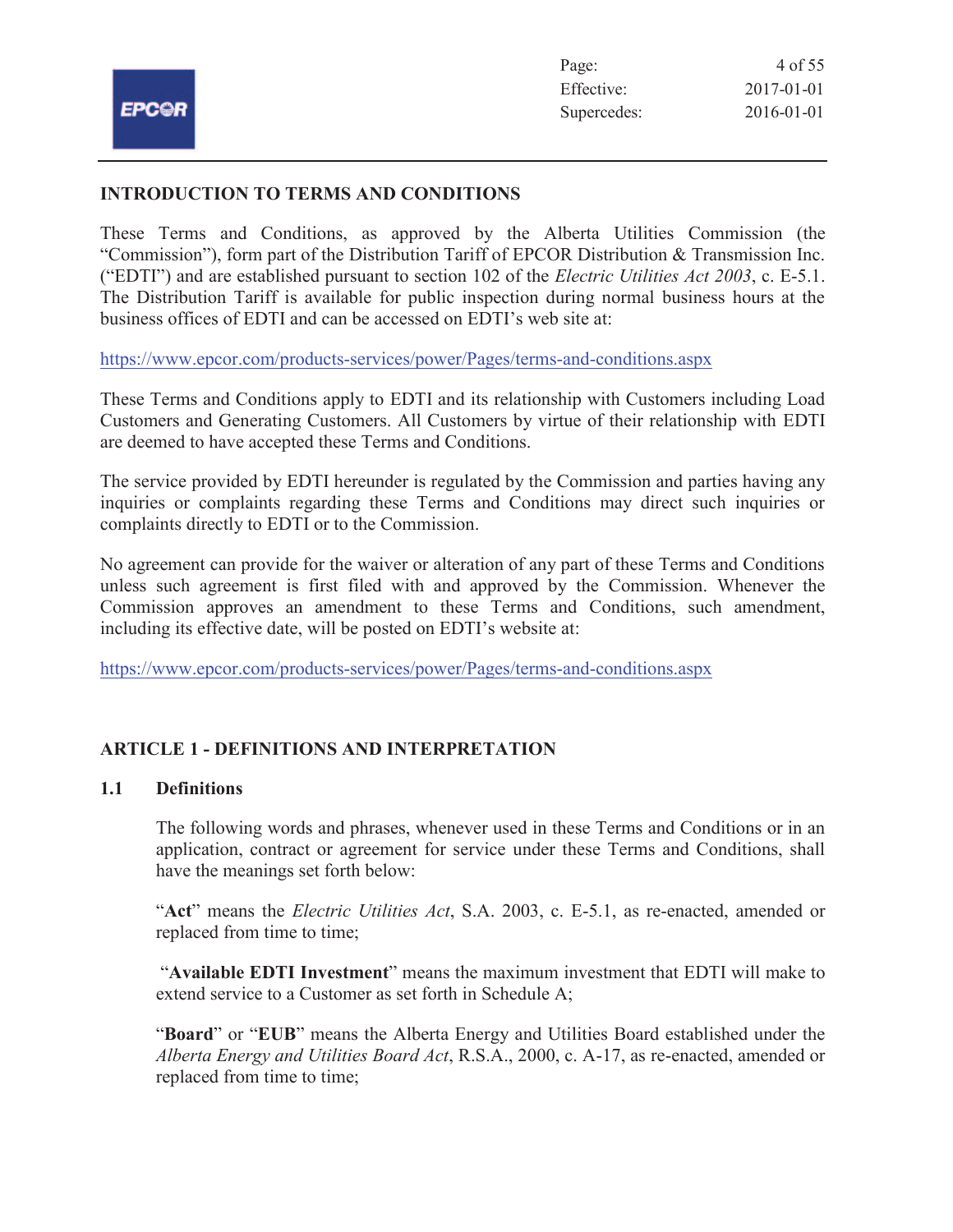# **INTRODUCTION TO TERMS AND CONDITIONS**

These Terms and Conditions, as approved by the Alberta Utilities Commission (the "Commission"), form part of the Distribution Tariff of EPCOR Distribution & Transmission Inc. ("EDTI") and are established pursuant to section 102 of the *Electric Utilities Act 2003*, c. E-5.1. The Distribution Tariff is available for public inspection during normal business hours at the business offices of EDTI and can be accessed on EDTI's web site at:

https://www.epcor.com/products-services/power/Pages/terms-and-conditions.aspx

These Terms and Conditions apply to EDTI and its relationship with Customers including Load Customers and Generating Customers. All Customers by virtue of their relationship with EDTI are deemed to have accepted these Terms and Conditions.

The service provided by EDTI hereunder is regulated by the Commission and parties having any inquiries or complaints regarding these Terms and Conditions may direct such inquiries or complaints directly to EDTI or to the Commission.

No agreement can provide for the waiver or alteration of any part of these Terms and Conditions unless such agreement is first filed with and approved by the Commission. Whenever the Commission approves an amendment to these Terms and Conditions, such amendment, including its effective date, will be posted on EDTI's website at:

https://www.epcor.com/products-services/power/Pages/terms-and-conditions.aspx

# **ARTICLE 1 - DEFINITIONS AND INTERPRETATION**

# **1.1 Definitions**

The following words and phrases, whenever used in these Terms and Conditions or in an application, contract or agreement for service under these Terms and Conditions, shall have the meanings set forth below:

"**Act**" means the *Electric Utilities Act*, S.A. 2003, c. E-5.1, as re-enacted, amended or replaced from time to time;

"**Available EDTI Investment**" means the maximum investment that EDTI will make to extend service to a Customer as set forth in Schedule A;

"**Board**" or "**EUB**" means the Alberta Energy and Utilities Board established under the *Alberta Energy and Utilities Board Act*, R.S.A., 2000, c. A-17, as re-enacted, amended or replaced from time to time;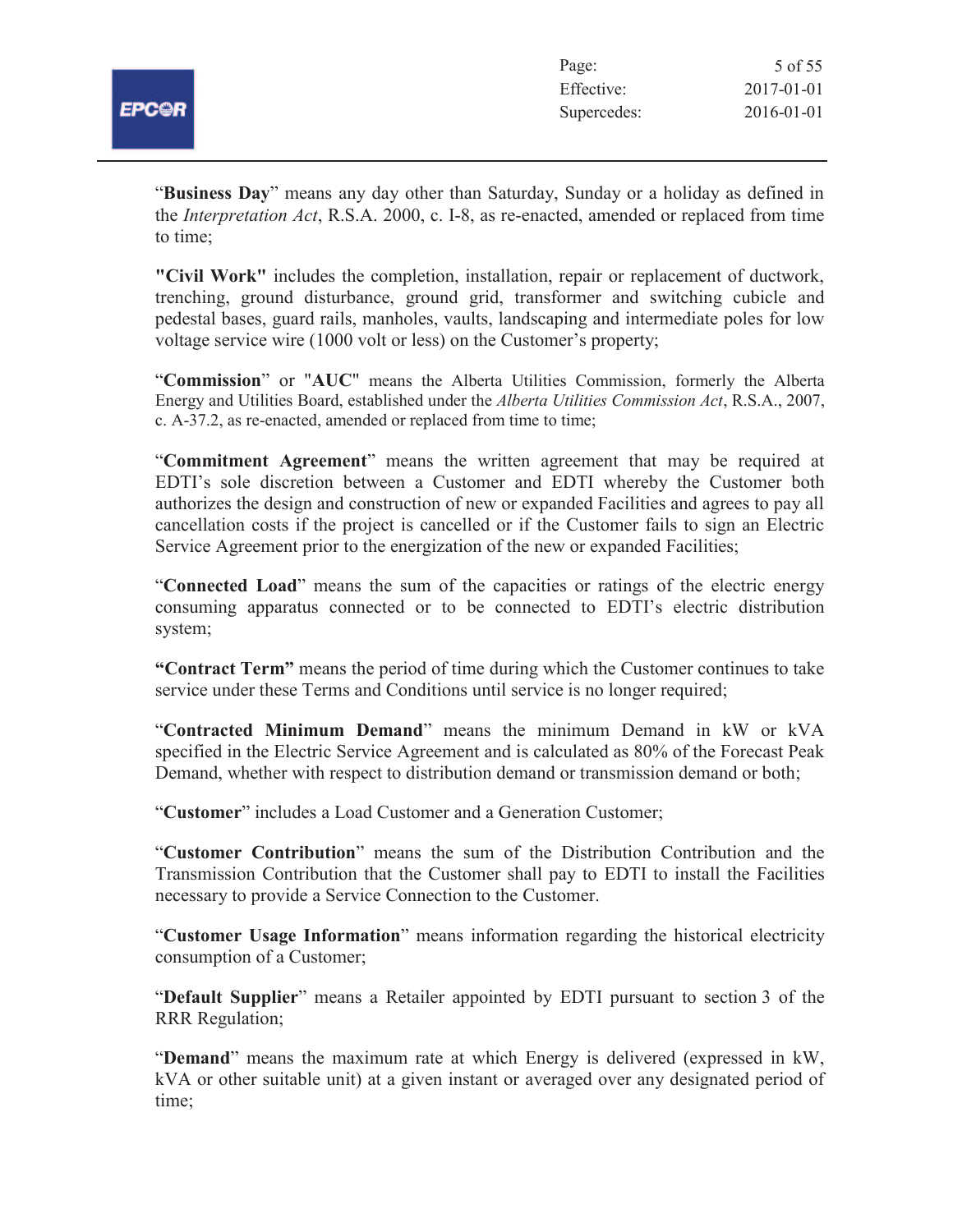

| Page:       | 5 of 55          |
|-------------|------------------|
| Effective:  | $2017 - 01 - 01$ |
| Supercedes: | $2016 - 01 - 01$ |

"**Business Day**" means any day other than Saturday, Sunday or a holiday as defined in the *Interpretation Act*, R.S.A. 2000, c. I-8, as re-enacted, amended or replaced from time to time;

**"Civil Work"** includes the completion, installation, repair or replacement of ductwork, trenching, ground disturbance, ground grid, transformer and switching cubicle and pedestal bases, guard rails, manholes, vaults, landscaping and intermediate poles for low voltage service wire (1000 volt or less) on the Customer's property;

"**Commission**" or "**AUC**" means the Alberta Utilities Commission, formerly the Alberta Energy and Utilities Board, established under the *Alberta Utilities Commission Act*, R.S.A., 2007, c. A-37.2, as re-enacted, amended or replaced from time to time;

"**Commitment Agreement**" means the written agreement that may be required at EDTI's sole discretion between a Customer and EDTI whereby the Customer both authorizes the design and construction of new or expanded Facilities and agrees to pay all cancellation costs if the project is cancelled or if the Customer fails to sign an Electric Service Agreement prior to the energization of the new or expanded Facilities;

"**Connected Load**" means the sum of the capacities or ratings of the electric energy consuming apparatus connected or to be connected to EDTI's electric distribution system;

**"Contract Term"** means the period of time during which the Customer continues to take service under these Terms and Conditions until service is no longer required;

"**Contracted Minimum Demand**" means the minimum Demand in kW or kVA specified in the Electric Service Agreement and is calculated as 80% of the Forecast Peak Demand, whether with respect to distribution demand or transmission demand or both;

"**Customer**" includes a Load Customer and a Generation Customer;

"**Customer Contribution**" means the sum of the Distribution Contribution and the Transmission Contribution that the Customer shall pay to EDTI to install the Facilities necessary to provide a Service Connection to the Customer.

"**Customer Usage Information**" means information regarding the historical electricity consumption of a Customer;

"**Default Supplier**" means a Retailer appointed by EDTI pursuant to section 3 of the RRR Regulation;

"**Demand**" means the maximum rate at which Energy is delivered (expressed in kW, kVA or other suitable unit) at a given instant or averaged over any designated period of time;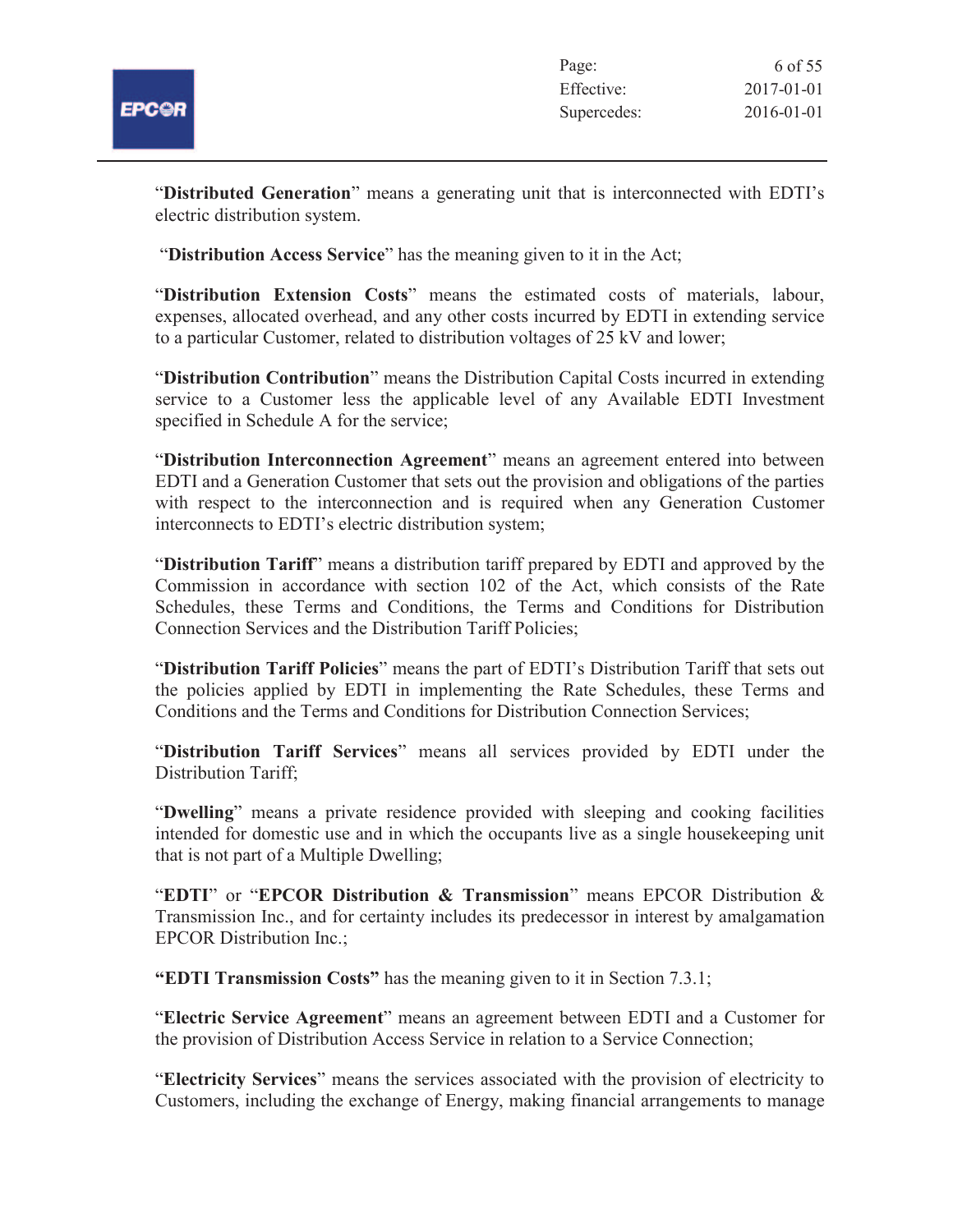

"**Distributed Generation**" means a generating unit that is interconnected with EDTI's electric distribution system.

"**Distribution Access Service**" has the meaning given to it in the Act;

"**Distribution Extension Costs**" means the estimated costs of materials, labour, expenses, allocated overhead, and any other costs incurred by EDTI in extending service to a particular Customer, related to distribution voltages of 25 kV and lower;

"**Distribution Contribution**" means the Distribution Capital Costs incurred in extending service to a Customer less the applicable level of any Available EDTI Investment specified in Schedule A for the service;

"**Distribution Interconnection Agreement**" means an agreement entered into between EDTI and a Generation Customer that sets out the provision and obligations of the parties with respect to the interconnection and is required when any Generation Customer interconnects to EDTI's electric distribution system;

"**Distribution Tariff**" means a distribution tariff prepared by EDTI and approved by the Commission in accordance with section 102 of the Act, which consists of the Rate Schedules, these Terms and Conditions, the Terms and Conditions for Distribution Connection Services and the Distribution Tariff Policies;

"**Distribution Tariff Policies**" means the part of EDTI's Distribution Tariff that sets out the policies applied by EDTI in implementing the Rate Schedules, these Terms and Conditions and the Terms and Conditions for Distribution Connection Services;

"**Distribution Tariff Services**" means all services provided by EDTI under the Distribution Tariff;

"**Dwelling**" means a private residence provided with sleeping and cooking facilities intended for domestic use and in which the occupants live as a single housekeeping unit that is not part of a Multiple Dwelling;

"**EDTI**" or "**EPCOR Distribution & Transmission**" means EPCOR Distribution & Transmission Inc., and for certainty includes its predecessor in interest by amalgamation EPCOR Distribution Inc.;

**"EDTI Transmission Costs"** has the meaning given to it in Section 7.3.1;

"**Electric Service Agreement**" means an agreement between EDTI and a Customer for the provision of Distribution Access Service in relation to a Service Connection;

"**Electricity Services**" means the services associated with the provision of electricity to Customers, including the exchange of Energy, making financial arrangements to manage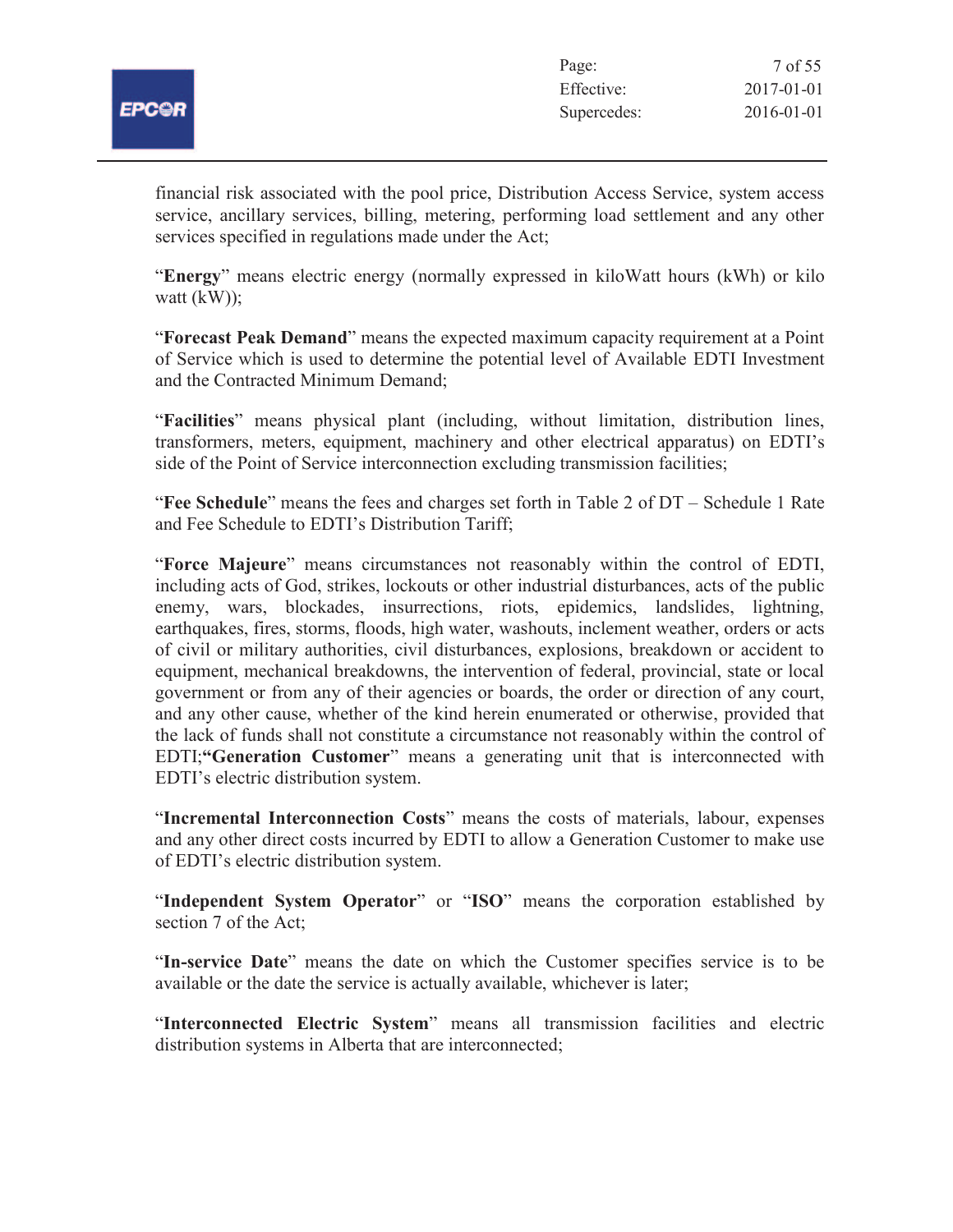

| Page:       | 7 of 55          |
|-------------|------------------|
| Effective:  | $2017 - 01 - 01$ |
| Supercedes: | $2016 - 01 - 01$ |

financial risk associated with the pool price, Distribution Access Service, system access service, ancillary services, billing, metering, performing load settlement and any other services specified in regulations made under the Act;

"**Energy**" means electric energy (normally expressed in kiloWatt hours (kWh) or kilo watt  $(kW)$ ;

"**Forecast Peak Demand**" means the expected maximum capacity requirement at a Point of Service which is used to determine the potential level of Available EDTI Investment and the Contracted Minimum Demand;

"**Facilities**" means physical plant (including, without limitation, distribution lines, transformers, meters, equipment, machinery and other electrical apparatus) on EDTI's side of the Point of Service interconnection excluding transmission facilities;

"**Fee Schedule**" means the fees and charges set forth in Table 2 of DT – Schedule 1 Rate and Fee Schedule to EDTI's Distribution Tariff;

"**Force Majeure**" means circumstances not reasonably within the control of EDTI, including acts of God, strikes, lockouts or other industrial disturbances, acts of the public enemy, wars, blockades, insurrections, riots, epidemics, landslides, lightning, earthquakes, fires, storms, floods, high water, washouts, inclement weather, orders or acts of civil or military authorities, civil disturbances, explosions, breakdown or accident to equipment, mechanical breakdowns, the intervention of federal, provincial, state or local government or from any of their agencies or boards, the order or direction of any court, and any other cause, whether of the kind herein enumerated or otherwise, provided that the lack of funds shall not constitute a circumstance not reasonably within the control of EDTI;**"Generation Customer**" means a generating unit that is interconnected with EDTI's electric distribution system.

"**Incremental Interconnection Costs**" means the costs of materials, labour, expenses and any other direct costs incurred by EDTI to allow a Generation Customer to make use of EDTI's electric distribution system.

"**Independent System Operator**" or "**ISO**" means the corporation established by section 7 of the Act;

"**In-service Date**" means the date on which the Customer specifies service is to be available or the date the service is actually available, whichever is later;

"**Interconnected Electric System**" means all transmission facilities and electric distribution systems in Alberta that are interconnected;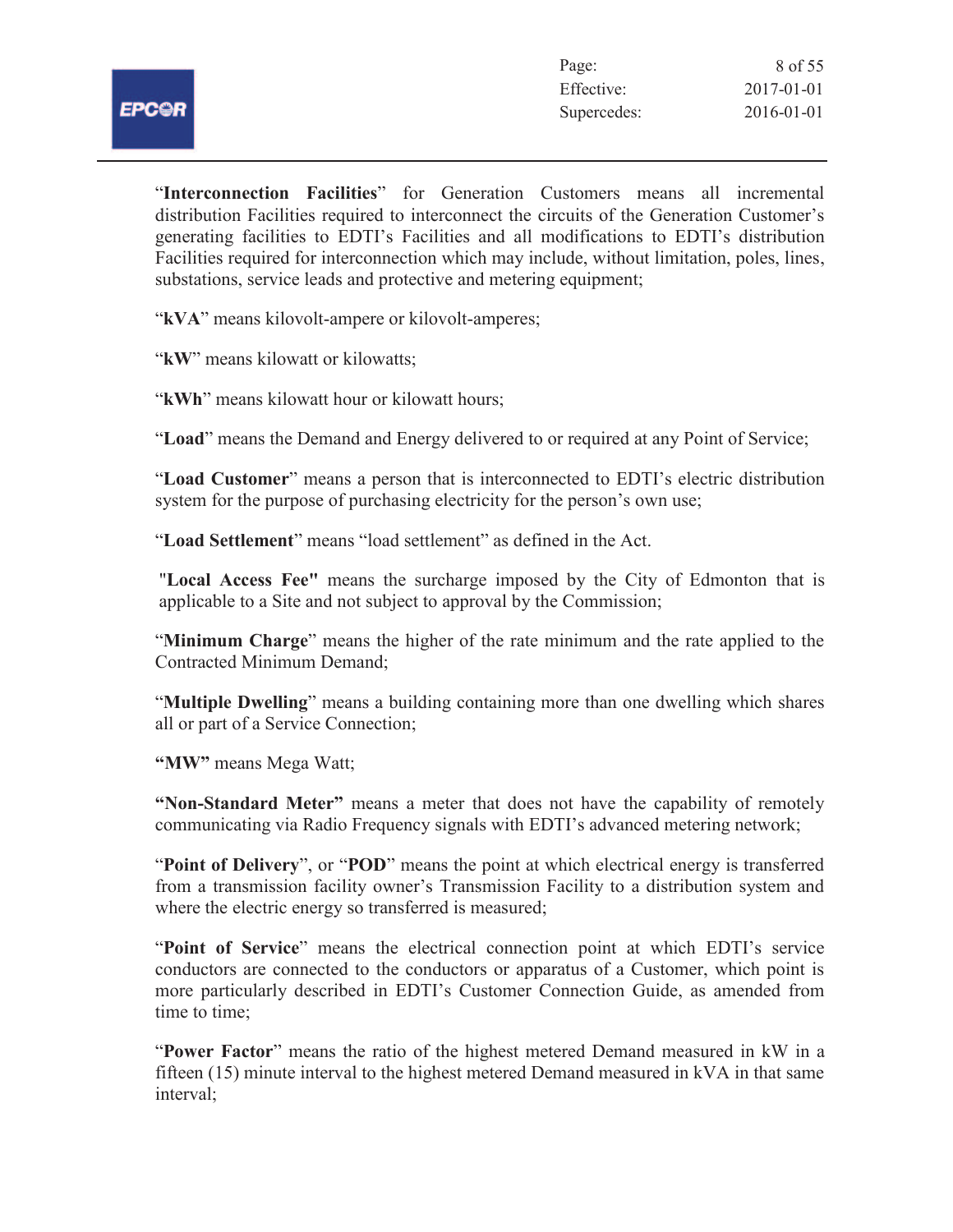

"**Interconnection Facilities**" for Generation Customers means all incremental distribution Facilities required to interconnect the circuits of the Generation Customer's generating facilities to EDTI's Facilities and all modifications to EDTI's distribution Facilities required for interconnection which may include, without limitation, poles, lines, substations, service leads and protective and metering equipment;

"**kVA**" means kilovolt-ampere or kilovolt-amperes;

"**kW**" means kilowatt or kilowatts;

"**kWh**" means kilowatt hour or kilowatt hours;

"**Load**" means the Demand and Energy delivered to or required at any Point of Service;

"**Load Customer**" means a person that is interconnected to EDTI's electric distribution system for the purpose of purchasing electricity for the person's own use;

"**Load Settlement**" means "load settlement" as defined in the Act.

"**Local Access Fee"** means the surcharge imposed by the City of Edmonton that is applicable to a Site and not subject to approval by the Commission;

"**Minimum Charge**" means the higher of the rate minimum and the rate applied to the Contracted Minimum Demand;

"**Multiple Dwelling**" means a building containing more than one dwelling which shares all or part of a Service Connection;

**"MW"** means Mega Watt;

**"Non-Standard Meter"** means a meter that does not have the capability of remotely communicating via Radio Frequency signals with EDTI's advanced metering network;

"**Point of Delivery**", or "**POD**" means the point at which electrical energy is transferred from a transmission facility owner's Transmission Facility to a distribution system and where the electric energy so transferred is measured;

"**Point of Service**" means the electrical connection point at which EDTI's service conductors are connected to the conductors or apparatus of a Customer, which point is more particularly described in EDTI's Customer Connection Guide, as amended from time to time;

"**Power Factor**" means the ratio of the highest metered Demand measured in kW in a fifteen (15) minute interval to the highest metered Demand measured in kVA in that same interval;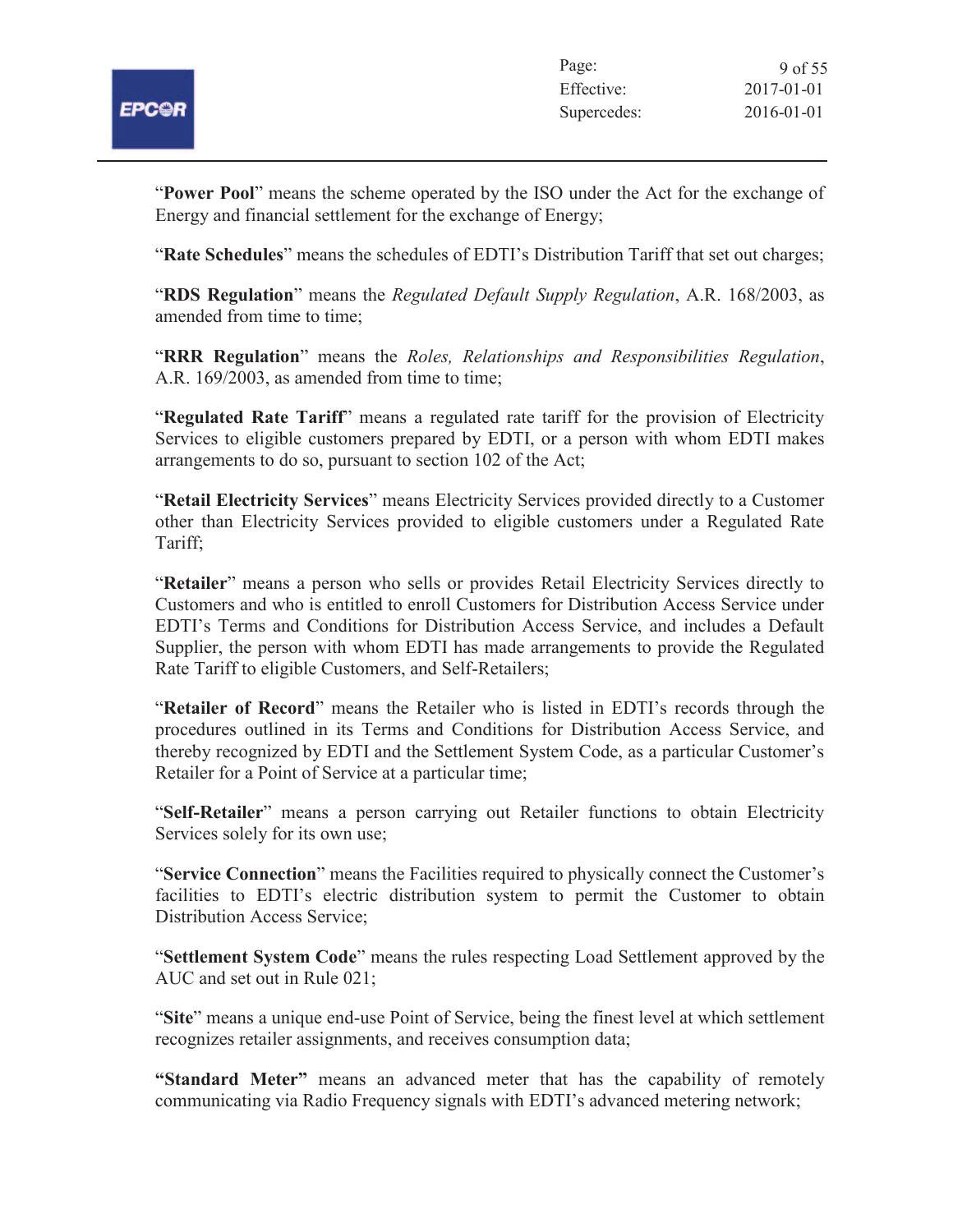

"**Power Pool**" means the scheme operated by the ISO under the Act for the exchange of Energy and financial settlement for the exchange of Energy;

"**Rate Schedules**" means the schedules of EDTI's Distribution Tariff that set out charges;

"**RDS Regulation**" means the *Regulated Default Supply Regulation*, A.R. 168/2003, as amended from time to time;

"**RRR Regulation**" means the *Roles, Relationships and Responsibilities Regulation*, A.R. 169/2003, as amended from time to time;

"**Regulated Rate Tariff**" means a regulated rate tariff for the provision of Electricity Services to eligible customers prepared by EDTI, or a person with whom EDTI makes arrangements to do so, pursuant to section 102 of the Act;

"**Retail Electricity Services**" means Electricity Services provided directly to a Customer other than Electricity Services provided to eligible customers under a Regulated Rate Tariff;

"**Retailer**" means a person who sells or provides Retail Electricity Services directly to Customers and who is entitled to enroll Customers for Distribution Access Service under EDTI's Terms and Conditions for Distribution Access Service, and includes a Default Supplier, the person with whom EDTI has made arrangements to provide the Regulated Rate Tariff to eligible Customers, and Self-Retailers;

"**Retailer of Record**" means the Retailer who is listed in EDTI's records through the procedures outlined in its Terms and Conditions for Distribution Access Service, and thereby recognized by EDTI and the Settlement System Code, as a particular Customer's Retailer for a Point of Service at a particular time;

"**Self-Retailer**" means a person carrying out Retailer functions to obtain Electricity Services solely for its own use;

"**Service Connection**" means the Facilities required to physically connect the Customer's facilities to EDTI's electric distribution system to permit the Customer to obtain Distribution Access Service;

"**Settlement System Code**" means the rules respecting Load Settlement approved by the AUC and set out in Rule 021;

"**Site**" means a unique end-use Point of Service, being the finest level at which settlement recognizes retailer assignments, and receives consumption data;

**"Standard Meter"** means an advanced meter that has the capability of remotely communicating via Radio Frequency signals with EDTI's advanced metering network;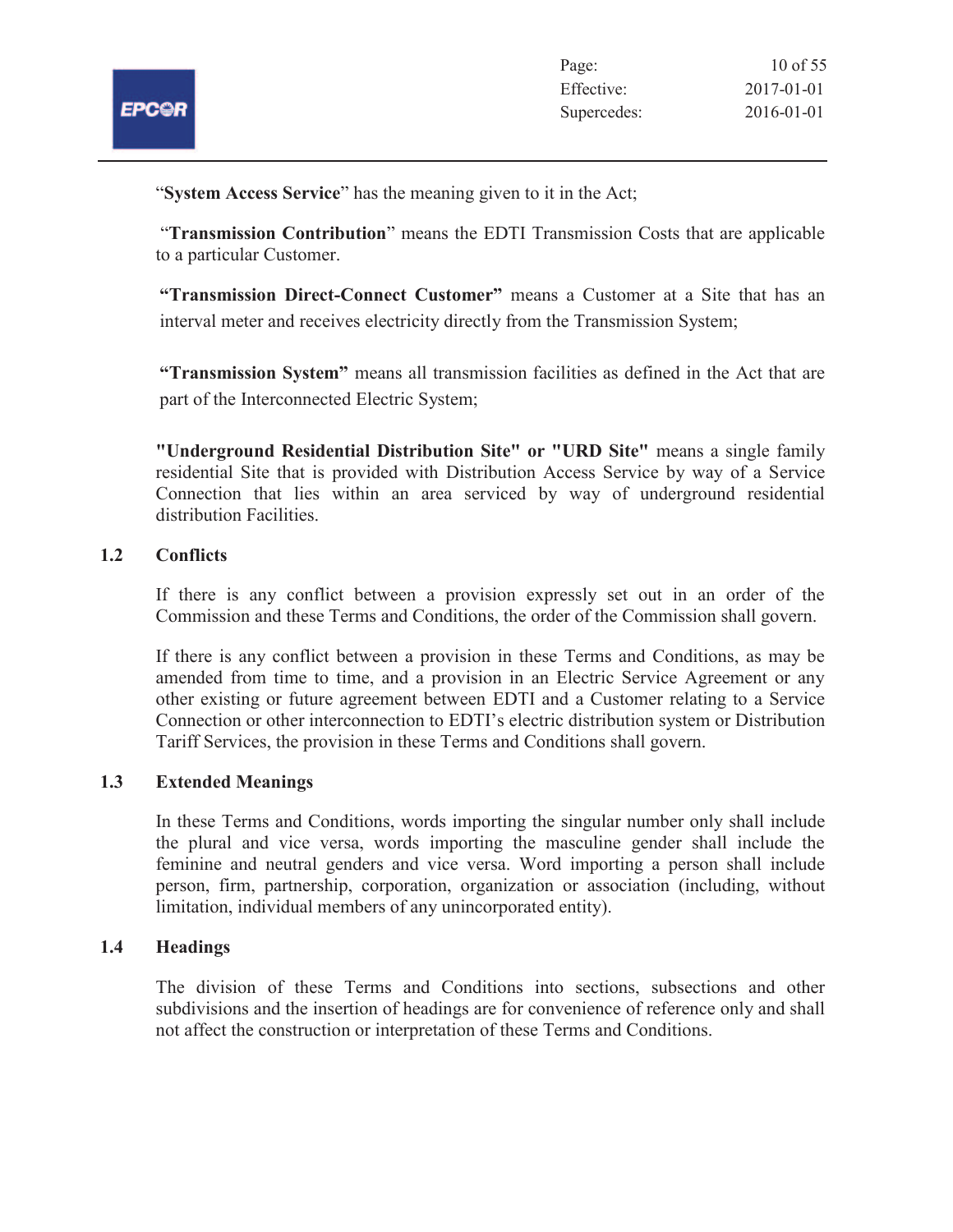

"**System Access Service**" has the meaning given to it in the Act;

"**Transmission Contribution**" means the EDTI Transmission Costs that are applicable to a particular Customer.

**"Transmission Direct-Connect Customer"** means a Customer at a Site that has an interval meter and receives electricity directly from the Transmission System;

**"Transmission System"** means all transmission facilities as defined in the Act that are part of the Interconnected Electric System;

**"Underground Residential Distribution Site" or "URD Site"** means a single family residential Site that is provided with Distribution Access Service by way of a Service Connection that lies within an area serviced by way of underground residential distribution Facilities.

# **1.2 Conflicts**

If there is any conflict between a provision expressly set out in an order of the Commission and these Terms and Conditions, the order of the Commission shall govern.

If there is any conflict between a provision in these Terms and Conditions, as may be amended from time to time, and a provision in an Electric Service Agreement or any other existing or future agreement between EDTI and a Customer relating to a Service Connection or other interconnection to EDTI's electric distribution system or Distribution Tariff Services, the provision in these Terms and Conditions shall govern.

# **1.3 Extended Meanings**

In these Terms and Conditions, words importing the singular number only shall include the plural and vice versa, words importing the masculine gender shall include the feminine and neutral genders and vice versa. Word importing a person shall include person, firm, partnership, corporation, organization or association (including, without limitation, individual members of any unincorporated entity).

# **1.4 Headings**

The division of these Terms and Conditions into sections, subsections and other subdivisions and the insertion of headings are for convenience of reference only and shall not affect the construction or interpretation of these Terms and Conditions.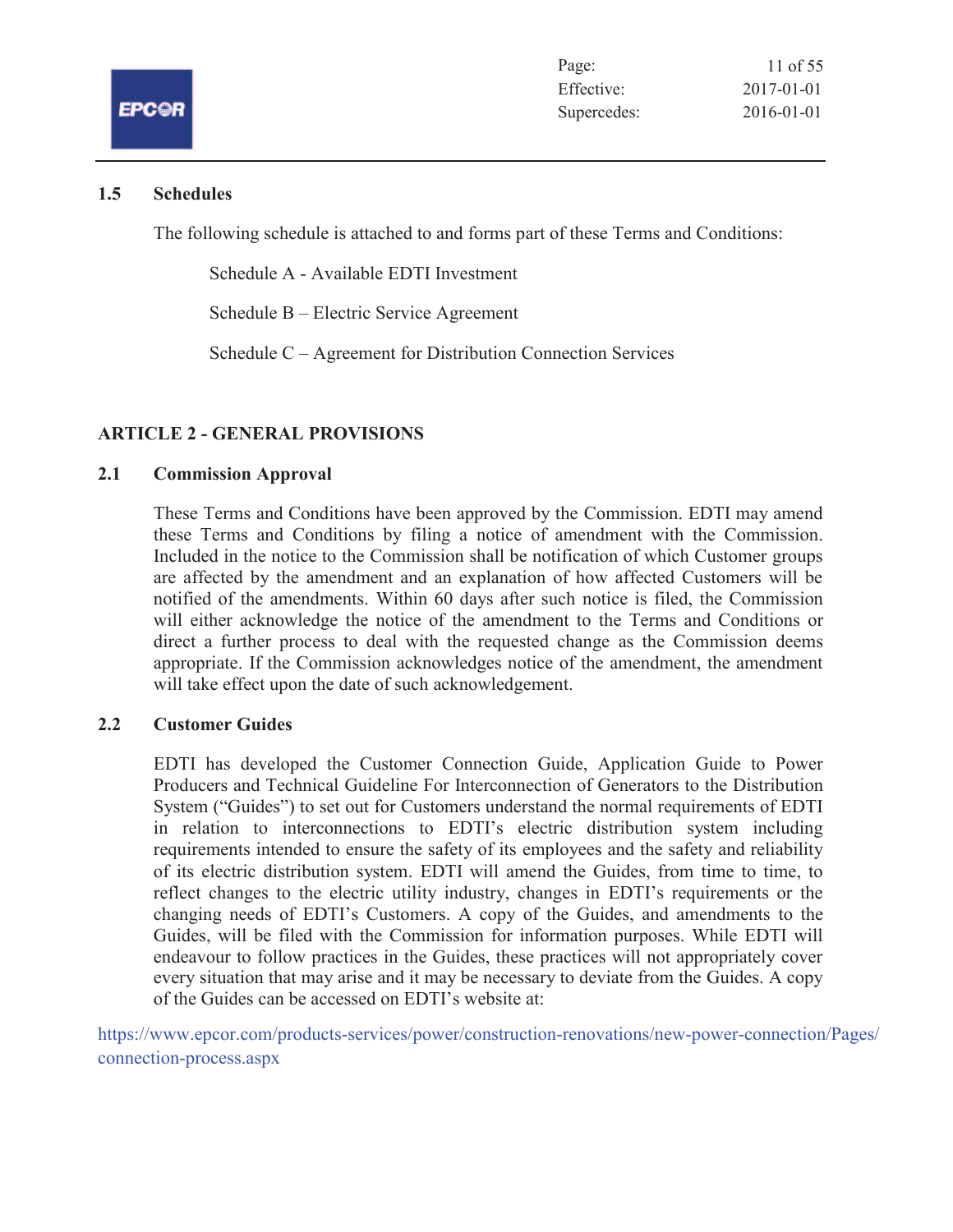

# **1.5 Schedules**

The following schedule is attached to and forms part of these Terms and Conditions:

Schedule A - Available EDTI Investment

Schedule B – Electric Service Agreement

Schedule C – Agreement for Distribution Connection Services

# **ARTICLE 2 - GENERAL PROVISIONS**

# **2.1 Commission Approval**

These Terms and Conditions have been approved by the Commission. EDTI may amend these Terms and Conditions by filing a notice of amendment with the Commission. Included in the notice to the Commission shall be notification of which Customer groups are affected by the amendment and an explanation of how affected Customers will be notified of the amendments. Within 60 days after such notice is filed, the Commission will either acknowledge the notice of the amendment to the Terms and Conditions or direct a further process to deal with the requested change as the Commission deems appropriate. If the Commission acknowledges notice of the amendment, the amendment will take effect upon the date of such acknowledgement.

# **2.2 Customer Guides**

EDTI has developed the Customer Connection Guide, Application Guide to Power Producers and Technical Guideline For Interconnection of Generators to the Distribution System ("Guides") to set out for Customers understand the normal requirements of EDTI in relation to interconnections to EDTI's electric distribution system including requirements intended to ensure the safety of its employees and the safety and reliability of its electric distribution system. EDTI will amend the Guides, from time to time, to reflect changes to the electric utility industry, changes in EDTI's requirements or the changing needs of EDTI's Customers. A copy of the Guides, and amendments to the Guides, will be filed with the Commission for information purposes. While EDTI will endeavour to follow practices in the Guides, these practices will not appropriately cover every situation that may arise and it may be necessary to deviate from the Guides. A copy of the Guides can be accessed on EDTI's website at:

https://www.epcor.com/products-services/power/construction-renovations/new-power-connection/Pages/ connection-process.aspx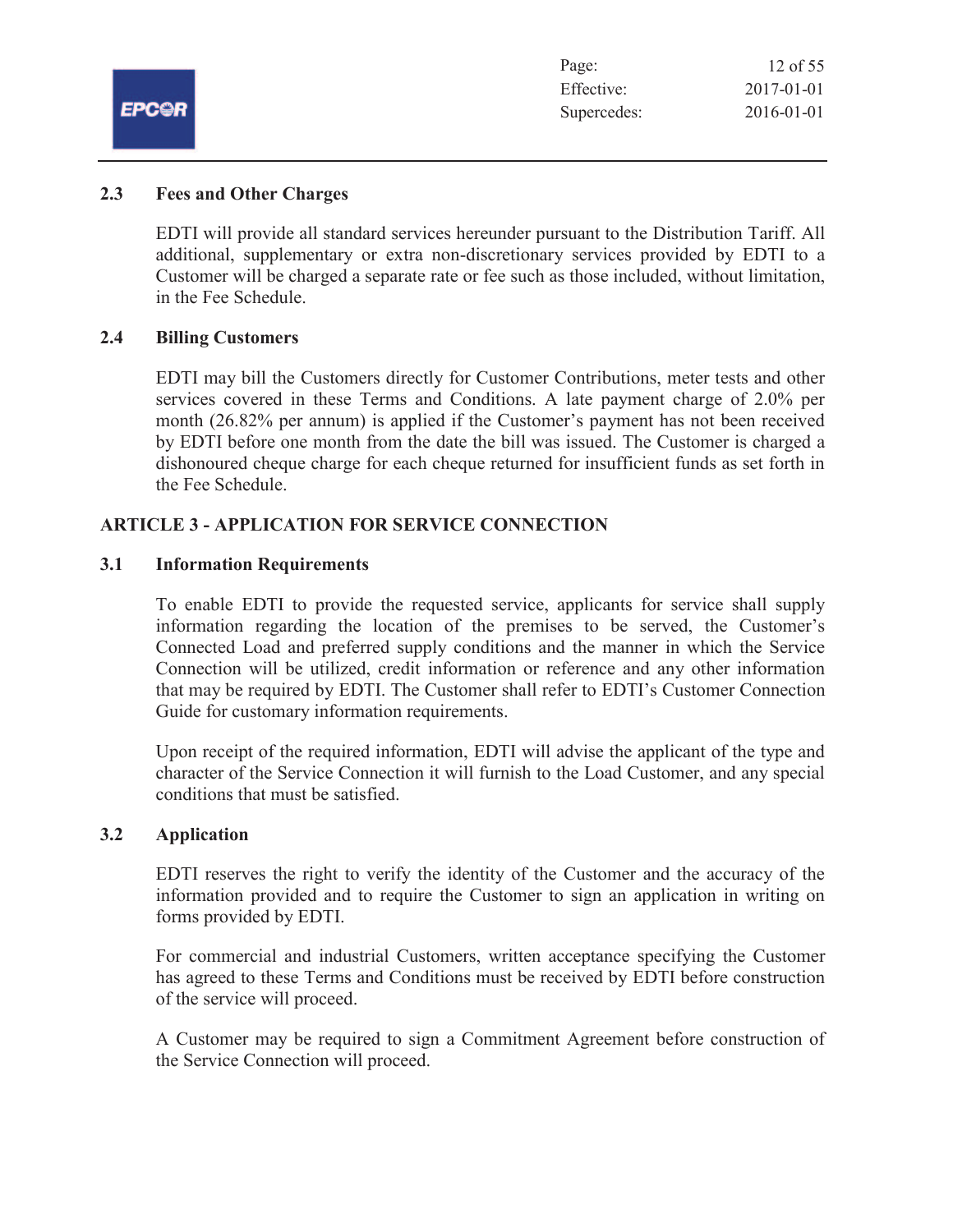|              | Page:       | 12 of 55   |
|--------------|-------------|------------|
| <b>EPC@R</b> | Effective:  | 2017-01-01 |
|              | Supercedes: | 2016-01-01 |
|              |             |            |

# **2.3 Fees and Other Charges**

EDTI will provide all standard services hereunder pursuant to the Distribution Tariff. All additional, supplementary or extra non-discretionary services provided by EDTI to a Customer will be charged a separate rate or fee such as those included, without limitation, in the Fee Schedule.

# **2.4 Billing Customers**

EDTI may bill the Customers directly for Customer Contributions, meter tests and other services covered in these Terms and Conditions. A late payment charge of 2.0% per month (26.82% per annum) is applied if the Customer's payment has not been received by EDTI before one month from the date the bill was issued. The Customer is charged a dishonoured cheque charge for each cheque returned for insufficient funds as set forth in the Fee Schedule.

# **ARTICLE 3 - APPLICATION FOR SERVICE CONNECTION**

### **3.1 Information Requirements**

To enable EDTI to provide the requested service, applicants for service shall supply information regarding the location of the premises to be served, the Customer's Connected Load and preferred supply conditions and the manner in which the Service Connection will be utilized, credit information or reference and any other information that may be required by EDTI. The Customer shall refer to EDTI's Customer Connection Guide for customary information requirements.

Upon receipt of the required information, EDTI will advise the applicant of the type and character of the Service Connection it will furnish to the Load Customer, and any special conditions that must be satisfied.

#### **3.2 Application**

EDTI reserves the right to verify the identity of the Customer and the accuracy of the information provided and to require the Customer to sign an application in writing on forms provided by EDTI.

For commercial and industrial Customers, written acceptance specifying the Customer has agreed to these Terms and Conditions must be received by EDTI before construction of the service will proceed.

A Customer may be required to sign a Commitment Agreement before construction of the Service Connection will proceed.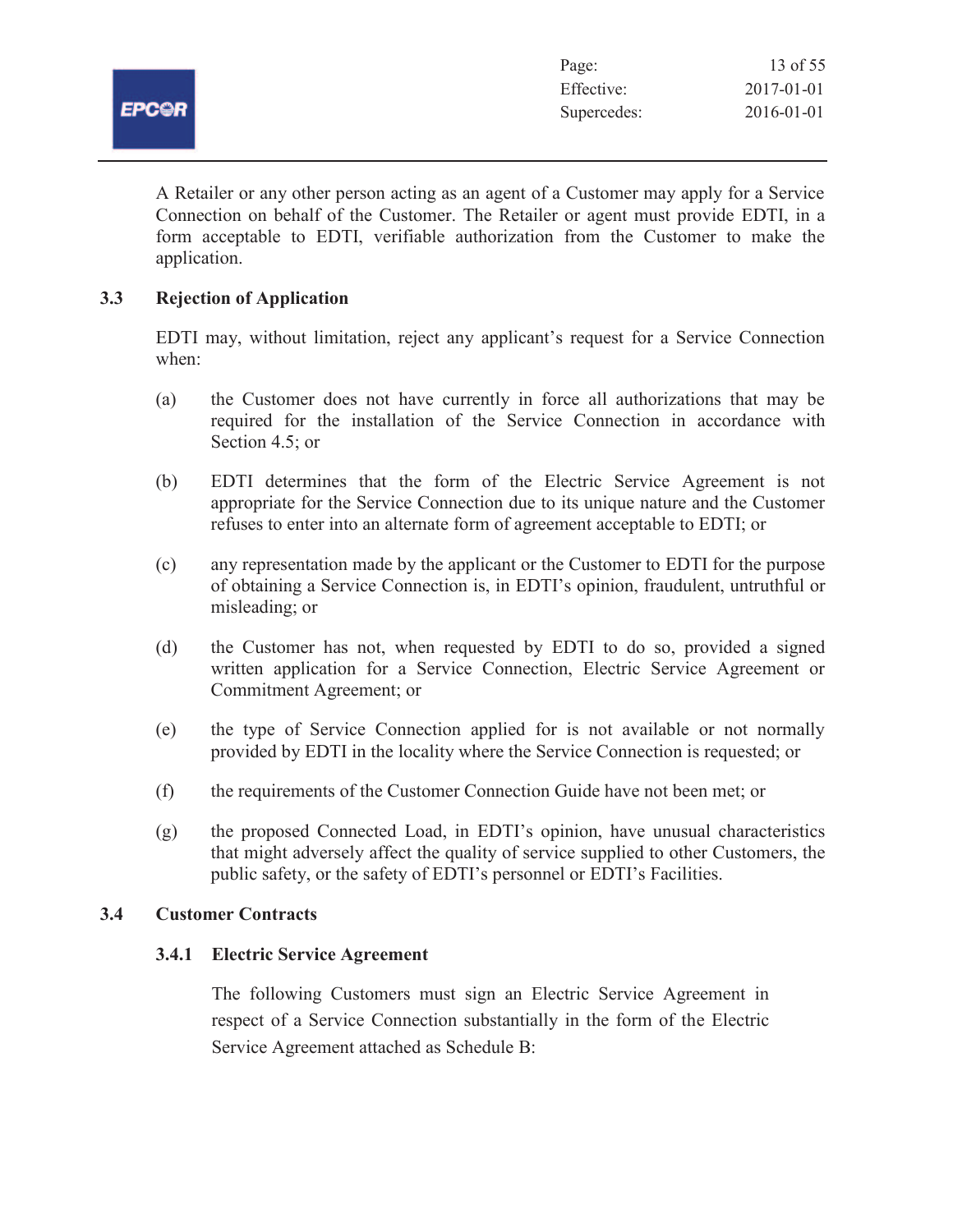

A Retailer or any other person acting as an agent of a Customer may apply for a Service Connection on behalf of the Customer. The Retailer or agent must provide EDTI, in a form acceptable to EDTI, verifiable authorization from the Customer to make the application.

# **3.3 Rejection of Application**

EDTI may, without limitation, reject any applicant's request for a Service Connection when:

- (a) the Customer does not have currently in force all authorizations that may be required for the installation of the Service Connection in accordance with Section 4.5; or
- (b) EDTI determines that the form of the Electric Service Agreement is not appropriate for the Service Connection due to its unique nature and the Customer refuses to enter into an alternate form of agreement acceptable to EDTI; or
- (c) any representation made by the applicant or the Customer to EDTI for the purpose of obtaining a Service Connection is, in EDTI's opinion, fraudulent, untruthful or misleading; or
- (d) the Customer has not, when requested by EDTI to do so, provided a signed written application for a Service Connection, Electric Service Agreement or Commitment Agreement; or
- (e) the type of Service Connection applied for is not available or not normally provided by EDTI in the locality where the Service Connection is requested; or
- (f) the requirements of the Customer Connection Guide have not been met; or
- (g) the proposed Connected Load, in EDTI's opinion, have unusual characteristics that might adversely affect the quality of service supplied to other Customers, the public safety, or the safety of EDTI's personnel or EDTI's Facilities.

# **3.4 Customer Contracts**

# **3.4.1 Electric Service Agreement**

The following Customers must sign an Electric Service Agreement in respect of a Service Connection substantially in the form of the Electric Service Agreement attached as Schedule B: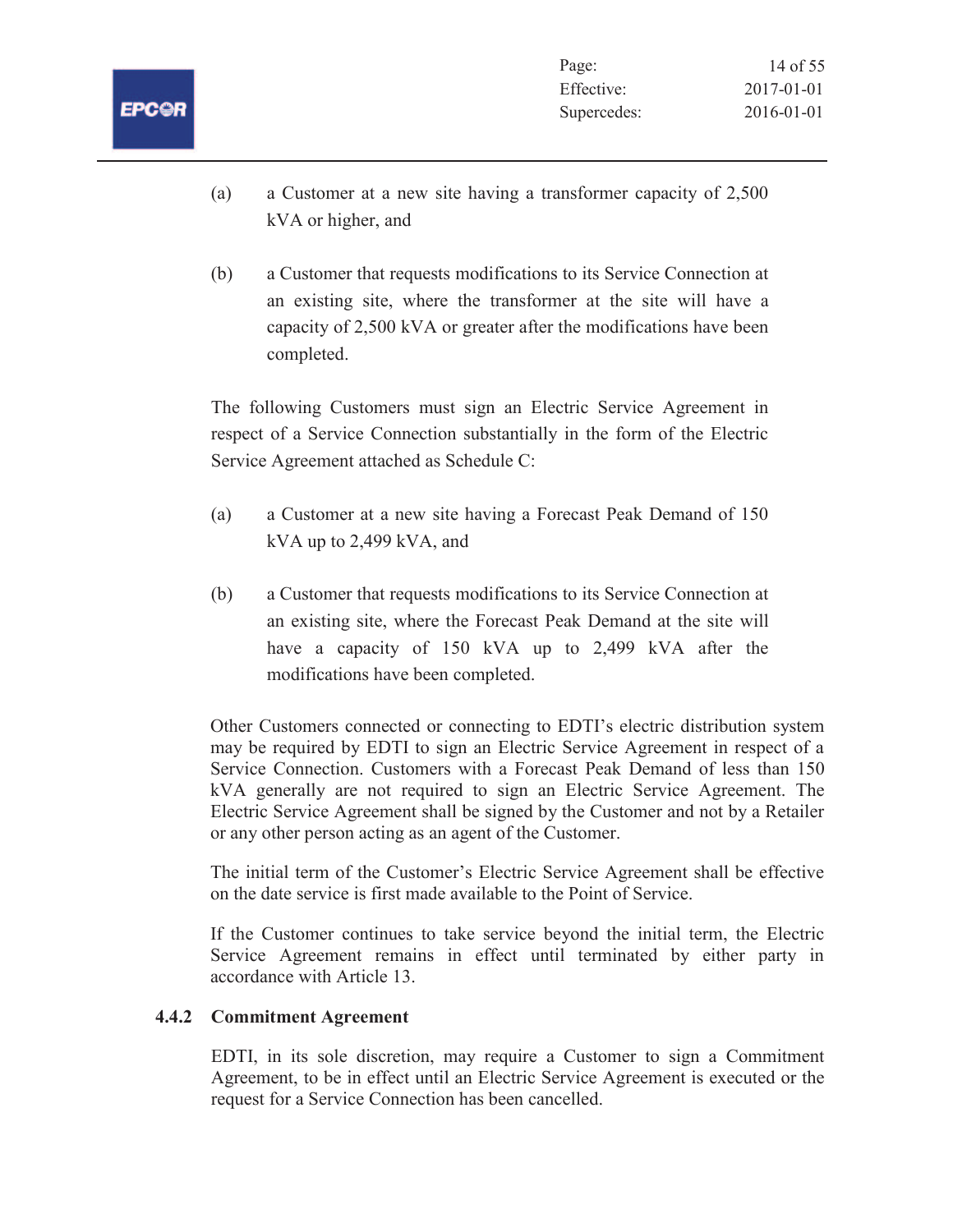- (a) a Customer at a new site having a transformer capacity of 2,500 kVA or higher, and
- (b) a Customer that requests modifications to its Service Connection at an existing site, where the transformer at the site will have a capacity of 2,500 kVA or greater after the modifications have been completed.

The following Customers must sign an Electric Service Agreement in respect of a Service Connection substantially in the form of the Electric Service Agreement attached as Schedule C:

- (a) a Customer at a new site having a Forecast Peak Demand of 150 kVA up to 2,499 kVA, and
- (b) a Customer that requests modifications to its Service Connection at an existing site, where the Forecast Peak Demand at the site will have a capacity of 150 kVA up to 2,499 kVA after the modifications have been completed.

Other Customers connected or connecting to EDTI's electric distribution system may be required by EDTI to sign an Electric Service Agreement in respect of a Service Connection. Customers with a Forecast Peak Demand of less than 150 kVA generally are not required to sign an Electric Service Agreement. The Electric Service Agreement shall be signed by the Customer and not by a Retailer or any other person acting as an agent of the Customer.

The initial term of the Customer's Electric Service Agreement shall be effective on the date service is first made available to the Point of Service.

If the Customer continues to take service beyond the initial term, the Electric Service Agreement remains in effect until terminated by either party in accordance with Article 13.

# **4.4.2 Commitment Agreement**

EDTI, in its sole discretion, may require a Customer to sign a Commitment Agreement, to be in effect until an Electric Service Agreement is executed or the request for a Service Connection has been cancelled.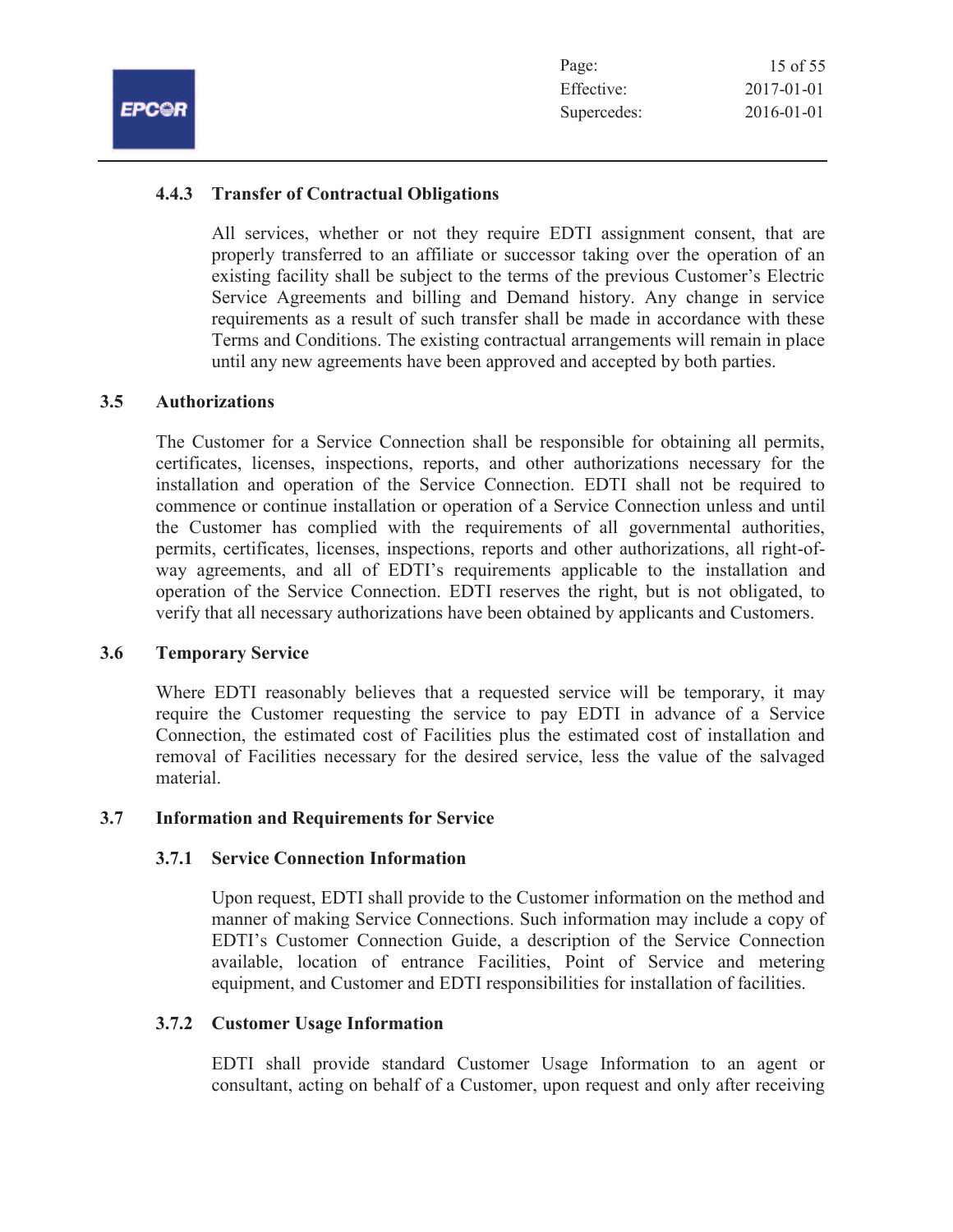| 15 of 55         |
|------------------|
| $2017 - 01 - 01$ |
| $2016 - 01 - 01$ |
|                  |

# **4.4.3 Transfer of Contractual Obligations**

All services, whether or not they require EDTI assignment consent, that are properly transferred to an affiliate or successor taking over the operation of an existing facility shall be subject to the terms of the previous Customer's Electric Service Agreements and billing and Demand history. Any change in service requirements as a result of such transfer shall be made in accordance with these Terms and Conditions. The existing contractual arrangements will remain in place until any new agreements have been approved and accepted by both parties.

# **3.5 Authorizations**

The Customer for a Service Connection shall be responsible for obtaining all permits, certificates, licenses, inspections, reports, and other authorizations necessary for the installation and operation of the Service Connection. EDTI shall not be required to commence or continue installation or operation of a Service Connection unless and until the Customer has complied with the requirements of all governmental authorities, permits, certificates, licenses, inspections, reports and other authorizations, all right-ofway agreements, and all of EDTI's requirements applicable to the installation and operation of the Service Connection. EDTI reserves the right, but is not obligated, to verify that all necessary authorizations have been obtained by applicants and Customers.

#### **3.6 Temporary Service**

Where EDTI reasonably believes that a requested service will be temporary, it may require the Customer requesting the service to pay EDTI in advance of a Service Connection, the estimated cost of Facilities plus the estimated cost of installation and removal of Facilities necessary for the desired service, less the value of the salvaged material.

#### **3.7 Information and Requirements for Service**

#### **3.7.1 Service Connection Information**

Upon request, EDTI shall provide to the Customer information on the method and manner of making Service Connections. Such information may include a copy of EDTI's Customer Connection Guide, a description of the Service Connection available, location of entrance Facilities, Point of Service and metering equipment, and Customer and EDTI responsibilities for installation of facilities.

#### **3.7.2 Customer Usage Information**

EDTI shall provide standard Customer Usage Information to an agent or consultant, acting on behalf of a Customer, upon request and only after receiving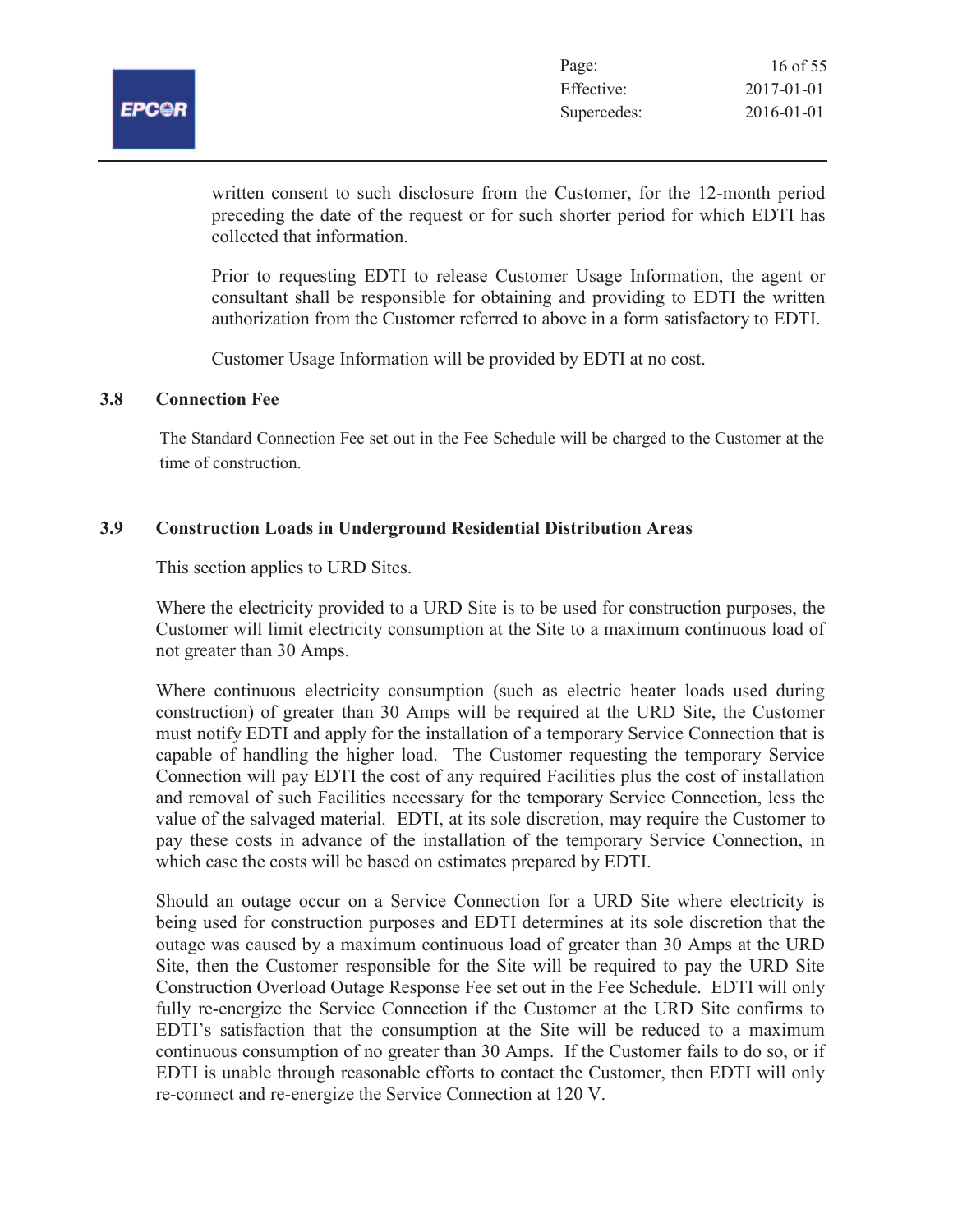

written consent to such disclosure from the Customer, for the 12-month period preceding the date of the request or for such shorter period for which EDTI has collected that information.

Prior to requesting EDTI to release Customer Usage Information, the agent or consultant shall be responsible for obtaining and providing to EDTI the written authorization from the Customer referred to above in a form satisfactory to EDTI.

Customer Usage Information will be provided by EDTI at no cost.

### **3.8 Connection Fee**

The Standard Connection Fee set out in the Fee Schedule will be charged to the Customer at the time of construction.

### **3.9 Construction Loads in Underground Residential Distribution Areas**

This section applies to URD Sites.

Where the electricity provided to a URD Site is to be used for construction purposes, the Customer will limit electricity consumption at the Site to a maximum continuous load of not greater than 30 Amps.

Where continuous electricity consumption (such as electric heater loads used during construction) of greater than 30 Amps will be required at the URD Site, the Customer must notify EDTI and apply for the installation of a temporary Service Connection that is capable of handling the higher load. The Customer requesting the temporary Service Connection will pay EDTI the cost of any required Facilities plus the cost of installation and removal of such Facilities necessary for the temporary Service Connection, less the value of the salvaged material. EDTI, at its sole discretion, may require the Customer to pay these costs in advance of the installation of the temporary Service Connection, in which case the costs will be based on estimates prepared by EDTI.

Should an outage occur on a Service Connection for a URD Site where electricity is being used for construction purposes and EDTI determines at its sole discretion that the outage was caused by a maximum continuous load of greater than 30 Amps at the URD Site, then the Customer responsible for the Site will be required to pay the URD Site Construction Overload Outage Response Fee set out in the Fee Schedule. EDTI will only fully re-energize the Service Connection if the Customer at the URD Site confirms to EDTI's satisfaction that the consumption at the Site will be reduced to a maximum continuous consumption of no greater than 30 Amps. If the Customer fails to do so, or if EDTI is unable through reasonable efforts to contact the Customer, then EDTI will only re-connect and re-energize the Service Connection at 120 V.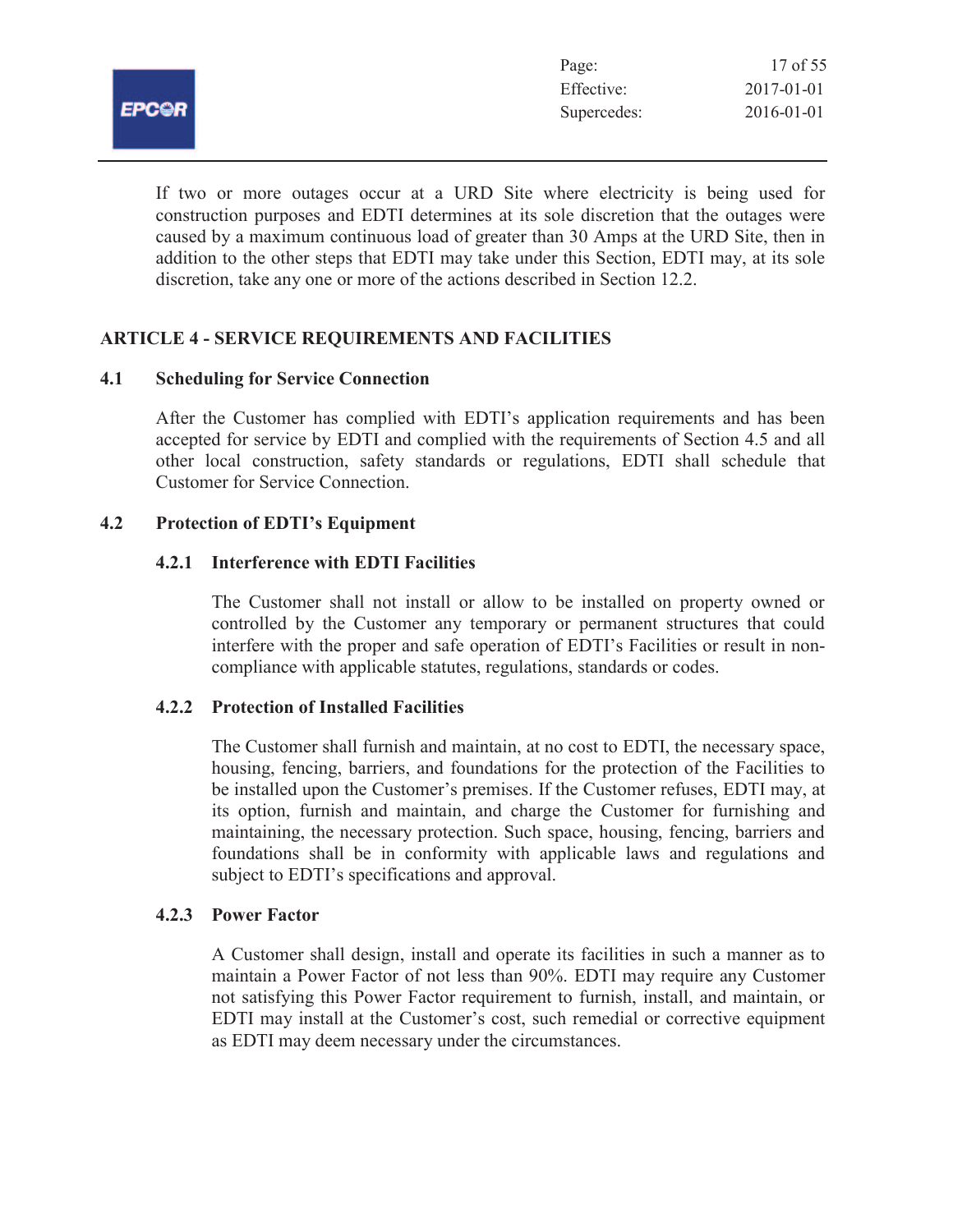|              | Page:       | 17 of 55   |
|--------------|-------------|------------|
|              | Effective:  | 2017-01-01 |
| <b>EPCOR</b> | Supercedes: | 2016-01-01 |
|              |             |            |

If two or more outages occur at a URD Site where electricity is being used for construction purposes and EDTI determines at its sole discretion that the outages were caused by a maximum continuous load of greater than 30 Amps at the URD Site, then in addition to the other steps that EDTI may take under this Section, EDTI may, at its sole discretion, take any one or more of the actions described in Section 12.2.

# **ARTICLE 4 - SERVICE REQUIREMENTS AND FACILITIES**

### **4.1 Scheduling for Service Connection**

After the Customer has complied with EDTI's application requirements and has been accepted for service by EDTI and complied with the requirements of Section 4.5 and all other local construction, safety standards or regulations, EDTI shall schedule that Customer for Service Connection.

# **4.2 Protection of EDTI's Equipment**

### **4.2.1 Interference with EDTI Facilities**

The Customer shall not install or allow to be installed on property owned or controlled by the Customer any temporary or permanent structures that could interfere with the proper and safe operation of EDTI's Facilities or result in noncompliance with applicable statutes, regulations, standards or codes.

# **4.2.2 Protection of Installed Facilities**

The Customer shall furnish and maintain, at no cost to EDTI, the necessary space, housing, fencing, barriers, and foundations for the protection of the Facilities to be installed upon the Customer's premises. If the Customer refuses, EDTI may, at its option, furnish and maintain, and charge the Customer for furnishing and maintaining, the necessary protection. Such space, housing, fencing, barriers and foundations shall be in conformity with applicable laws and regulations and subject to EDTI's specifications and approval.

#### **4.2.3 Power Factor**

A Customer shall design, install and operate its facilities in such a manner as to maintain a Power Factor of not less than 90%. EDTI may require any Customer not satisfying this Power Factor requirement to furnish, install, and maintain, or EDTI may install at the Customer's cost, such remedial or corrective equipment as EDTI may deem necessary under the circumstances.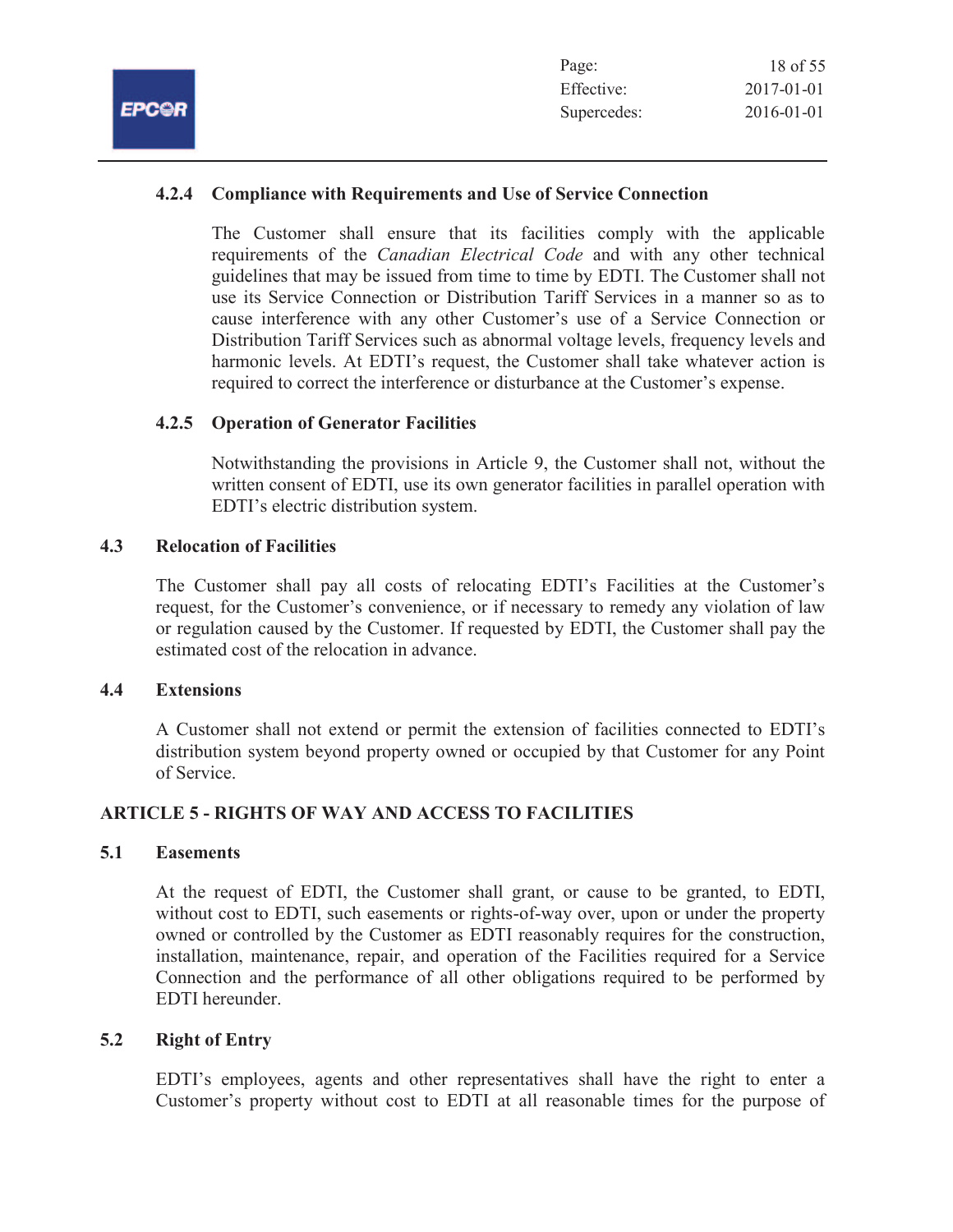| Page:       | 18 of 55         |
|-------------|------------------|
| Effective:  | $2017 - 01 - 01$ |
| Supercedes: | 2016-01-01       |

# **4.2.4 Compliance with Requirements and Use of Service Connection**

The Customer shall ensure that its facilities comply with the applicable requirements of the *Canadian Electrical Code* and with any other technical guidelines that may be issued from time to time by EDTI. The Customer shall not use its Service Connection or Distribution Tariff Services in a manner so as to cause interference with any other Customer's use of a Service Connection or Distribution Tariff Services such as abnormal voltage levels, frequency levels and harmonic levels. At EDTI's request, the Customer shall take whatever action is required to correct the interference or disturbance at the Customer's expense.

### **4.2.5 Operation of Generator Facilities**

Notwithstanding the provisions in Article 9, the Customer shall not, without the written consent of EDTI, use its own generator facilities in parallel operation with EDTI's electric distribution system.

#### **4.3 Relocation of Facilities**

The Customer shall pay all costs of relocating EDTI's Facilities at the Customer's request, for the Customer's convenience, or if necessary to remedy any violation of law or regulation caused by the Customer. If requested by EDTI, the Customer shall pay the estimated cost of the relocation in advance.

#### **4.4 Extensions**

A Customer shall not extend or permit the extension of facilities connected to EDTI's distribution system beyond property owned or occupied by that Customer for any Point of Service.

# **ARTICLE 5 - RIGHTS OF WAY AND ACCESS TO FACILITIES**

#### **5.1 Easements**

At the request of EDTI, the Customer shall grant, or cause to be granted, to EDTI, without cost to EDTI, such easements or rights-of-way over, upon or under the property owned or controlled by the Customer as EDTI reasonably requires for the construction, installation, maintenance, repair, and operation of the Facilities required for a Service Connection and the performance of all other obligations required to be performed by EDTI hereunder.

# **5.2 Right of Entry**

EDTI's employees, agents and other representatives shall have the right to enter a Customer's property without cost to EDTI at all reasonable times for the purpose of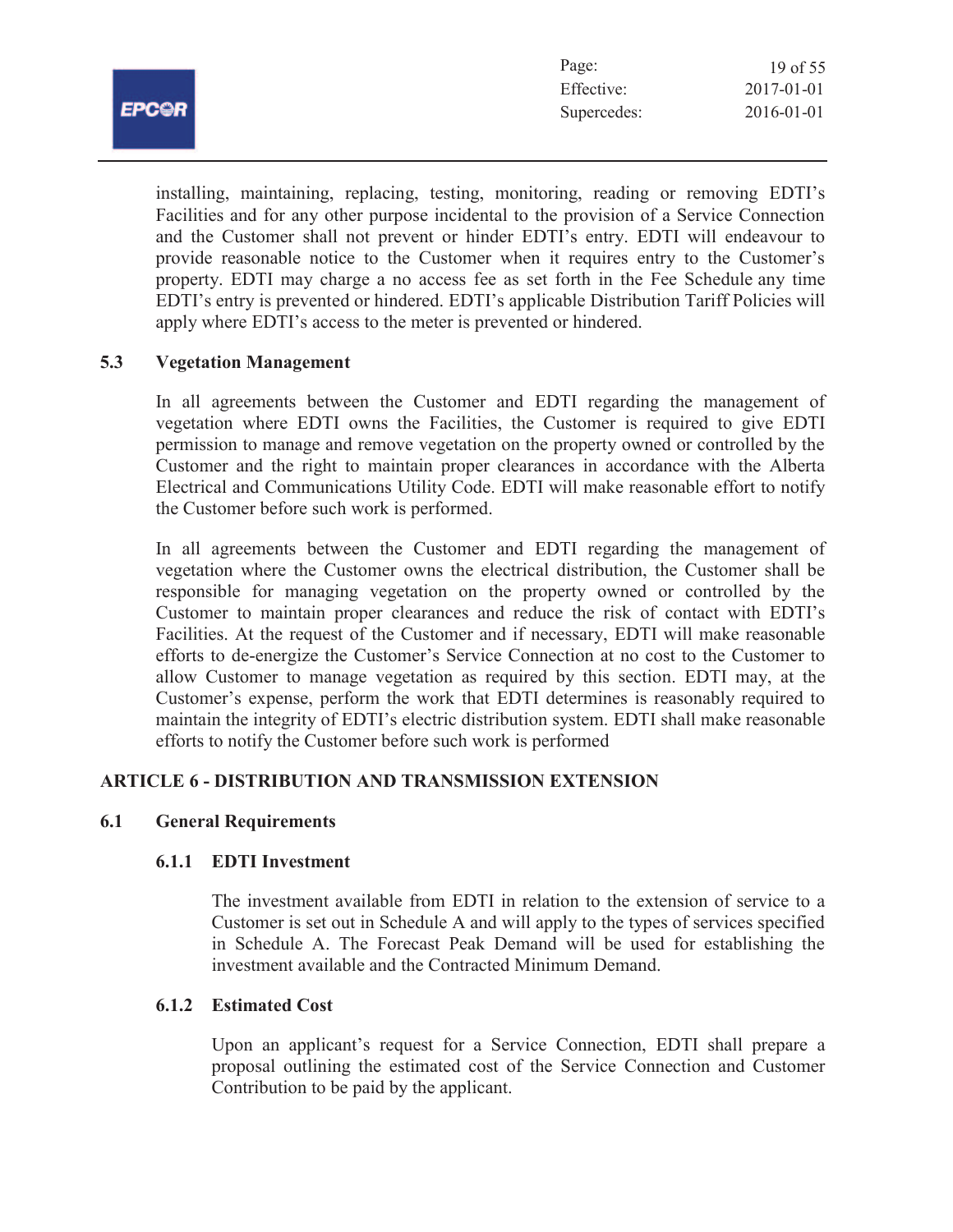| والتنا<br>. Р<br><b>STEP</b> |
|------------------------------|
|                              |

| Page:       | 19 of $55$       |
|-------------|------------------|
| Effective:  | $2017 - 01 - 01$ |
| Supercedes: | 2016-01-01       |

installing, maintaining, replacing, testing, monitoring, reading or removing EDTI's Facilities and for any other purpose incidental to the provision of a Service Connection and the Customer shall not prevent or hinder EDTI's entry. EDTI will endeavour to provide reasonable notice to the Customer when it requires entry to the Customer's property. EDTI may charge a no access fee as set forth in the Fee Schedule any time EDTI's entry is prevented or hindered. EDTI's applicable Distribution Tariff Policies will apply where EDTI's access to the meter is prevented or hindered.

# **5.3 Vegetation Management**

In all agreements between the Customer and EDTI regarding the management of vegetation where EDTI owns the Facilities, the Customer is required to give EDTI permission to manage and remove vegetation on the property owned or controlled by the Customer and the right to maintain proper clearances in accordance with the Alberta Electrical and Communications Utility Code. EDTI will make reasonable effort to notify the Customer before such work is performed.

In all agreements between the Customer and EDTI regarding the management of vegetation where the Customer owns the electrical distribution, the Customer shall be responsible for managing vegetation on the property owned or controlled by the Customer to maintain proper clearances and reduce the risk of contact with EDTI's Facilities. At the request of the Customer and if necessary, EDTI will make reasonable efforts to de-energize the Customer's Service Connection at no cost to the Customer to allow Customer to manage vegetation as required by this section. EDTI may, at the Customer's expense, perform the work that EDTI determines is reasonably required to maintain the integrity of EDTI's electric distribution system. EDTI shall make reasonable efforts to notify the Customer before such work is performed

# **ARTICLE 6 - DISTRIBUTION AND TRANSMISSION EXTENSION**

# **6.1 General Requirements**

# **6.1.1 EDTI Investment**

The investment available from EDTI in relation to the extension of service to a Customer is set out in Schedule A and will apply to the types of services specified in Schedule A. The Forecast Peak Demand will be used for establishing the investment available and the Contracted Minimum Demand.

#### **6.1.2 Estimated Cost**

Upon an applicant's request for a Service Connection, EDTI shall prepare a proposal outlining the estimated cost of the Service Connection and Customer Contribution to be paid by the applicant.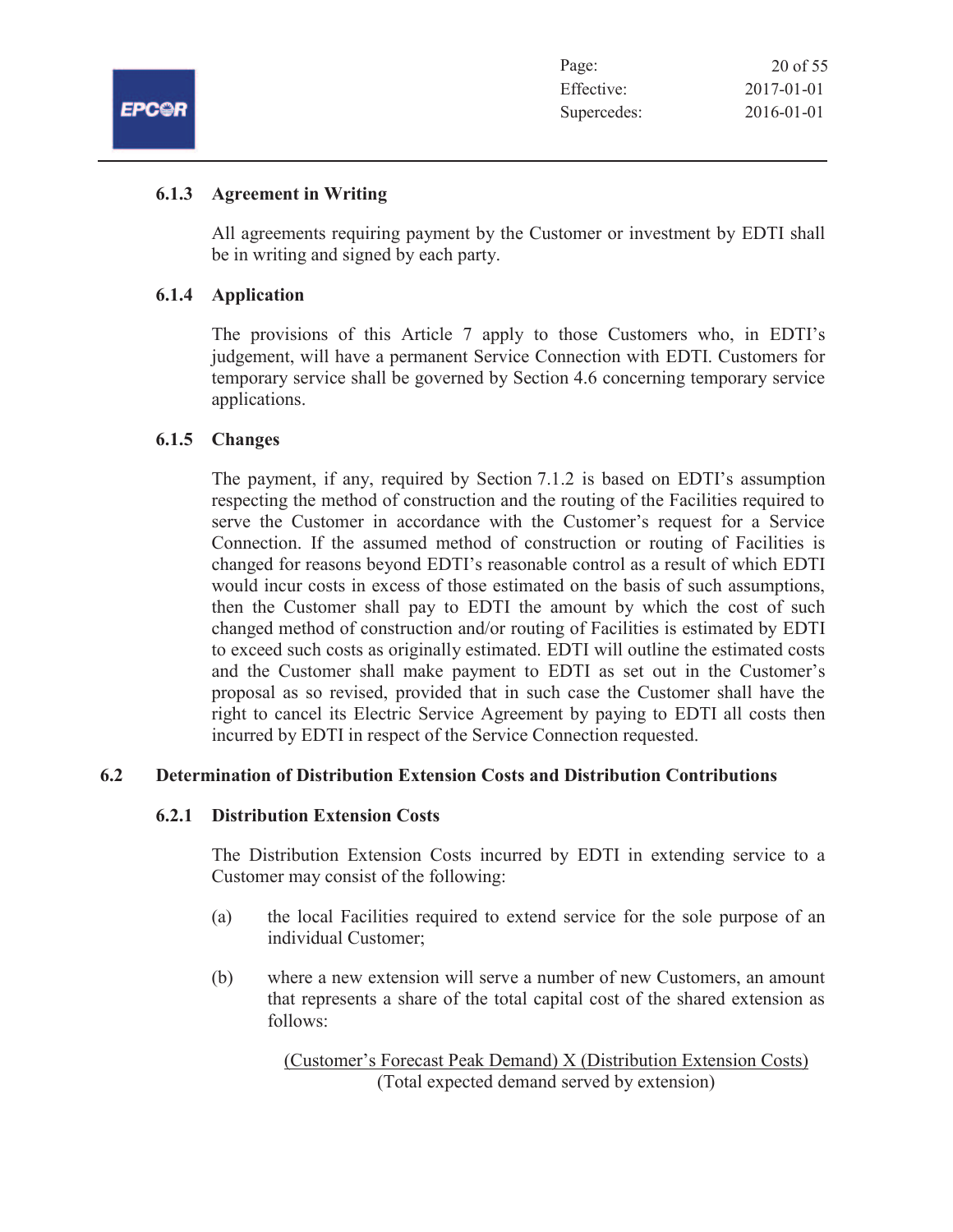

# **6.1.3 Agreement in Writing**

All agreements requiring payment by the Customer or investment by EDTI shall be in writing and signed by each party.

# **6.1.4 Application**

The provisions of this Article 7 apply to those Customers who, in EDTI's judgement, will have a permanent Service Connection with EDTI. Customers for temporary service shall be governed by Section 4.6 concerning temporary service applications.

### **6.1.5 Changes**

The payment, if any, required by Section 7.1.2 is based on EDTI's assumption respecting the method of construction and the routing of the Facilities required to serve the Customer in accordance with the Customer's request for a Service Connection. If the assumed method of construction or routing of Facilities is changed for reasons beyond EDTI's reasonable control as a result of which EDTI would incur costs in excess of those estimated on the basis of such assumptions, then the Customer shall pay to EDTI the amount by which the cost of such changed method of construction and/or routing of Facilities is estimated by EDTI to exceed such costs as originally estimated. EDTI will outline the estimated costs and the Customer shall make payment to EDTI as set out in the Customer's proposal as so revised, provided that in such case the Customer shall have the right to cancel its Electric Service Agreement by paying to EDTI all costs then incurred by EDTI in respect of the Service Connection requested.

# **6.2 Determination of Distribution Extension Costs and Distribution Contributions**

#### **6.2.1 Distribution Extension Costs**

The Distribution Extension Costs incurred by EDTI in extending service to a Customer may consist of the following:

- (a) the local Facilities required to extend service for the sole purpose of an individual Customer;
- (b) where a new extension will serve a number of new Customers, an amount that represents a share of the total capital cost of the shared extension as follows:

(Customer's Forecast Peak Demand) X (Distribution Extension Costs) (Total expected demand served by extension)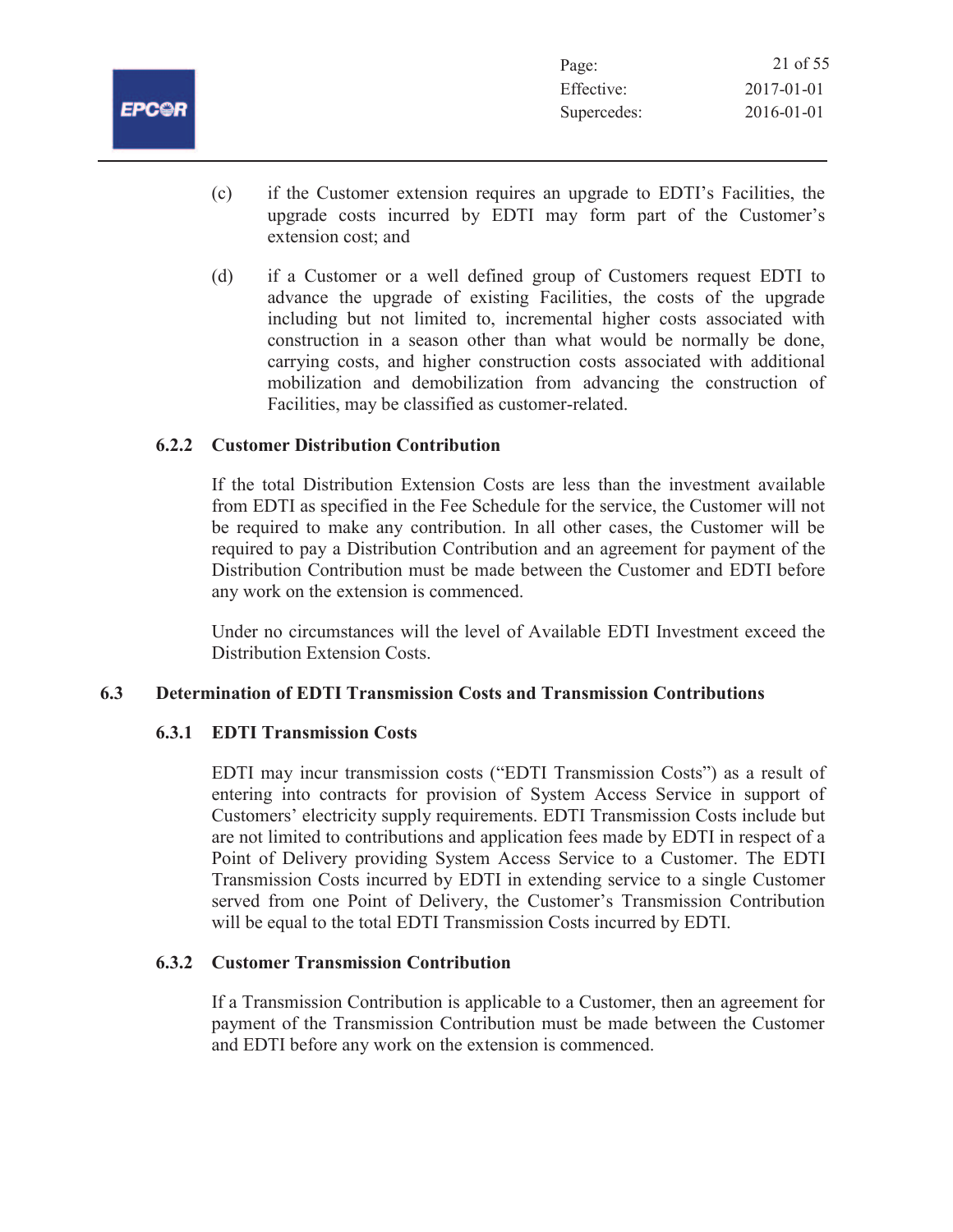| Page:       | 21 of 55   |
|-------------|------------|
| Effective:  | 2017-01-01 |
| Supercedes: | 2016-01-01 |

- (c) if the Customer extension requires an upgrade to EDTI's Facilities, the upgrade costs incurred by EDTI may form part of the Customer's extension cost; and
- (d) if a Customer or a well defined group of Customers request EDTI to advance the upgrade of existing Facilities, the costs of the upgrade including but not limited to, incremental higher costs associated with construction in a season other than what would be normally be done, carrying costs, and higher construction costs associated with additional mobilization and demobilization from advancing the construction of Facilities, may be classified as customer-related.

# **6.2.2 Customer Distribution Contribution**

If the total Distribution Extension Costs are less than the investment available from EDTI as specified in the Fee Schedule for the service, the Customer will not be required to make any contribution. In all other cases, the Customer will be required to pay a Distribution Contribution and an agreement for payment of the Distribution Contribution must be made between the Customer and EDTI before any work on the extension is commenced.

Under no circumstances will the level of Available EDTI Investment exceed the Distribution Extension Costs.

# **6.3 Determination of EDTI Transmission Costs and Transmission Contributions**

# **6.3.1 EDTI Transmission Costs**

EDTI may incur transmission costs ("EDTI Transmission Costs") as a result of entering into contracts for provision of System Access Service in support of Customers' electricity supply requirements. EDTI Transmission Costs include but are not limited to contributions and application fees made by EDTI in respect of a Point of Delivery providing System Access Service to a Customer. The EDTI Transmission Costs incurred by EDTI in extending service to a single Customer served from one Point of Delivery, the Customer's Transmission Contribution will be equal to the total EDTI Transmission Costs incurred by EDTI.

# **6.3.2 Customer Transmission Contribution**

If a Transmission Contribution is applicable to a Customer, then an agreement for payment of the Transmission Contribution must be made between the Customer and EDTI before any work on the extension is commenced.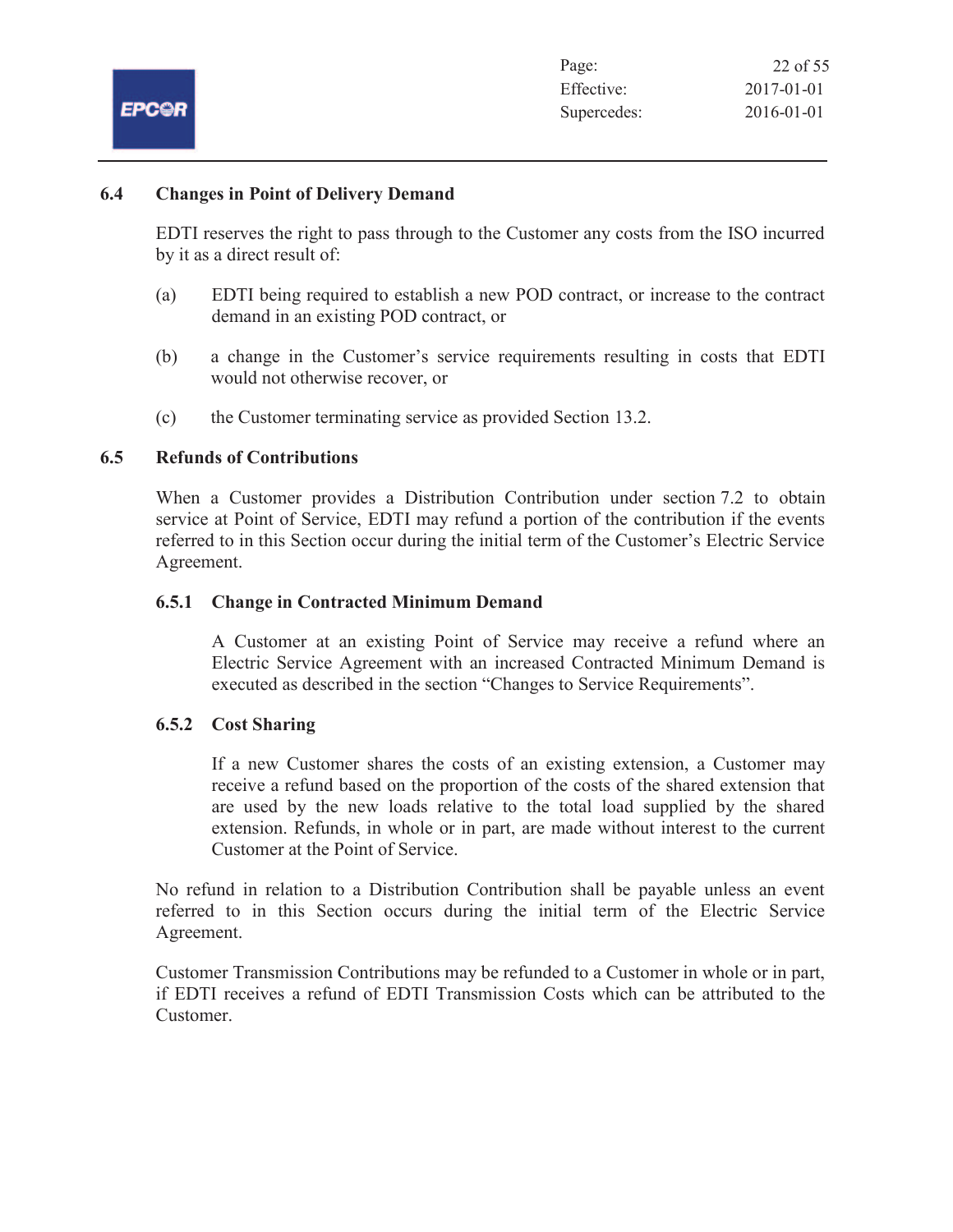

### **6.4 Changes in Point of Delivery Demand**

EDTI reserves the right to pass through to the Customer any costs from the ISO incurred by it as a direct result of:

- (a) EDTI being required to establish a new POD contract, or increase to the contract demand in an existing POD contract, or
- (b) a change in the Customer's service requirements resulting in costs that EDTI would not otherwise recover, or
- (c) the Customer terminating service as provided Section 13.2.

# **6.5 Refunds of Contributions**

When a Customer provides a Distribution Contribution under section 7.2 to obtain service at Point of Service, EDTI may refund a portion of the contribution if the events referred to in this Section occur during the initial term of the Customer's Electric Service Agreement.

### **6.5.1 Change in Contracted Minimum Demand**

A Customer at an existing Point of Service may receive a refund where an Electric Service Agreement with an increased Contracted Minimum Demand is executed as described in the section "Changes to Service Requirements".

# **6.5.2 Cost Sharing**

If a new Customer shares the costs of an existing extension, a Customer may receive a refund based on the proportion of the costs of the shared extension that are used by the new loads relative to the total load supplied by the shared extension. Refunds, in whole or in part, are made without interest to the current Customer at the Point of Service.

No refund in relation to a Distribution Contribution shall be payable unless an event referred to in this Section occurs during the initial term of the Electric Service Agreement.

Customer Transmission Contributions may be refunded to a Customer in whole or in part, if EDTI receives a refund of EDTI Transmission Costs which can be attributed to the Customer.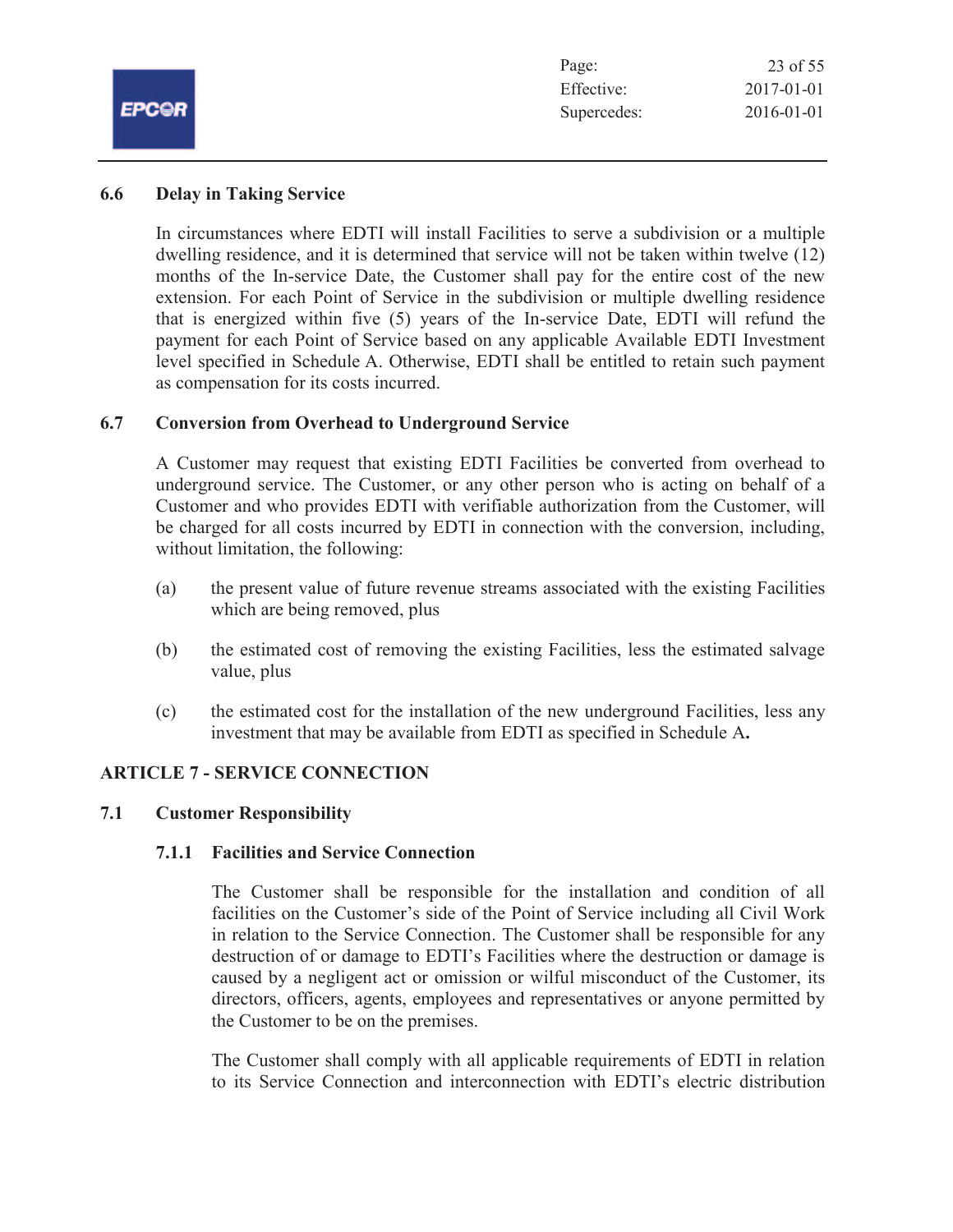|              | Page:       | 23 of 55   |
|--------------|-------------|------------|
|              | Effective:  | 2017-01-01 |
| <b>EPCOR</b> | Supercedes: | 2016-01-01 |
|              |             |            |

# **6.6 Delay in Taking Service**

In circumstances where EDTI will install Facilities to serve a subdivision or a multiple dwelling residence, and it is determined that service will not be taken within twelve (12) months of the In-service Date, the Customer shall pay for the entire cost of the new extension. For each Point of Service in the subdivision or multiple dwelling residence that is energized within five (5) years of the In-service Date, EDTI will refund the payment for each Point of Service based on any applicable Available EDTI Investment level specified in Schedule A. Otherwise, EDTI shall be entitled to retain such payment as compensation for its costs incurred.

# **6.7 Conversion from Overhead to Underground Service**

A Customer may request that existing EDTI Facilities be converted from overhead to underground service. The Customer, or any other person who is acting on behalf of a Customer and who provides EDTI with verifiable authorization from the Customer, will be charged for all costs incurred by EDTI in connection with the conversion, including, without limitation, the following:

- (a) the present value of future revenue streams associated with the existing Facilities which are being removed, plus
- (b) the estimated cost of removing the existing Facilities, less the estimated salvage value, plus
- (c) the estimated cost for the installation of the new underground Facilities, less any investment that may be available from EDTI as specified in Schedule A**.**

# **ARTICLE 7 - SERVICE CONNECTION**

# **7.1 Customer Responsibility**

# **7.1.1 Facilities and Service Connection**

The Customer shall be responsible for the installation and condition of all facilities on the Customer's side of the Point of Service including all Civil Work in relation to the Service Connection. The Customer shall be responsible for any destruction of or damage to EDTI's Facilities where the destruction or damage is caused by a negligent act or omission or wilful misconduct of the Customer, its directors, officers, agents, employees and representatives or anyone permitted by the Customer to be on the premises.

The Customer shall comply with all applicable requirements of EDTI in relation to its Service Connection and interconnection with EDTI's electric distribution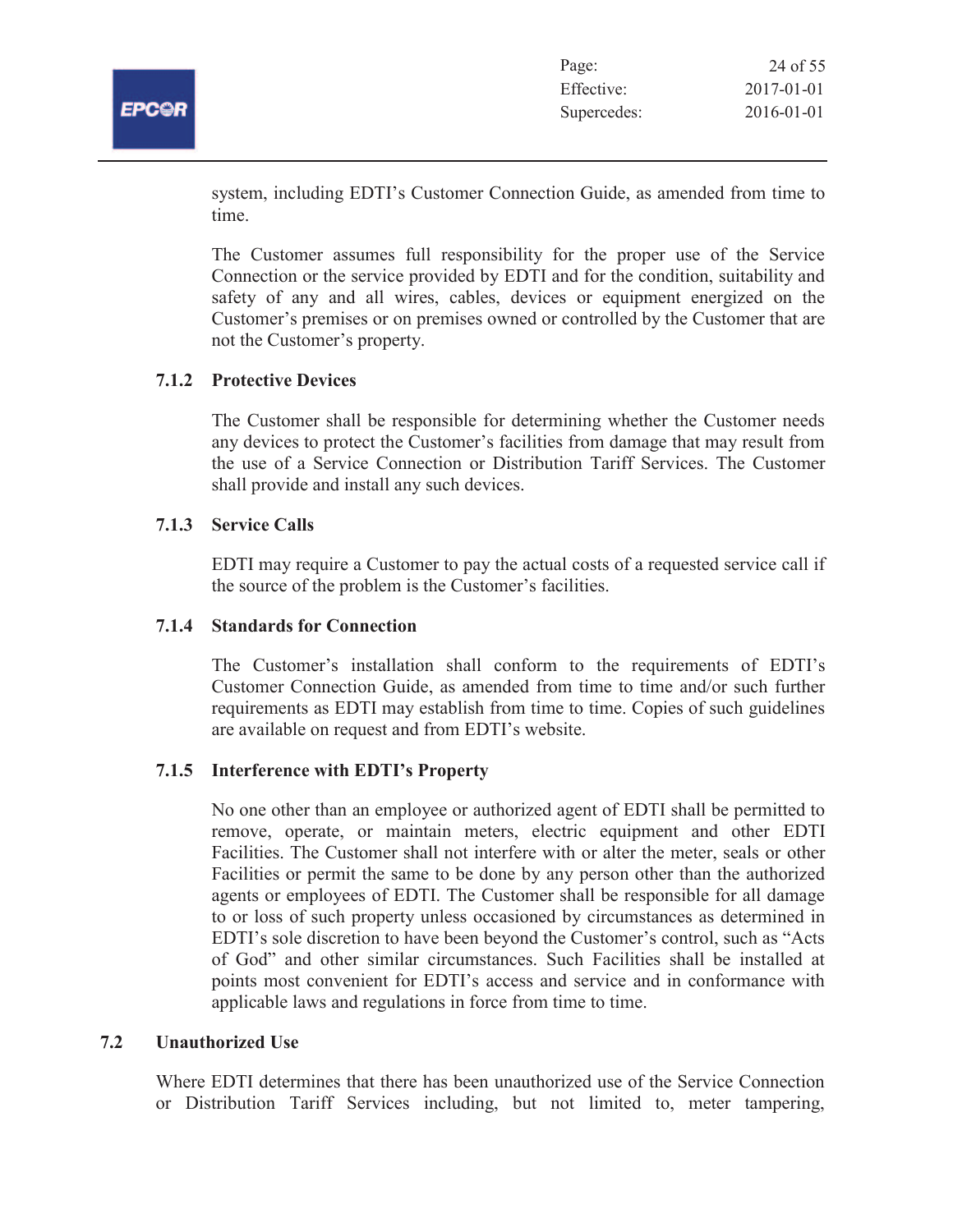

| Page:       | 24 of 55         |
|-------------|------------------|
| Effective:  | $2017 - 01 - 01$ |
| Supercedes: | $2016 - 01 - 01$ |

system, including EDTI's Customer Connection Guide, as amended from time to time.

The Customer assumes full responsibility for the proper use of the Service Connection or the service provided by EDTI and for the condition, suitability and safety of any and all wires, cables, devices or equipment energized on the Customer's premises or on premises owned or controlled by the Customer that are not the Customer's property.

# **7.1.2 Protective Devices**

The Customer shall be responsible for determining whether the Customer needs any devices to protect the Customer's facilities from damage that may result from the use of a Service Connection or Distribution Tariff Services. The Customer shall provide and install any such devices.

### **7.1.3 Service Calls**

EDTI may require a Customer to pay the actual costs of a requested service call if the source of the problem is the Customer's facilities.

### **7.1.4 Standards for Connection**

The Customer's installation shall conform to the requirements of EDTI's Customer Connection Guide, as amended from time to time and/or such further requirements as EDTI may establish from time to time. Copies of such guidelines are available on request and from EDTI's website.

# **7.1.5 Interference with EDTI's Property**

No one other than an employee or authorized agent of EDTI shall be permitted to remove, operate, or maintain meters, electric equipment and other EDTI Facilities. The Customer shall not interfere with or alter the meter, seals or other Facilities or permit the same to be done by any person other than the authorized agents or employees of EDTI. The Customer shall be responsible for all damage to or loss of such property unless occasioned by circumstances as determined in EDTI's sole discretion to have been beyond the Customer's control, such as "Acts of God" and other similar circumstances. Such Facilities shall be installed at points most convenient for EDTI's access and service and in conformance with applicable laws and regulations in force from time to time.

# **7.2 Unauthorized Use**

Where EDTI determines that there has been unauthorized use of the Service Connection or Distribution Tariff Services including, but not limited to, meter tampering,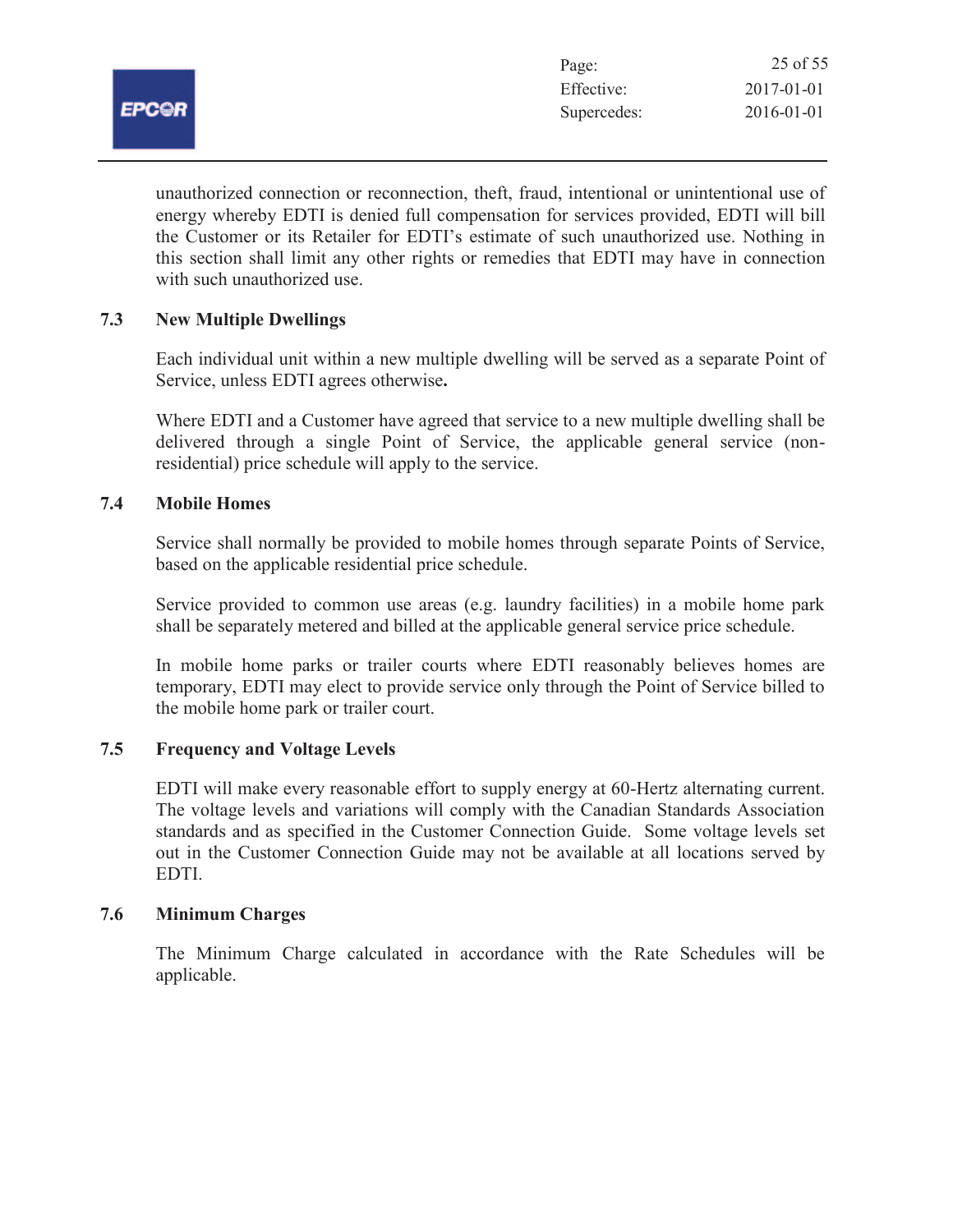

unauthorized connection or reconnection, theft, fraud, intentional or unintentional use of energy whereby EDTI is denied full compensation for services provided, EDTI will bill the Customer or its Retailer for EDTI's estimate of such unauthorized use. Nothing in this section shall limit any other rights or remedies that EDTI may have in connection with such unauthorized use.

# **7.3 New Multiple Dwellings**

Each individual unit within a new multiple dwelling will be served as a separate Point of Service, unless EDTI agrees otherwise**.**

Where EDTI and a Customer have agreed that service to a new multiple dwelling shall be delivered through a single Point of Service, the applicable general service (nonresidential) price schedule will apply to the service.

# **7.4 Mobile Homes**

Service shall normally be provided to mobile homes through separate Points of Service, based on the applicable residential price schedule.

Service provided to common use areas (e.g. laundry facilities) in a mobile home park shall be separately metered and billed at the applicable general service price schedule.

In mobile home parks or trailer courts where EDTI reasonably believes homes are temporary, EDTI may elect to provide service only through the Point of Service billed to the mobile home park or trailer court.

# **7.5 Frequency and Voltage Levels**

EDTI will make every reasonable effort to supply energy at 60-Hertz alternating current. The voltage levels and variations will comply with the Canadian Standards Association standards and as specified in the Customer Connection Guide. Some voltage levels set out in the Customer Connection Guide may not be available at all locations served by EDTI.

# **7.6 Minimum Charges**

The Minimum Charge calculated in accordance with the Rate Schedules will be applicable.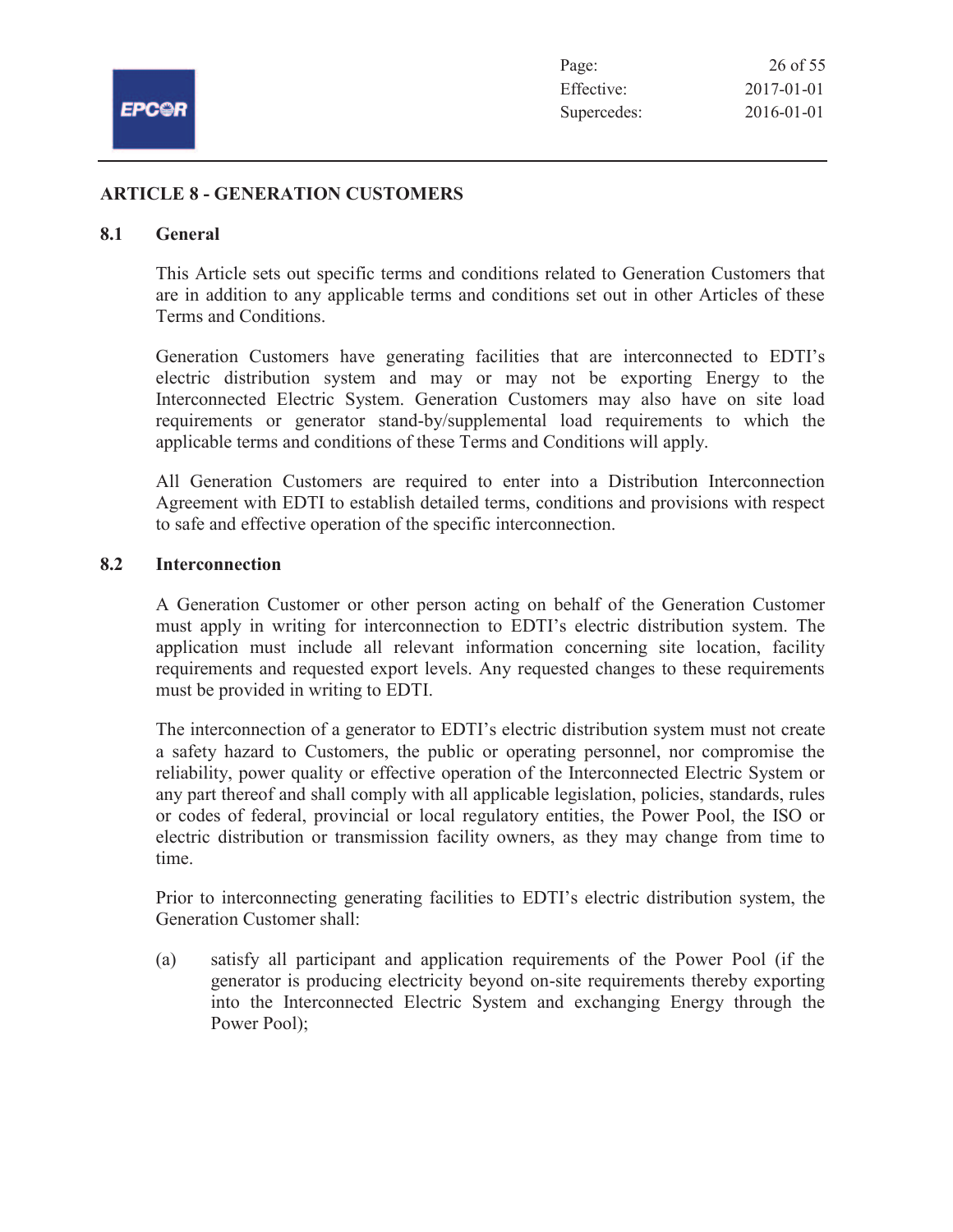

# **ARTICLE 8 - GENERATION CUSTOMERS**

#### **8.1 General**

This Article sets out specific terms and conditions related to Generation Customers that are in addition to any applicable terms and conditions set out in other Articles of these Terms and Conditions.

Generation Customers have generating facilities that are interconnected to EDTI's electric distribution system and may or may not be exporting Energy to the Interconnected Electric System. Generation Customers may also have on site load requirements or generator stand-by/supplemental load requirements to which the applicable terms and conditions of these Terms and Conditions will apply.

All Generation Customers are required to enter into a Distribution Interconnection Agreement with EDTI to establish detailed terms, conditions and provisions with respect to safe and effective operation of the specific interconnection.

# **8.2 Interconnection**

A Generation Customer or other person acting on behalf of the Generation Customer must apply in writing for interconnection to EDTI's electric distribution system. The application must include all relevant information concerning site location, facility requirements and requested export levels. Any requested changes to these requirements must be provided in writing to EDTI.

The interconnection of a generator to EDTI's electric distribution system must not create a safety hazard to Customers, the public or operating personnel, nor compromise the reliability, power quality or effective operation of the Interconnected Electric System or any part thereof and shall comply with all applicable legislation, policies, standards, rules or codes of federal, provincial or local regulatory entities, the Power Pool, the ISO or electric distribution or transmission facility owners, as they may change from time to time.

Prior to interconnecting generating facilities to EDTI's electric distribution system, the Generation Customer shall:

(a) satisfy all participant and application requirements of the Power Pool (if the generator is producing electricity beyond on-site requirements thereby exporting into the Interconnected Electric System and exchanging Energy through the Power Pool);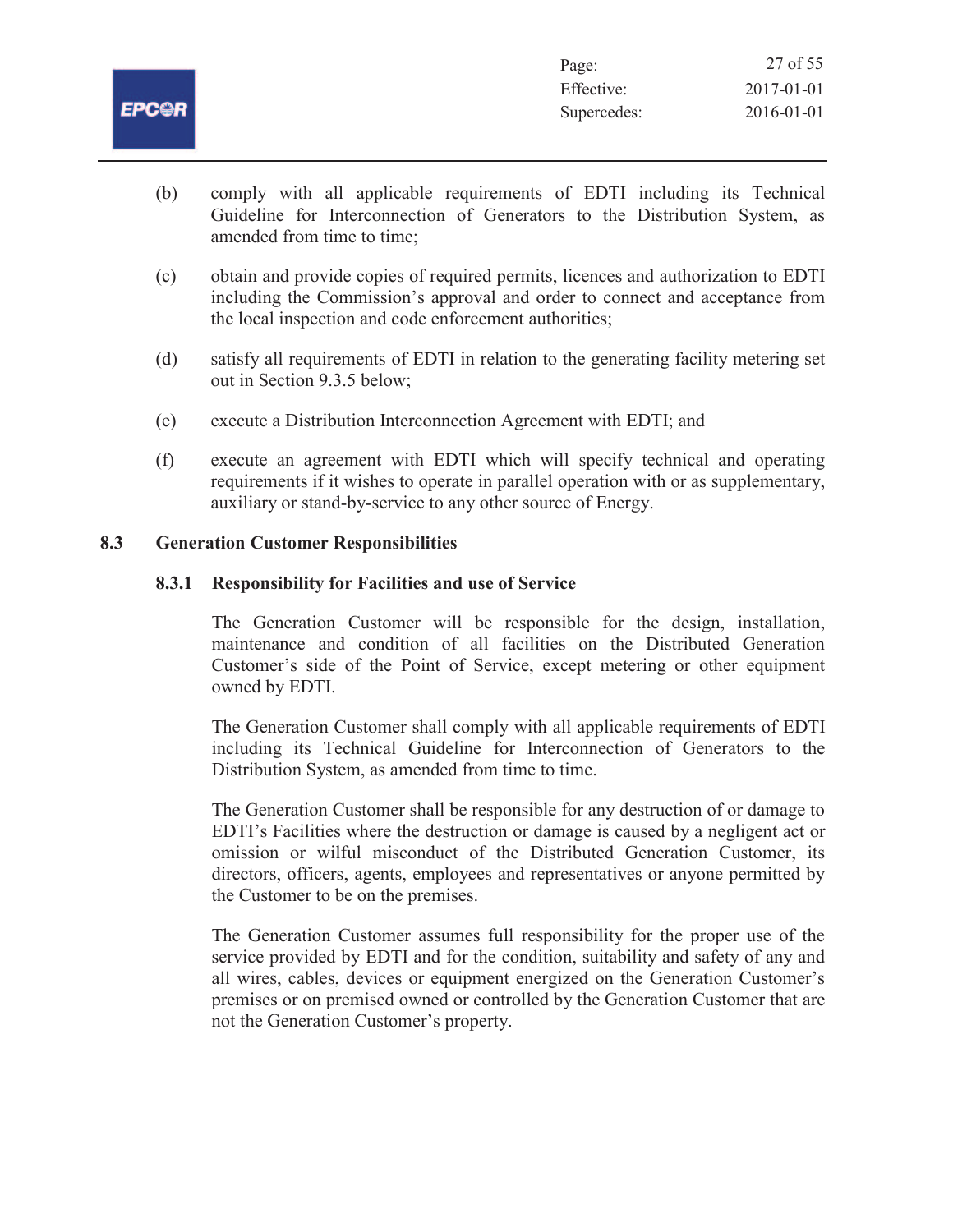

- (b) comply with all applicable requirements of EDTI including its Technical Guideline for Interconnection of Generators to the Distribution System, as amended from time to time;
- (c) obtain and provide copies of required permits, licences and authorization to EDTI including the Commission's approval and order to connect and acceptance from the local inspection and code enforcement authorities;
- (d) satisfy all requirements of EDTI in relation to the generating facility metering set out in Section 9.3.5 below;
- (e) execute a Distribution Interconnection Agreement with EDTI; and
- (f) execute an agreement with EDTI which will specify technical and operating requirements if it wishes to operate in parallel operation with or as supplementary, auxiliary or stand-by-service to any other source of Energy.

# **8.3 Generation Customer Responsibilities**

# **8.3.1 Responsibility for Facilities and use of Service**

The Generation Customer will be responsible for the design, installation, maintenance and condition of all facilities on the Distributed Generation Customer's side of the Point of Service, except metering or other equipment owned by EDTI.

The Generation Customer shall comply with all applicable requirements of EDTI including its Technical Guideline for Interconnection of Generators to the Distribution System, as amended from time to time.

The Generation Customer shall be responsible for any destruction of or damage to EDTI's Facilities where the destruction or damage is caused by a negligent act or omission or wilful misconduct of the Distributed Generation Customer, its directors, officers, agents, employees and representatives or anyone permitted by the Customer to be on the premises.

The Generation Customer assumes full responsibility for the proper use of the service provided by EDTI and for the condition, suitability and safety of any and all wires, cables, devices or equipment energized on the Generation Customer's premises or on premised owned or controlled by the Generation Customer that are not the Generation Customer's property.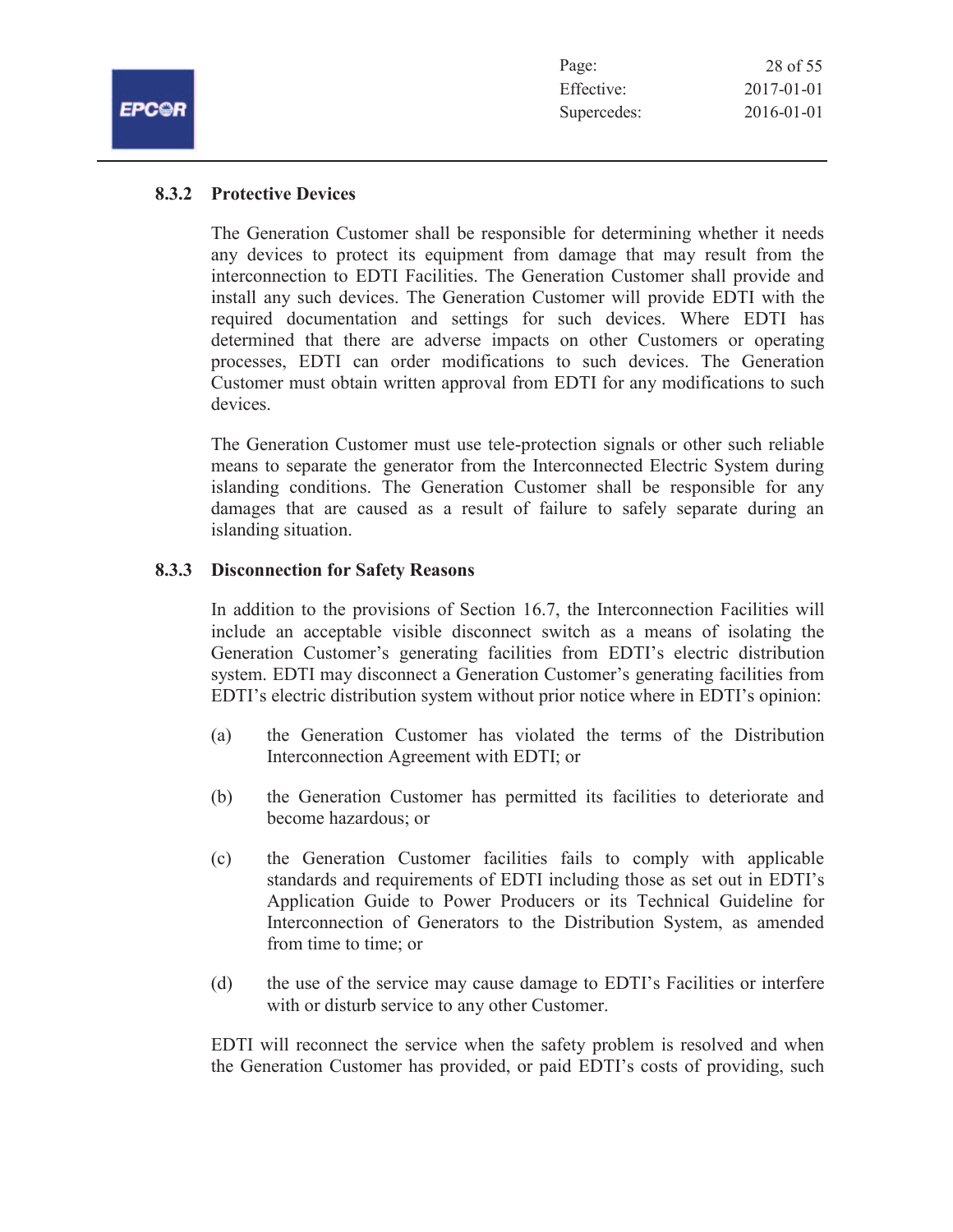| Page:       | 28 of 55         |
|-------------|------------------|
| Effective:  | $2017 - 01 - 01$ |
| Supercedes: | $2016 - 01 - 01$ |

FPCOF

# **8.3.2 Protective Devices**

The Generation Customer shall be responsible for determining whether it needs any devices to protect its equipment from damage that may result from the interconnection to EDTI Facilities. The Generation Customer shall provide and install any such devices. The Generation Customer will provide EDTI with the required documentation and settings for such devices. Where EDTI has determined that there are adverse impacts on other Customers or operating processes, EDTI can order modifications to such devices. The Generation Customer must obtain written approval from EDTI for any modifications to such devices.

The Generation Customer must use tele-protection signals or other such reliable means to separate the generator from the Interconnected Electric System during islanding conditions. The Generation Customer shall be responsible for any damages that are caused as a result of failure to safely separate during an islanding situation.

# **8.3.3 Disconnection for Safety Reasons**

In addition to the provisions of Section 16.7, the Interconnection Facilities will include an acceptable visible disconnect switch as a means of isolating the Generation Customer's generating facilities from EDTI's electric distribution system. EDTI may disconnect a Generation Customer's generating facilities from EDTI's electric distribution system without prior notice where in EDTI's opinion:

- (a) the Generation Customer has violated the terms of the Distribution Interconnection Agreement with EDTI; or
- (b) the Generation Customer has permitted its facilities to deteriorate and become hazardous; or
- (c) the Generation Customer facilities fails to comply with applicable standards and requirements of EDTI including those as set out in EDTI's Application Guide to Power Producers or its Technical Guideline for Interconnection of Generators to the Distribution System, as amended from time to time; or
- (d) the use of the service may cause damage to EDTI's Facilities or interfere with or disturb service to any other Customer.

EDTI will reconnect the service when the safety problem is resolved and when the Generation Customer has provided, or paid EDTI's costs of providing, such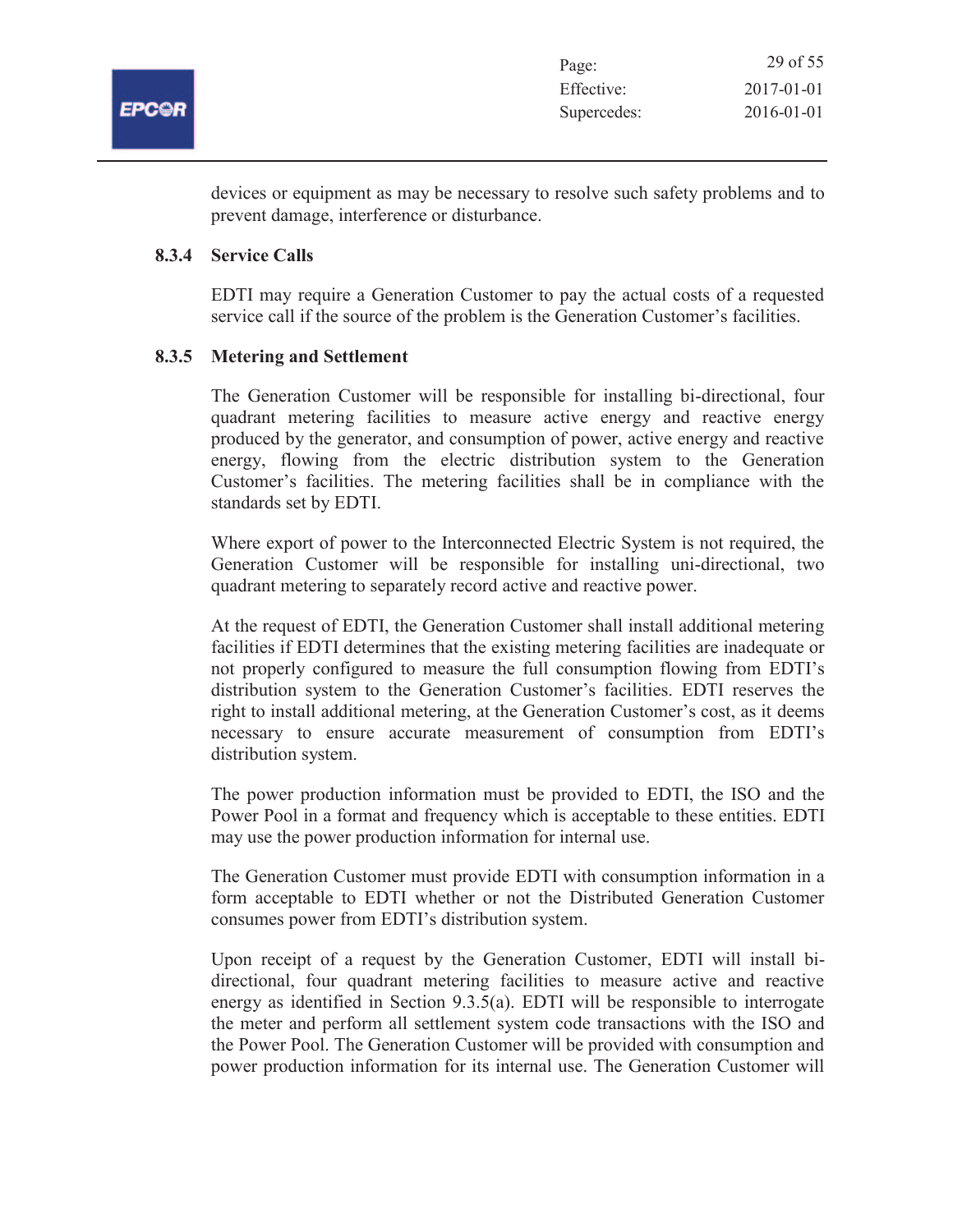

devices or equipment as may be necessary to resolve such safety problems and to prevent damage, interference or disturbance.

#### **8.3.4 Service Calls**

EDTI may require a Generation Customer to pay the actual costs of a requested service call if the source of the problem is the Generation Customer's facilities.

### **8.3.5 Metering and Settlement**

The Generation Customer will be responsible for installing bi-directional, four quadrant metering facilities to measure active energy and reactive energy produced by the generator, and consumption of power, active energy and reactive energy, flowing from the electric distribution system to the Generation Customer's facilities. The metering facilities shall be in compliance with the standards set by EDTI.

Where export of power to the Interconnected Electric System is not required, the Generation Customer will be responsible for installing uni-directional, two quadrant metering to separately record active and reactive power.

At the request of EDTI, the Generation Customer shall install additional metering facilities if EDTI determines that the existing metering facilities are inadequate or not properly configured to measure the full consumption flowing from EDTI's distribution system to the Generation Customer's facilities. EDTI reserves the right to install additional metering, at the Generation Customer's cost, as it deems necessary to ensure accurate measurement of consumption from EDTI's distribution system.

The power production information must be provided to EDTI, the ISO and the Power Pool in a format and frequency which is acceptable to these entities. EDTI may use the power production information for internal use.

The Generation Customer must provide EDTI with consumption information in a form acceptable to EDTI whether or not the Distributed Generation Customer consumes power from EDTI's distribution system.

Upon receipt of a request by the Generation Customer, EDTI will install bidirectional, four quadrant metering facilities to measure active and reactive energy as identified in Section 9.3.5(a). EDTI will be responsible to interrogate the meter and perform all settlement system code transactions with the ISO and the Power Pool. The Generation Customer will be provided with consumption and power production information for its internal use. The Generation Customer will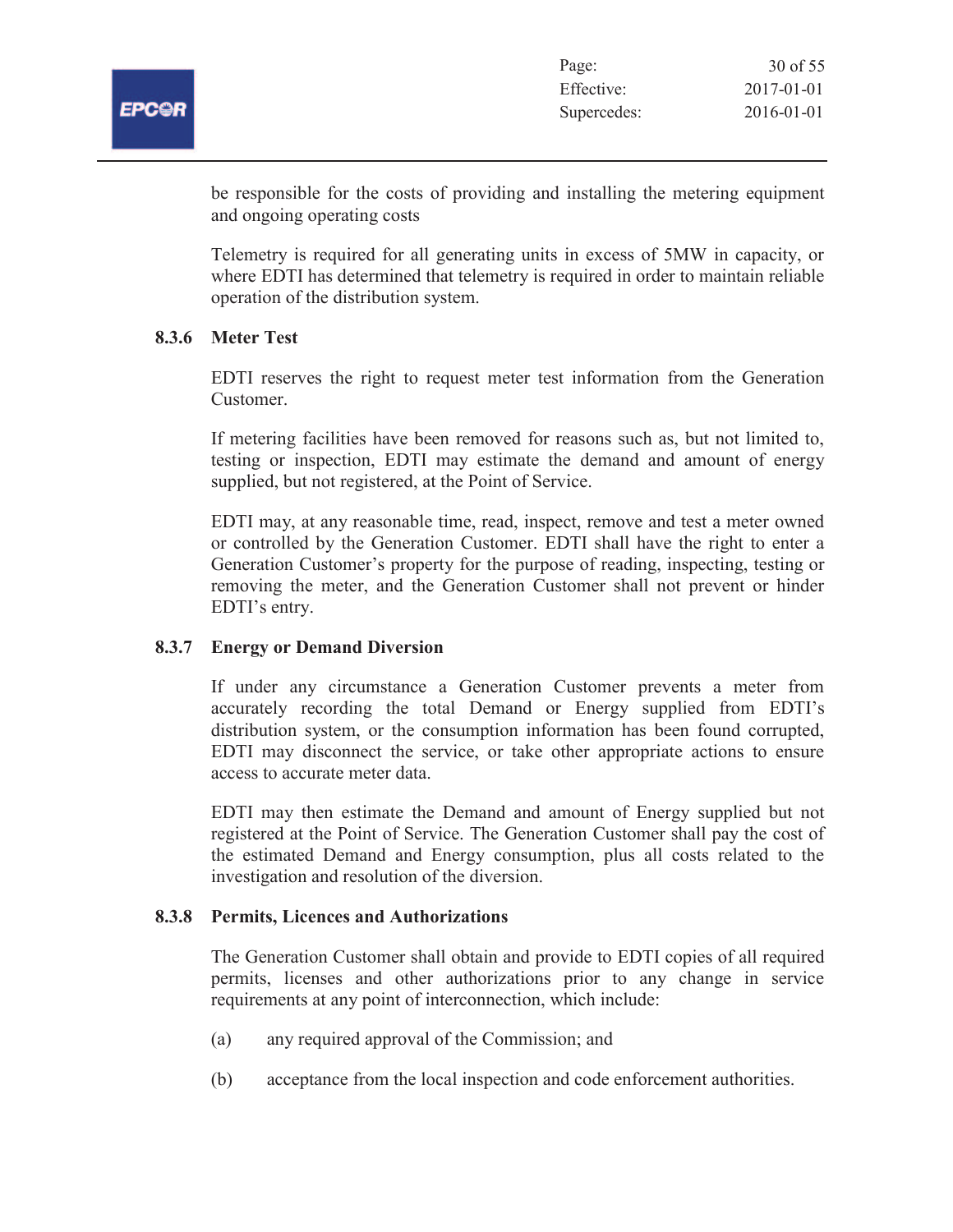

| Page:       | 30 of 55         |
|-------------|------------------|
| Effective:  | 2017-01-01       |
| Supercedes: | $2016 - 01 - 01$ |

be responsible for the costs of providing and installing the metering equipment and ongoing operating costs

Telemetry is required for all generating units in excess of 5MW in capacity, or where EDTI has determined that telemetry is required in order to maintain reliable operation of the distribution system.

# **8.3.6 Meter Test**

EDTI reserves the right to request meter test information from the Generation Customer.

If metering facilities have been removed for reasons such as, but not limited to, testing or inspection, EDTI may estimate the demand and amount of energy supplied, but not registered, at the Point of Service.

EDTI may, at any reasonable time, read, inspect, remove and test a meter owned or controlled by the Generation Customer. EDTI shall have the right to enter a Generation Customer's property for the purpose of reading, inspecting, testing or removing the meter, and the Generation Customer shall not prevent or hinder EDTI's entry.

# **8.3.7 Energy or Demand Diversion**

If under any circumstance a Generation Customer prevents a meter from accurately recording the total Demand or Energy supplied from EDTI's distribution system, or the consumption information has been found corrupted, EDTI may disconnect the service, or take other appropriate actions to ensure access to accurate meter data.

EDTI may then estimate the Demand and amount of Energy supplied but not registered at the Point of Service. The Generation Customer shall pay the cost of the estimated Demand and Energy consumption, plus all costs related to the investigation and resolution of the diversion.

#### **8.3.8 Permits, Licences and Authorizations**

The Generation Customer shall obtain and provide to EDTI copies of all required permits, licenses and other authorizations prior to any change in service requirements at any point of interconnection, which include:

- (a) any required approval of the Commission; and
- (b) acceptance from the local inspection and code enforcement authorities.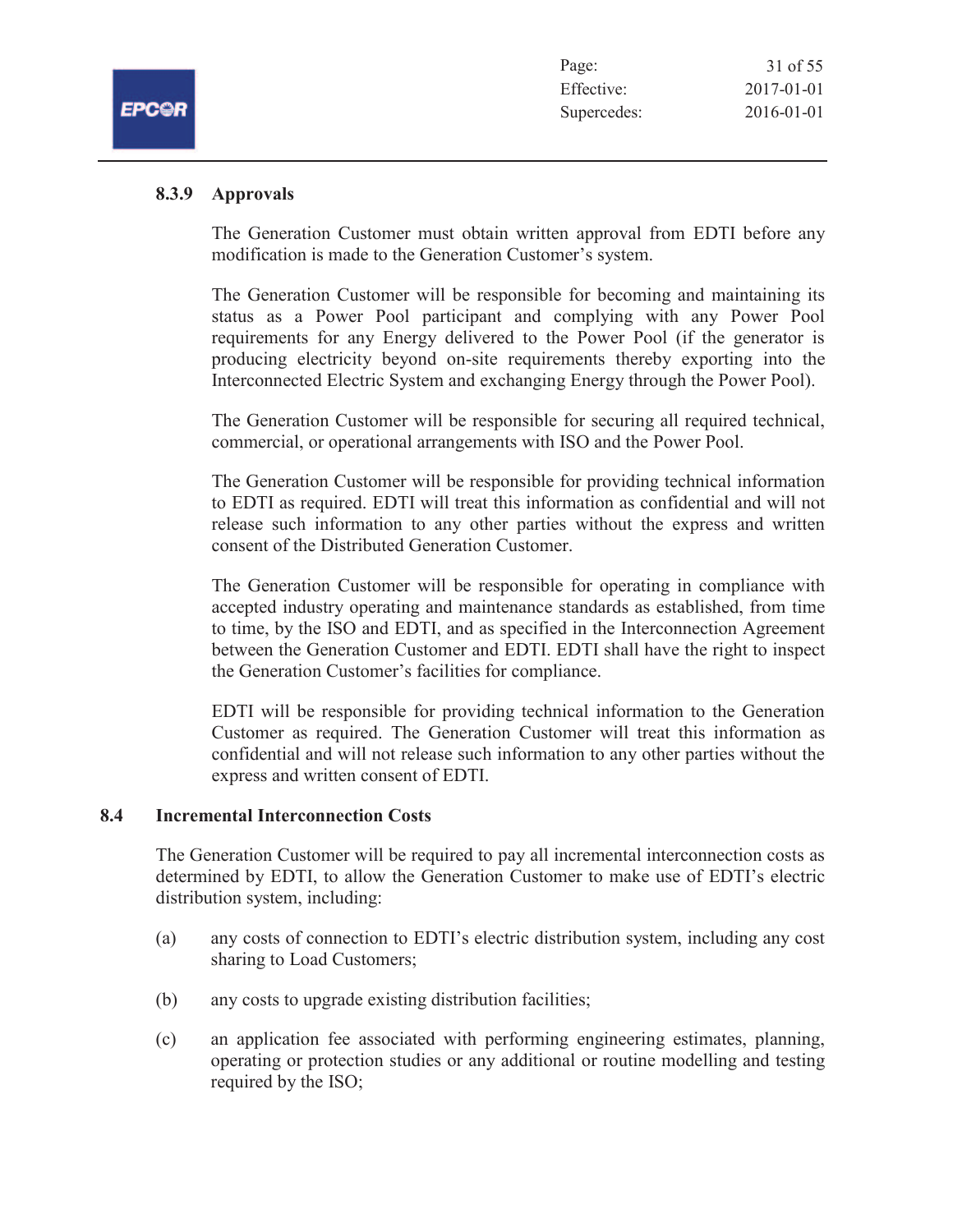| Page:       | 31 of 55         |
|-------------|------------------|
| Effective:  | $2017 - 01 - 01$ |
| Supercedes: | 2016-01-01       |

### **8.3.9 Approvals**

The Generation Customer must obtain written approval from EDTI before any modification is made to the Generation Customer's system.

The Generation Customer will be responsible for becoming and maintaining its status as a Power Pool participant and complying with any Power Pool requirements for any Energy delivered to the Power Pool (if the generator is producing electricity beyond on-site requirements thereby exporting into the Interconnected Electric System and exchanging Energy through the Power Pool).

The Generation Customer will be responsible for securing all required technical, commercial, or operational arrangements with ISO and the Power Pool.

The Generation Customer will be responsible for providing technical information to EDTI as required. EDTI will treat this information as confidential and will not release such information to any other parties without the express and written consent of the Distributed Generation Customer.

The Generation Customer will be responsible for operating in compliance with accepted industry operating and maintenance standards as established, from time to time, by the ISO and EDTI, and as specified in the Interconnection Agreement between the Generation Customer and EDTI. EDTI shall have the right to inspect the Generation Customer's facilities for compliance.

EDTI will be responsible for providing technical information to the Generation Customer as required. The Generation Customer will treat this information as confidential and will not release such information to any other parties without the express and written consent of EDTI.

# **8.4 Incremental Interconnection Costs**

The Generation Customer will be required to pay all incremental interconnection costs as determined by EDTI, to allow the Generation Customer to make use of EDTI's electric distribution system, including:

- (a) any costs of connection to EDTI's electric distribution system, including any cost sharing to Load Customers;
- (b) any costs to upgrade existing distribution facilities;
- (c) an application fee associated with performing engineering estimates, planning, operating or protection studies or any additional or routine modelling and testing required by the ISO;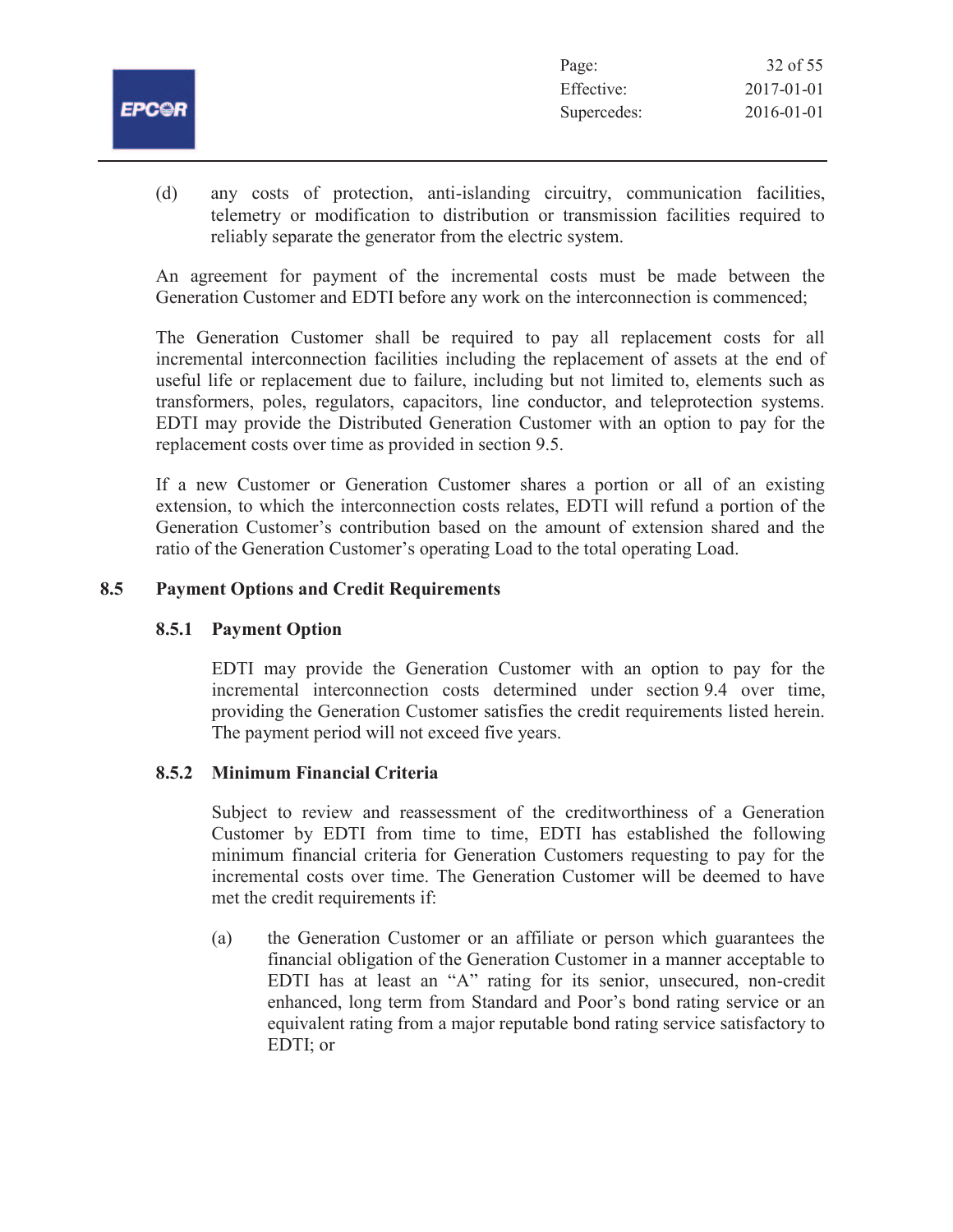|              | Page:       | 32 of 55   |
|--------------|-------------|------------|
|              | Effective:  | 2017-01-01 |
| <b>EPCOR</b> | Supercedes: | 2016-01-01 |
|              |             |            |

(d) any costs of protection, anti-islanding circuitry, communication facilities, telemetry or modification to distribution or transmission facilities required to reliably separate the generator from the electric system.

An agreement for payment of the incremental costs must be made between the Generation Customer and EDTI before any work on the interconnection is commenced;

The Generation Customer shall be required to pay all replacement costs for all incremental interconnection facilities including the replacement of assets at the end of useful life or replacement due to failure, including but not limited to, elements such as transformers, poles, regulators, capacitors, line conductor, and teleprotection systems. EDTI may provide the Distributed Generation Customer with an option to pay for the replacement costs over time as provided in section 9.5.

If a new Customer or Generation Customer shares a portion or all of an existing extension, to which the interconnection costs relates, EDTI will refund a portion of the Generation Customer's contribution based on the amount of extension shared and the ratio of the Generation Customer's operating Load to the total operating Load.

# **8.5 Payment Options and Credit Requirements**

# **8.5.1 Payment Option**

EDTI may provide the Generation Customer with an option to pay for the incremental interconnection costs determined under section 9.4 over time, providing the Generation Customer satisfies the credit requirements listed herein. The payment period will not exceed five years.

# **8.5.2 Minimum Financial Criteria**

Subject to review and reassessment of the creditworthiness of a Generation Customer by EDTI from time to time, EDTI has established the following minimum financial criteria for Generation Customers requesting to pay for the incremental costs over time. The Generation Customer will be deemed to have met the credit requirements if:

(a) the Generation Customer or an affiliate or person which guarantees the financial obligation of the Generation Customer in a manner acceptable to EDTI has at least an "A" rating for its senior, unsecured, non-credit enhanced, long term from Standard and Poor's bond rating service or an equivalent rating from a major reputable bond rating service satisfactory to EDTI; or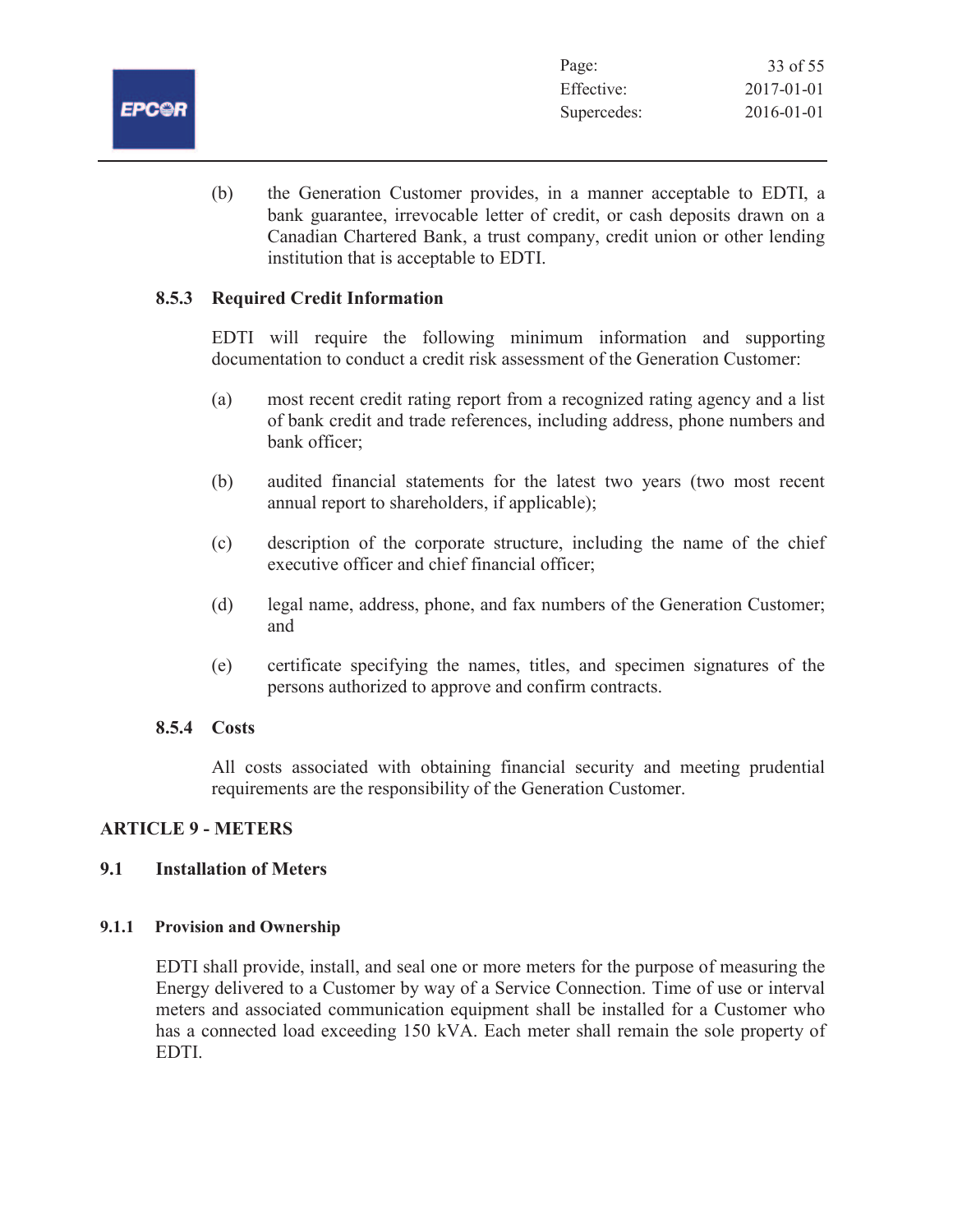

(b) the Generation Customer provides, in a manner acceptable to EDTI, a bank guarantee, irrevocable letter of credit, or cash deposits drawn on a Canadian Chartered Bank, a trust company, credit union or other lending institution that is acceptable to EDTI.

# **8.5.3 Required Credit Information**

EDTI will require the following minimum information and supporting documentation to conduct a credit risk assessment of the Generation Customer:

- (a) most recent credit rating report from a recognized rating agency and a list of bank credit and trade references, including address, phone numbers and bank officer;
- (b) audited financial statements for the latest two years (two most recent annual report to shareholders, if applicable);
- (c) description of the corporate structure, including the name of the chief executive officer and chief financial officer;
- (d) legal name, address, phone, and fax numbers of the Generation Customer; and
- (e) certificate specifying the names, titles, and specimen signatures of the persons authorized to approve and confirm contracts.

# **8.5.4 Costs**

All costs associated with obtaining financial security and meeting prudential requirements are the responsibility of the Generation Customer.

# **ARTICLE 9 - METERS**

# **9.1 Installation of Meters**

# **9.1.1 Provision and Ownership**

EDTI shall provide, install, and seal one or more meters for the purpose of measuring the Energy delivered to a Customer by way of a Service Connection. Time of use or interval meters and associated communication equipment shall be installed for a Customer who has a connected load exceeding 150 kVA. Each meter shall remain the sole property of EDTI.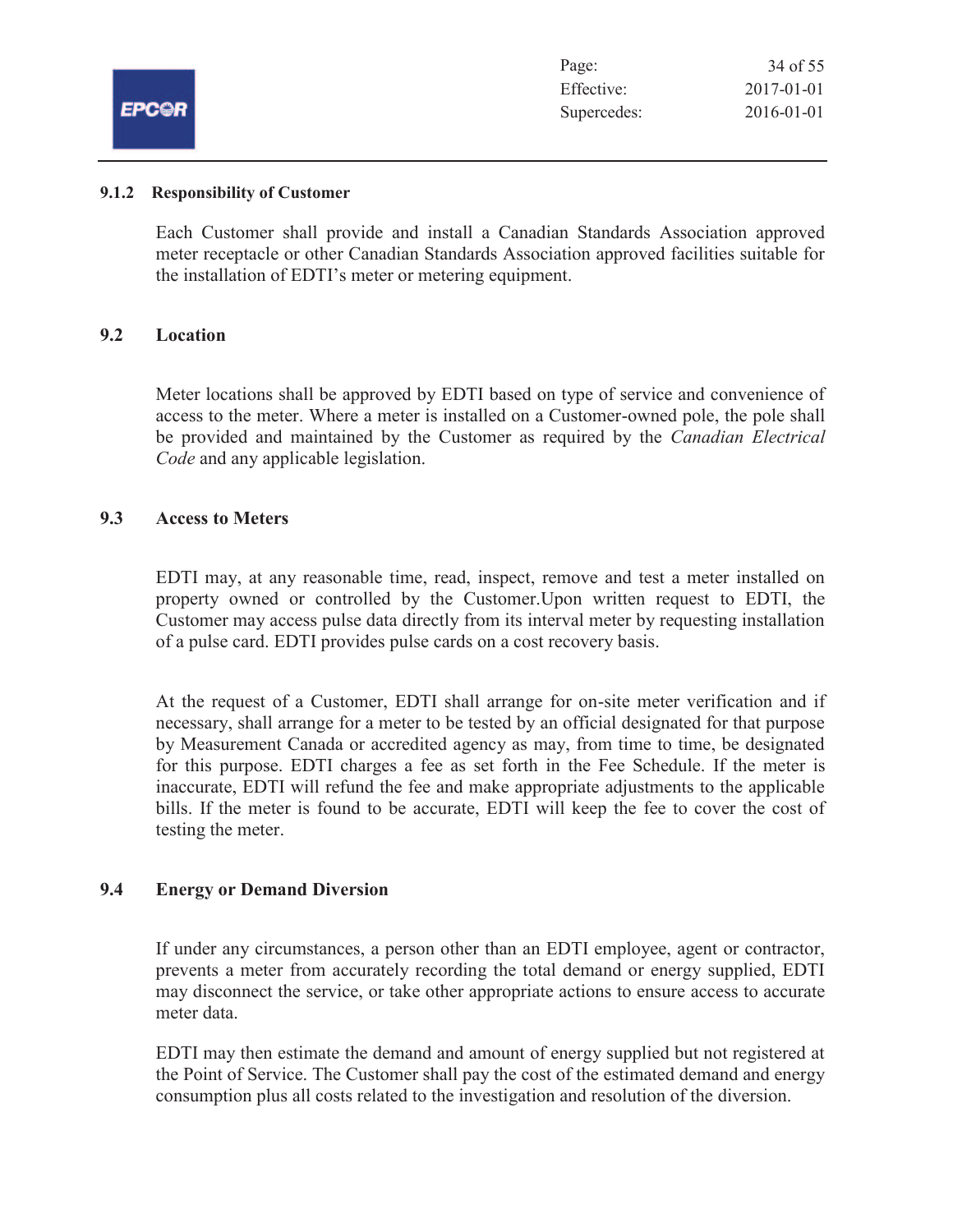|              | Page:       | 34 of 55   |
|--------------|-------------|------------|
|              | Effective:  | 2017-01-01 |
| <b>EPCOR</b> | Supercedes: | 2016-01-01 |
|              |             |            |

#### **9.1.2 Responsibility of Customer**

Each Customer shall provide and install a Canadian Standards Association approved meter receptacle or other Canadian Standards Association approved facilities suitable for the installation of EDTI's meter or metering equipment.

# **9.2 Location**

Meter locations shall be approved by EDTI based on type of service and convenience of access to the meter. Where a meter is installed on a Customer-owned pole, the pole shall be provided and maintained by the Customer as required by the *Canadian Electrical Code* and any applicable legislation.

### **9.3 Access to Meters**

EDTI may, at any reasonable time, read, inspect, remove and test a meter installed on property owned or controlled by the Customer.Upon written request to EDTI, the Customer may access pulse data directly from its interval meter by requesting installation of a pulse card. EDTI provides pulse cards on a cost recovery basis.

At the request of a Customer, EDTI shall arrange for on-site meter verification and if necessary, shall arrange for a meter to be tested by an official designated for that purpose by Measurement Canada or accredited agency as may, from time to time, be designated for this purpose. EDTI charges a fee as set forth in the Fee Schedule. If the meter is inaccurate, EDTI will refund the fee and make appropriate adjustments to the applicable bills. If the meter is found to be accurate, EDTI will keep the fee to cover the cost of testing the meter.

# **9.4 Energy or Demand Diversion**

If under any circumstances, a person other than an EDTI employee, agent or contractor, prevents a meter from accurately recording the total demand or energy supplied, EDTI may disconnect the service, or take other appropriate actions to ensure access to accurate meter data.

EDTI may then estimate the demand and amount of energy supplied but not registered at the Point of Service. The Customer shall pay the cost of the estimated demand and energy consumption plus all costs related to the investigation and resolution of the diversion.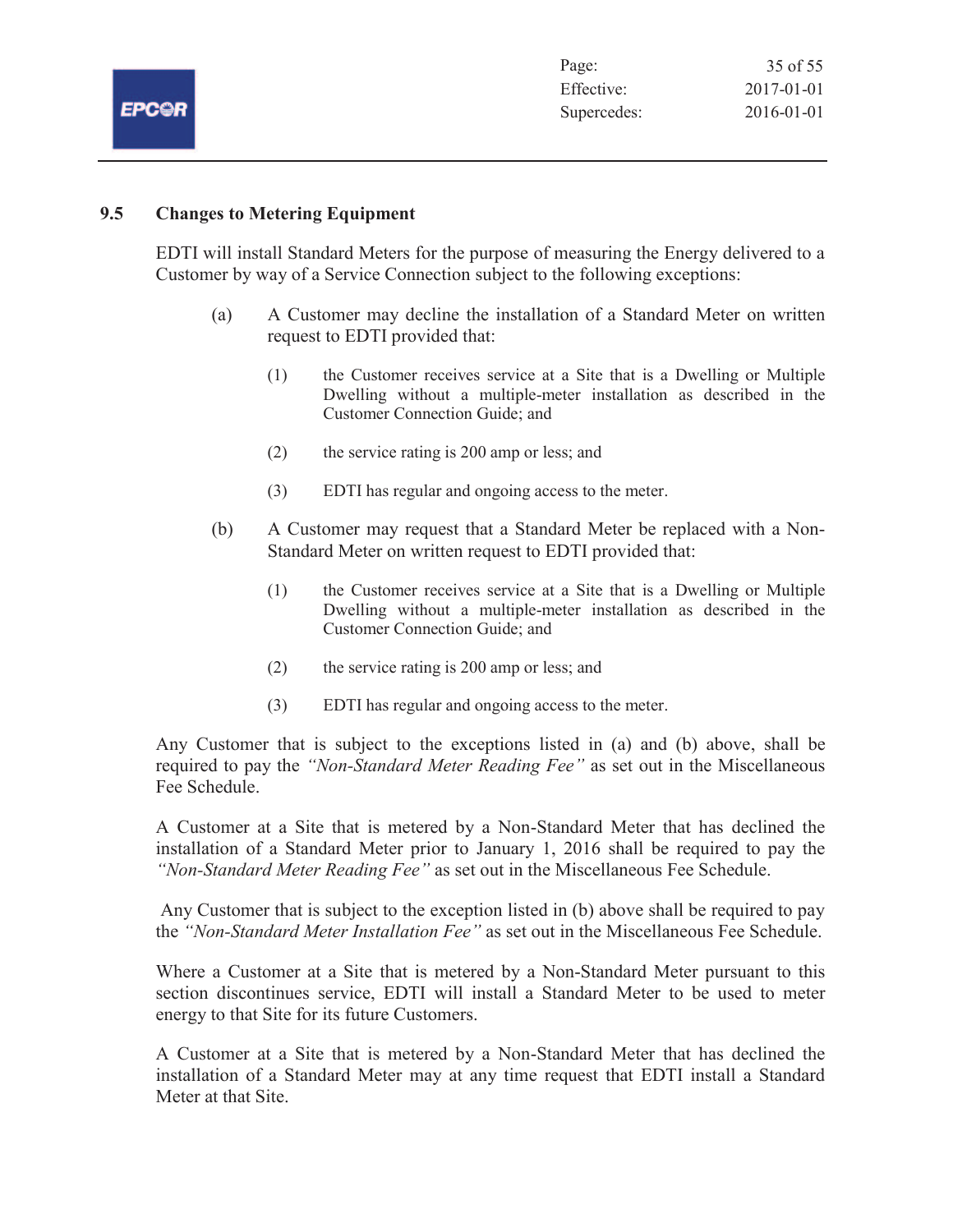|              | Page:       | 35 of 55         |
|--------------|-------------|------------------|
|              | Effective:  | 2017-01-01       |
| <b>EPC@R</b> | Supercedes: | $2016 - 01 - 01$ |
|              |             |                  |

# **9.5 Changes to Metering Equipment**

EDTI will install Standard Meters for the purpose of measuring the Energy delivered to a Customer by way of a Service Connection subject to the following exceptions:

- (a) A Customer may decline the installation of a Standard Meter on written request to EDTI provided that:
	- (1) the Customer receives service at a Site that is a Dwelling or Multiple Dwelling without a multiple-meter installation as described in the Customer Connection Guide; and
	- (2) the service rating is 200 amp or less; and
	- (3) EDTI has regular and ongoing access to the meter.
- (b) A Customer may request that a Standard Meter be replaced with a Non-Standard Meter on written request to EDTI provided that:
	- (1) the Customer receives service at a Site that is a Dwelling or Multiple Dwelling without a multiple-meter installation as described in the Customer Connection Guide; and
	- (2) the service rating is 200 amp or less; and
	- (3) EDTI has regular and ongoing access to the meter.

Any Customer that is subject to the exceptions listed in (a) and (b) above, shall be required to pay the *"Non-Standard Meter Reading Fee"* as set out in the Miscellaneous Fee Schedule.

A Customer at a Site that is metered by a Non-Standard Meter that has declined the installation of a Standard Meter prior to January 1, 2016 shall be required to pay the *"Non-Standard Meter Reading Fee"* as set out in the Miscellaneous Fee Schedule.

 Any Customer that is subject to the exception listed in (b) above shall be required to pay the *"Non-Standard Meter Installation Fee"* as set out in the Miscellaneous Fee Schedule.

Where a Customer at a Site that is metered by a Non-Standard Meter pursuant to this section discontinues service, EDTI will install a Standard Meter to be used to meter energy to that Site for its future Customers.

A Customer at a Site that is metered by a Non-Standard Meter that has declined the installation of a Standard Meter may at any time request that EDTI install a Standard Meter at that Site.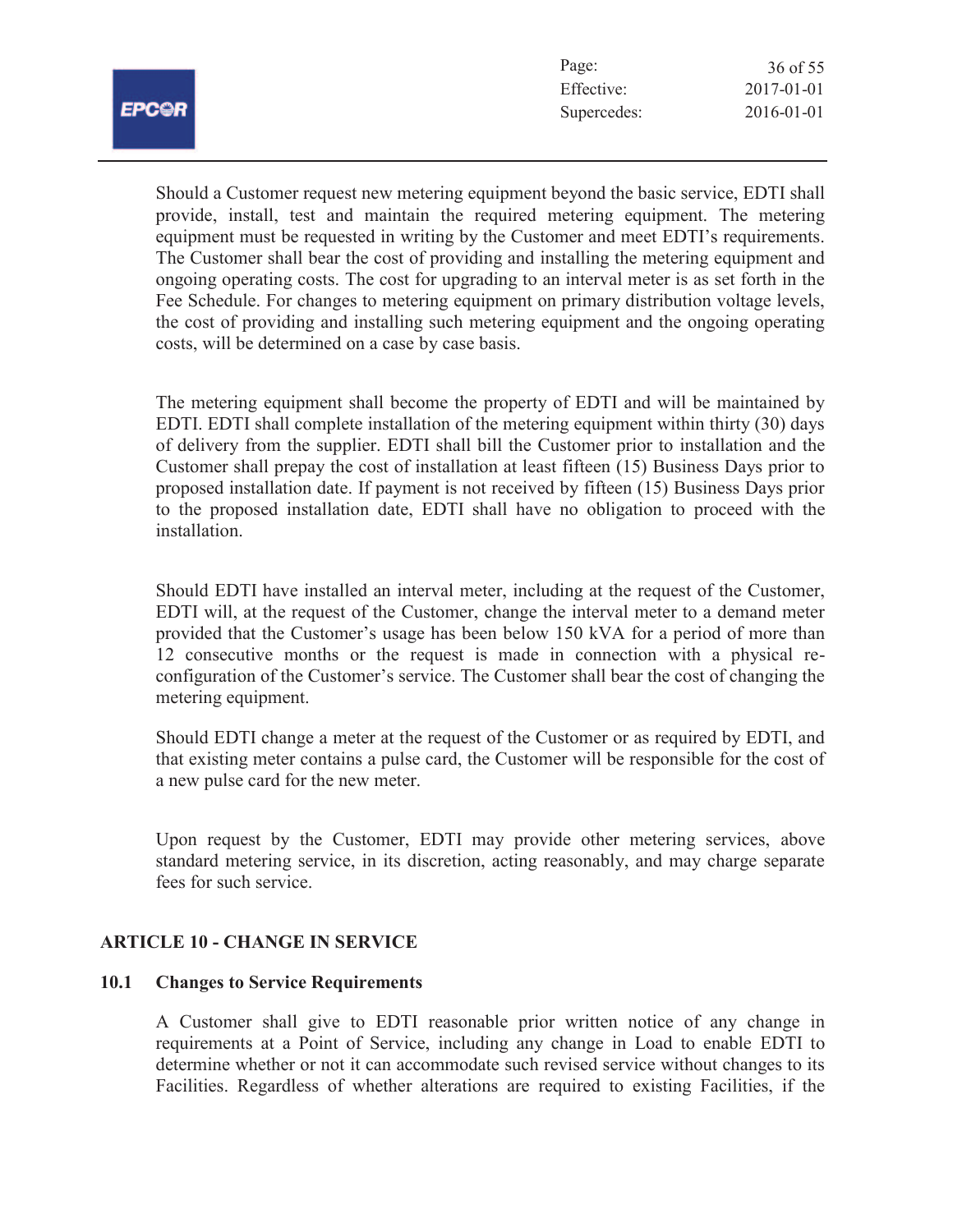| Page:       | 36 of 55         |
|-------------|------------------|
| Effective:  | $2017 - 01 - 01$ |
| Supercedes: | $2016 - 01 - 01$ |

Should a Customer request new metering equipment beyond the basic service, EDTI shall provide, install, test and maintain the required metering equipment. The metering equipment must be requested in writing by the Customer and meet EDTI's requirements. The Customer shall bear the cost of providing and installing the metering equipment and ongoing operating costs. The cost for upgrading to an interval meter is as set forth in the Fee Schedule. For changes to metering equipment on primary distribution voltage levels, the cost of providing and installing such metering equipment and the ongoing operating costs, will be determined on a case by case basis.

The metering equipment shall become the property of EDTI and will be maintained by EDTI. EDTI shall complete installation of the metering equipment within thirty (30) days of delivery from the supplier. EDTI shall bill the Customer prior to installation and the Customer shall prepay the cost of installation at least fifteen (15) Business Days prior to proposed installation date. If payment is not received by fifteen (15) Business Days prior to the proposed installation date, EDTI shall have no obligation to proceed with the installation.

Should EDTI have installed an interval meter, including at the request of the Customer, EDTI will, at the request of the Customer, change the interval meter to a demand meter provided that the Customer's usage has been below 150 kVA for a period of more than 12 consecutive months or the request is made in connection with a physical reconfiguration of the Customer's service. The Customer shall bear the cost of changing the metering equipment.

Should EDTI change a meter at the request of the Customer or as required by EDTI, and that existing meter contains a pulse card, the Customer will be responsible for the cost of a new pulse card for the new meter.

Upon request by the Customer, EDTI may provide other metering services, above standard metering service, in its discretion, acting reasonably, and may charge separate fees for such service.

# **ARTICLE 10 - CHANGE IN SERVICE**

# **10.1 Changes to Service Requirements**

A Customer shall give to EDTI reasonable prior written notice of any change in requirements at a Point of Service, including any change in Load to enable EDTI to determine whether or not it can accommodate such revised service without changes to its Facilities. Regardless of whether alterations are required to existing Facilities, if the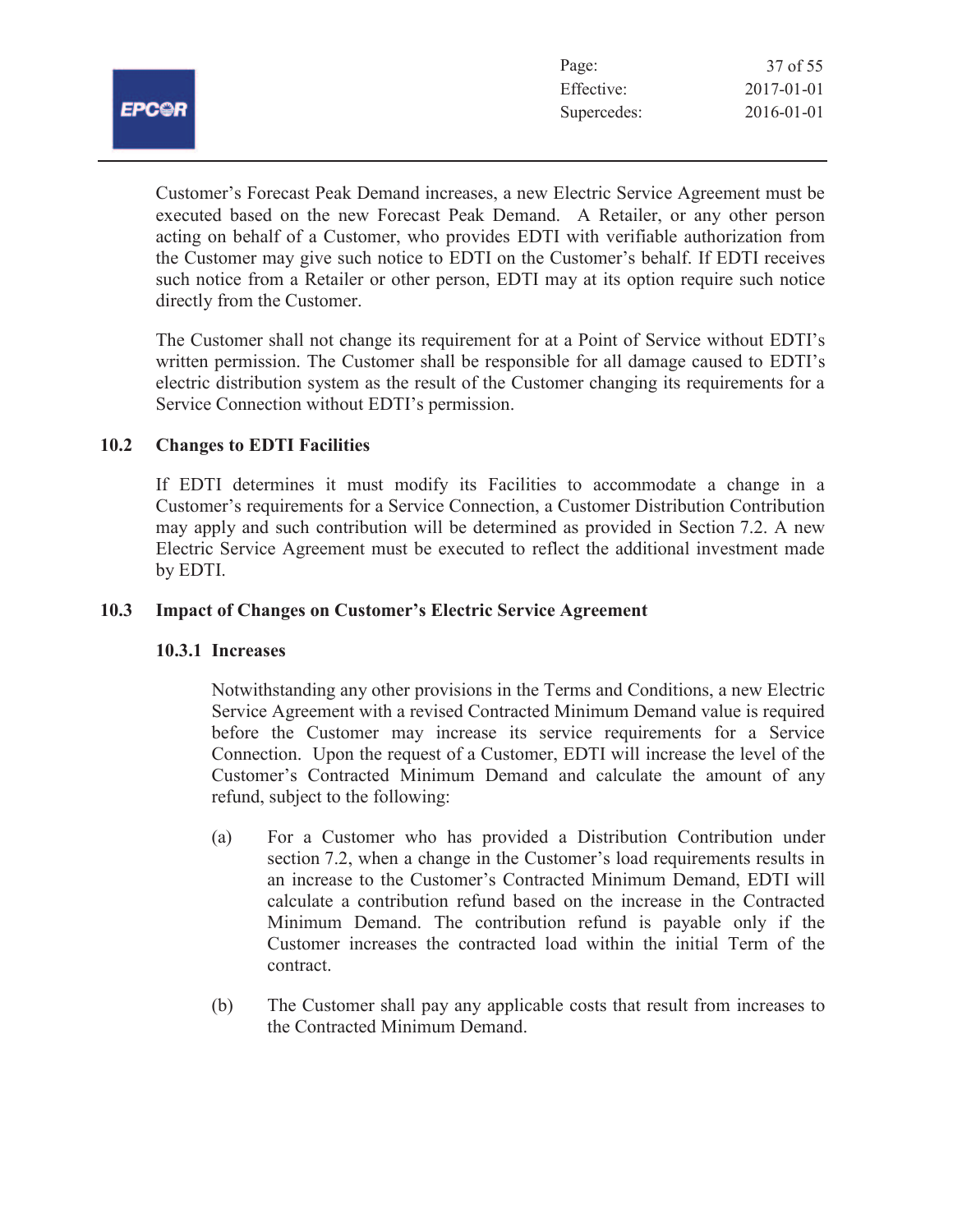| יי<br>د روپ |  |
|-------------|--|

| Page:       | 37 of 55         |
|-------------|------------------|
| Effective:  | $2017 - 01 - 01$ |
| Supercedes: | $2016 - 01 - 01$ |

Customer's Forecast Peak Demand increases, a new Electric Service Agreement must be executed based on the new Forecast Peak Demand. A Retailer, or any other person acting on behalf of a Customer, who provides EDTI with verifiable authorization from the Customer may give such notice to EDTI on the Customer's behalf. If EDTI receives such notice from a Retailer or other person, EDTI may at its option require such notice directly from the Customer.

The Customer shall not change its requirement for at a Point of Service without EDTI's written permission. The Customer shall be responsible for all damage caused to EDTI's electric distribution system as the result of the Customer changing its requirements for a Service Connection without EDTI's permission.

# **10.2 Changes to EDTI Facilities**

If EDTI determines it must modify its Facilities to accommodate a change in a Customer's requirements for a Service Connection, a Customer Distribution Contribution may apply and such contribution will be determined as provided in Section 7.2. A new Electric Service Agreement must be executed to reflect the additional investment made by EDTI.

### **10.3 Impact of Changes on Customer's Electric Service Agreement**

# **10.3.1 Increases**

Notwithstanding any other provisions in the Terms and Conditions, a new Electric Service Agreement with a revised Contracted Minimum Demand value is required before the Customer may increase its service requirements for a Service Connection. Upon the request of a Customer, EDTI will increase the level of the Customer's Contracted Minimum Demand and calculate the amount of any refund, subject to the following:

- (a) For a Customer who has provided a Distribution Contribution under section 7.2, when a change in the Customer's load requirements results in an increase to the Customer's Contracted Minimum Demand, EDTI will calculate a contribution refund based on the increase in the Contracted Minimum Demand. The contribution refund is payable only if the Customer increases the contracted load within the initial Term of the contract.
- (b) The Customer shall pay any applicable costs that result from increases to the Contracted Minimum Demand.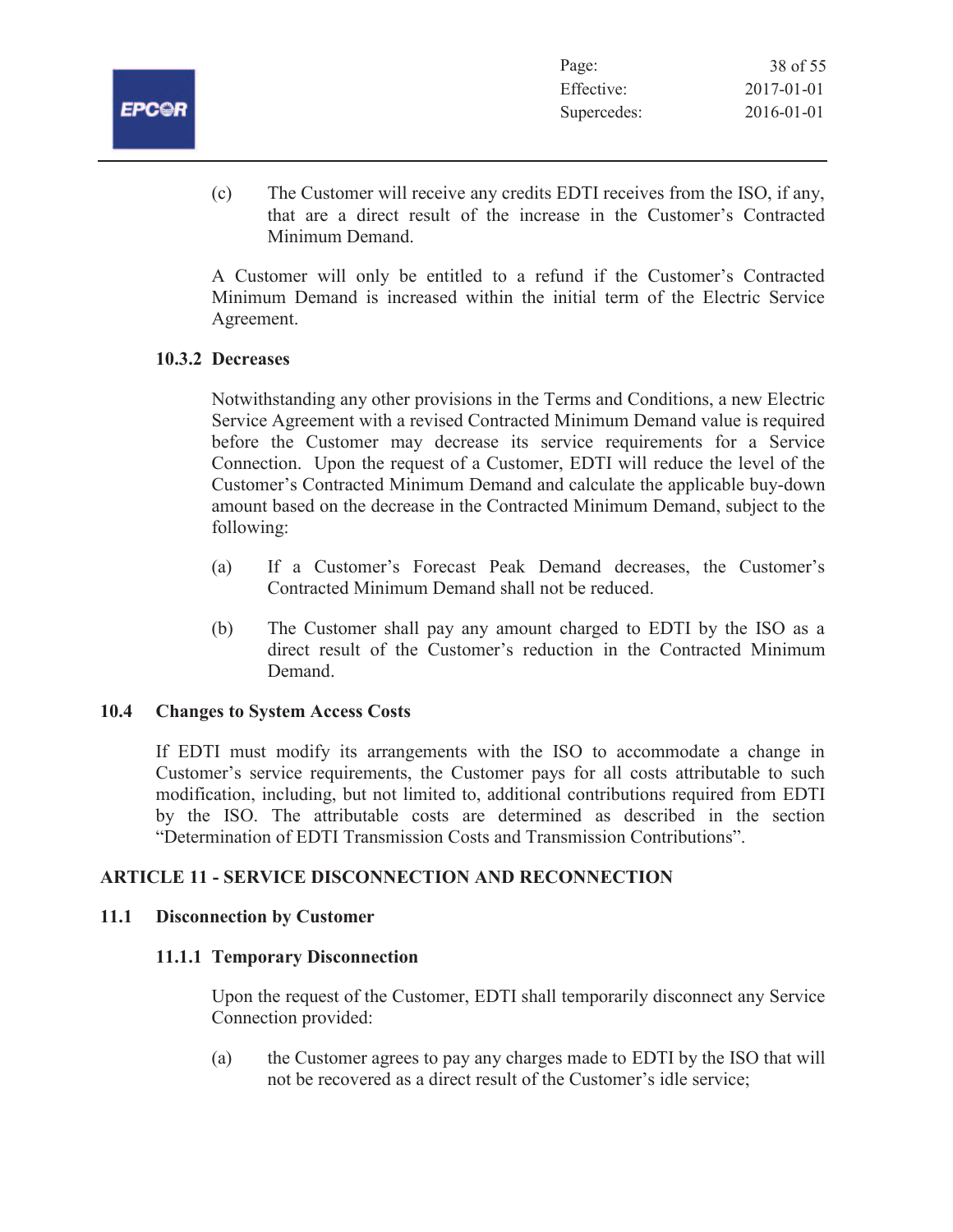

| Page:       | 38 of 55         |
|-------------|------------------|
| Effective:  | $2017 - 01 - 01$ |
| Supercedes: | $2016 - 01 - 01$ |

(c) The Customer will receive any credits EDTI receives from the ISO, if any, that are a direct result of the increase in the Customer's Contracted Minimum Demand.

A Customer will only be entitled to a refund if the Customer's Contracted Minimum Demand is increased within the initial term of the Electric Service Agreement.

# **10.3.2 Decreases**

Notwithstanding any other provisions in the Terms and Conditions, a new Electric Service Agreement with a revised Contracted Minimum Demand value is required before the Customer may decrease its service requirements for a Service Connection. Upon the request of a Customer, EDTI will reduce the level of the Customer's Contracted Minimum Demand and calculate the applicable buy-down amount based on the decrease in the Contracted Minimum Demand, subject to the following:

- (a) If a Customer's Forecast Peak Demand decreases, the Customer's Contracted Minimum Demand shall not be reduced.
- (b) The Customer shall pay any amount charged to EDTI by the ISO as a direct result of the Customer's reduction in the Contracted Minimum Demand.

# **10.4 Changes to System Access Costs**

If EDTI must modify its arrangements with the ISO to accommodate a change in Customer's service requirements, the Customer pays for all costs attributable to such modification, including, but not limited to, additional contributions required from EDTI by the ISO. The attributable costs are determined as described in the section "Determination of EDTI Transmission Costs and Transmission Contributions".

# **ARTICLE 11 - SERVICE DISCONNECTION AND RECONNECTION**

# **11.1 Disconnection by Customer**

# **11.1.1 Temporary Disconnection**

Upon the request of the Customer, EDTI shall temporarily disconnect any Service Connection provided:

(a) the Customer agrees to pay any charges made to EDTI by the ISO that will not be recovered as a direct result of the Customer's idle service;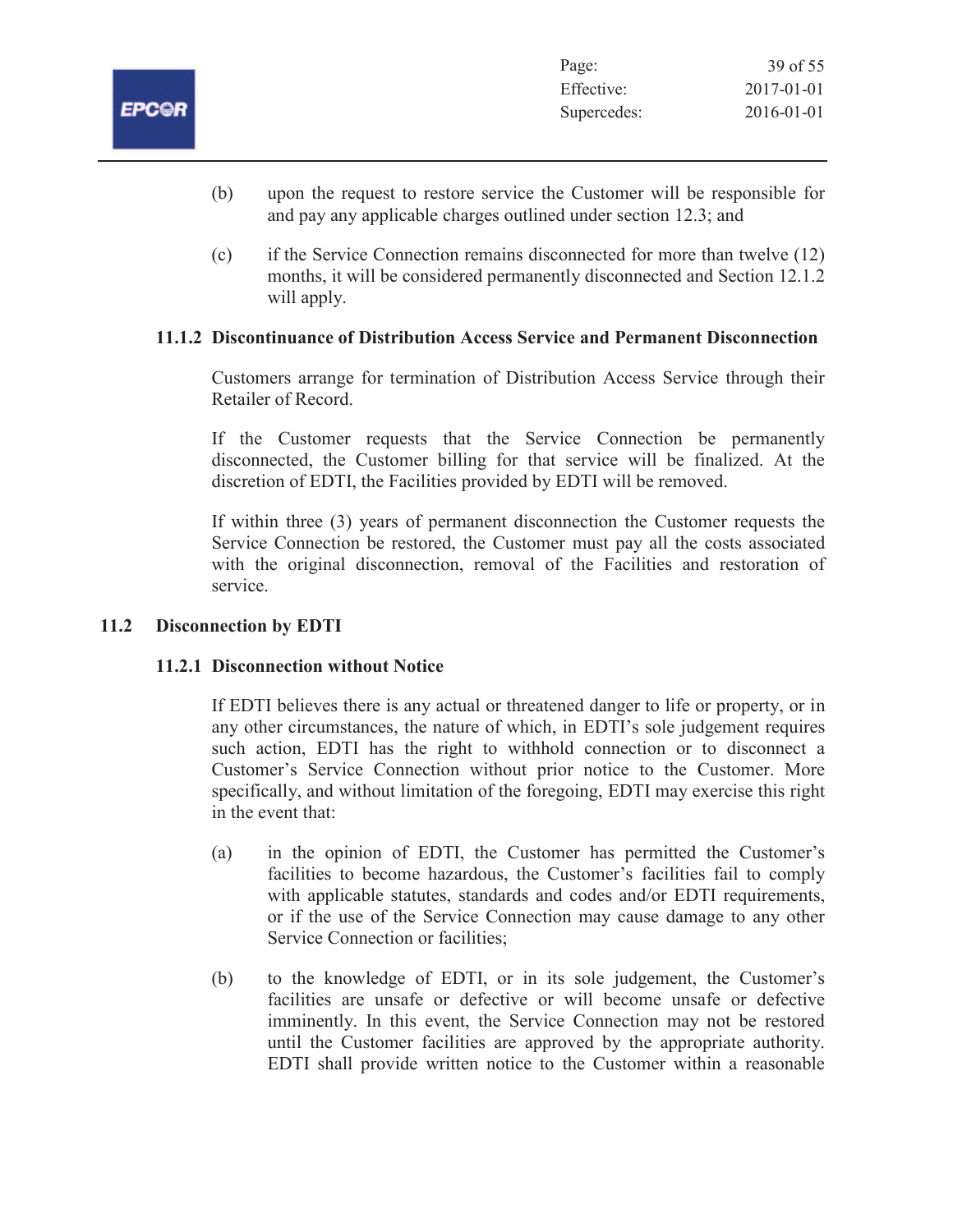

- (b) upon the request to restore service the Customer will be responsible for and pay any applicable charges outlined under section 12.3; and
- (c) if the Service Connection remains disconnected for more than twelve (12) months, it will be considered permanently disconnected and Section 12.1.2 will apply.

# **11.1.2 Discontinuance of Distribution Access Service and Permanent Disconnection**

Customers arrange for termination of Distribution Access Service through their Retailer of Record.

If the Customer requests that the Service Connection be permanently disconnected, the Customer billing for that service will be finalized. At the discretion of EDTI, the Facilities provided by EDTI will be removed.

If within three (3) years of permanent disconnection the Customer requests the Service Connection be restored, the Customer must pay all the costs associated with the original disconnection, removal of the Facilities and restoration of service.

# **11.2 Disconnection by EDTI**

# **11.2.1 Disconnection without Notice**

If EDTI believes there is any actual or threatened danger to life or property, or in any other circumstances, the nature of which, in EDTI's sole judgement requires such action, EDTI has the right to withhold connection or to disconnect a Customer's Service Connection without prior notice to the Customer. More specifically, and without limitation of the foregoing, EDTI may exercise this right in the event that:

- (a) in the opinion of EDTI, the Customer has permitted the Customer's facilities to become hazardous, the Customer's facilities fail to comply with applicable statutes, standards and codes and/or EDTI requirements, or if the use of the Service Connection may cause damage to any other Service Connection or facilities;
- (b) to the knowledge of EDTI, or in its sole judgement, the Customer's facilities are unsafe or defective or will become unsafe or defective imminently. In this event, the Service Connection may not be restored until the Customer facilities are approved by the appropriate authority. EDTI shall provide written notice to the Customer within a reasonable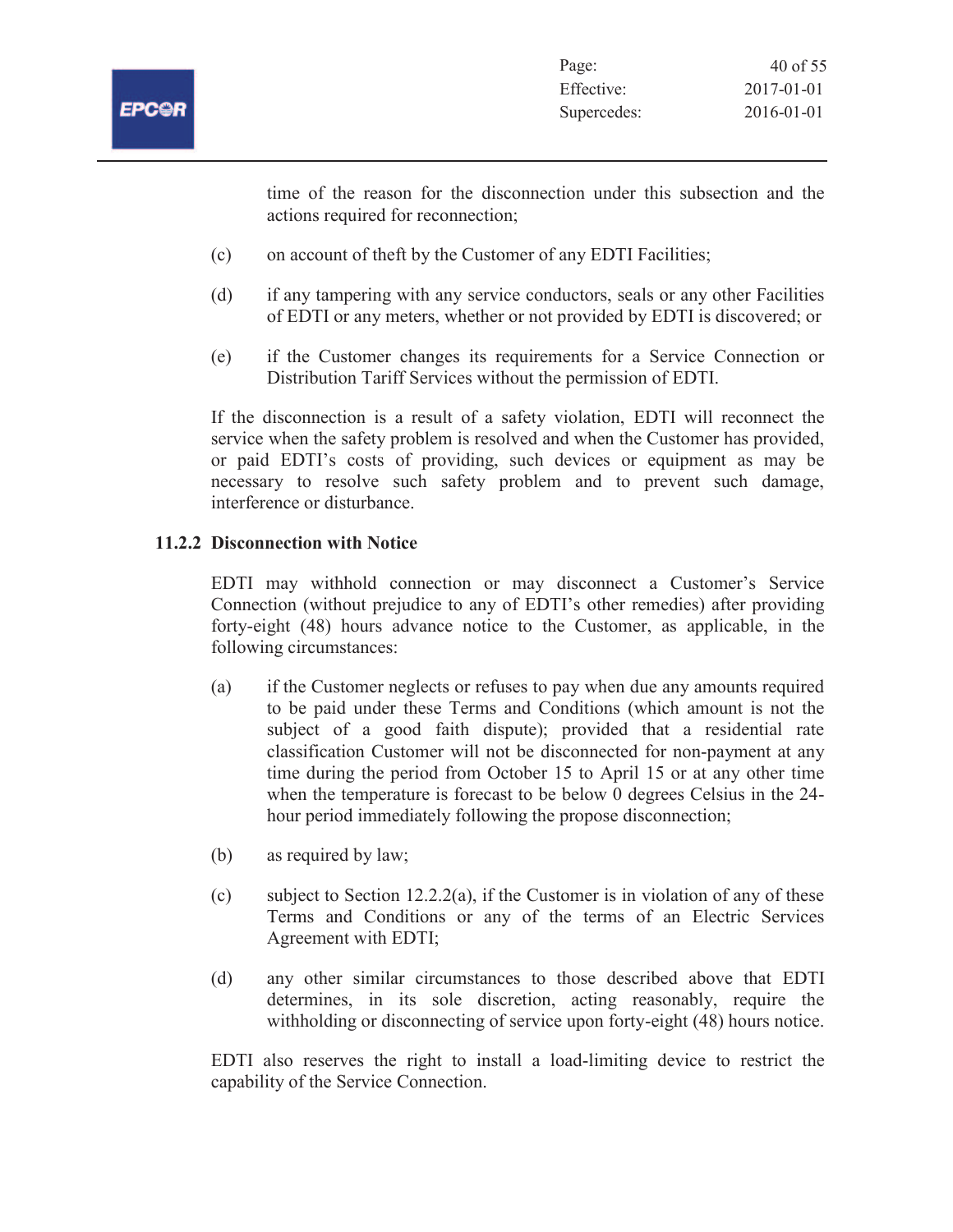

time of the reason for the disconnection under this subsection and the actions required for reconnection;

- (c) on account of theft by the Customer of any EDTI Facilities;
- (d) if any tampering with any service conductors, seals or any other Facilities of EDTI or any meters, whether or not provided by EDTI is discovered; or
- (e) if the Customer changes its requirements for a Service Connection or Distribution Tariff Services without the permission of EDTI.

If the disconnection is a result of a safety violation, EDTI will reconnect the service when the safety problem is resolved and when the Customer has provided, or paid EDTI's costs of providing, such devices or equipment as may be necessary to resolve such safety problem and to prevent such damage, interference or disturbance.

# **11.2.2 Disconnection with Notice**

EDTI may withhold connection or may disconnect a Customer's Service Connection (without prejudice to any of EDTI's other remedies) after providing forty-eight (48) hours advance notice to the Customer, as applicable, in the following circumstances:

- (a) if the Customer neglects or refuses to pay when due any amounts required to be paid under these Terms and Conditions (which amount is not the subject of a good faith dispute); provided that a residential rate classification Customer will not be disconnected for non-payment at any time during the period from October 15 to April 15 or at any other time when the temperature is forecast to be below 0 degrees Celsius in the 24 hour period immediately following the propose disconnection;
- (b) as required by law;
- (c) subject to Section 12.2.2(a), if the Customer is in violation of any of these Terms and Conditions or any of the terms of an Electric Services Agreement with EDTI;
- (d) any other similar circumstances to those described above that EDTI determines, in its sole discretion, acting reasonably, require the withholding or disconnecting of service upon forty-eight (48) hours notice.

EDTI also reserves the right to install a load-limiting device to restrict the capability of the Service Connection.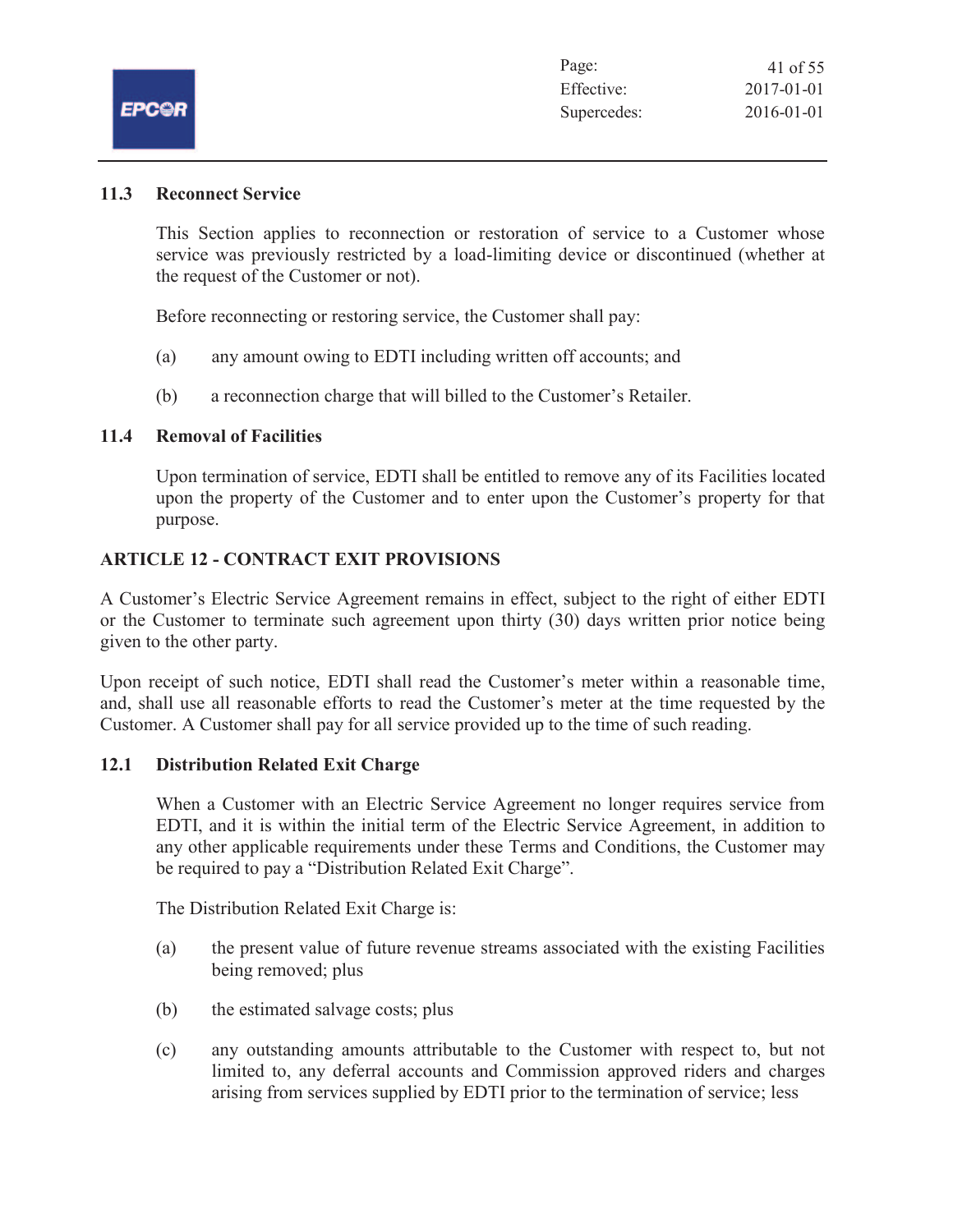# **11.3 Reconnect Service**

This Section applies to reconnection or restoration of service to a Customer whose service was previously restricted by a load-limiting device or discontinued (whether at the request of the Customer or not).

Before reconnecting or restoring service, the Customer shall pay:

- (a) any amount owing to EDTI including written off accounts; and
- (b) a reconnection charge that will billed to the Customer's Retailer.

### **11.4 Removal of Facilities**

Upon termination of service, EDTI shall be entitled to remove any of its Facilities located upon the property of the Customer and to enter upon the Customer's property for that purpose.

# **ARTICLE 12 - CONTRACT EXIT PROVISIONS**

A Customer's Electric Service Agreement remains in effect, subject to the right of either EDTI or the Customer to terminate such agreement upon thirty (30) days written prior notice being given to the other party.

Upon receipt of such notice, EDTI shall read the Customer's meter within a reasonable time, and, shall use all reasonable efforts to read the Customer's meter at the time requested by the Customer. A Customer shall pay for all service provided up to the time of such reading.

# **12.1 Distribution Related Exit Charge**

When a Customer with an Electric Service Agreement no longer requires service from EDTI, and it is within the initial term of the Electric Service Agreement, in addition to any other applicable requirements under these Terms and Conditions, the Customer may be required to pay a "Distribution Related Exit Charge".

The Distribution Related Exit Charge is:

- (a) the present value of future revenue streams associated with the existing Facilities being removed; plus
- (b) the estimated salvage costs; plus
- (c) any outstanding amounts attributable to the Customer with respect to, but not limited to, any deferral accounts and Commission approved riders and charges arising from services supplied by EDTI prior to the termination of service; less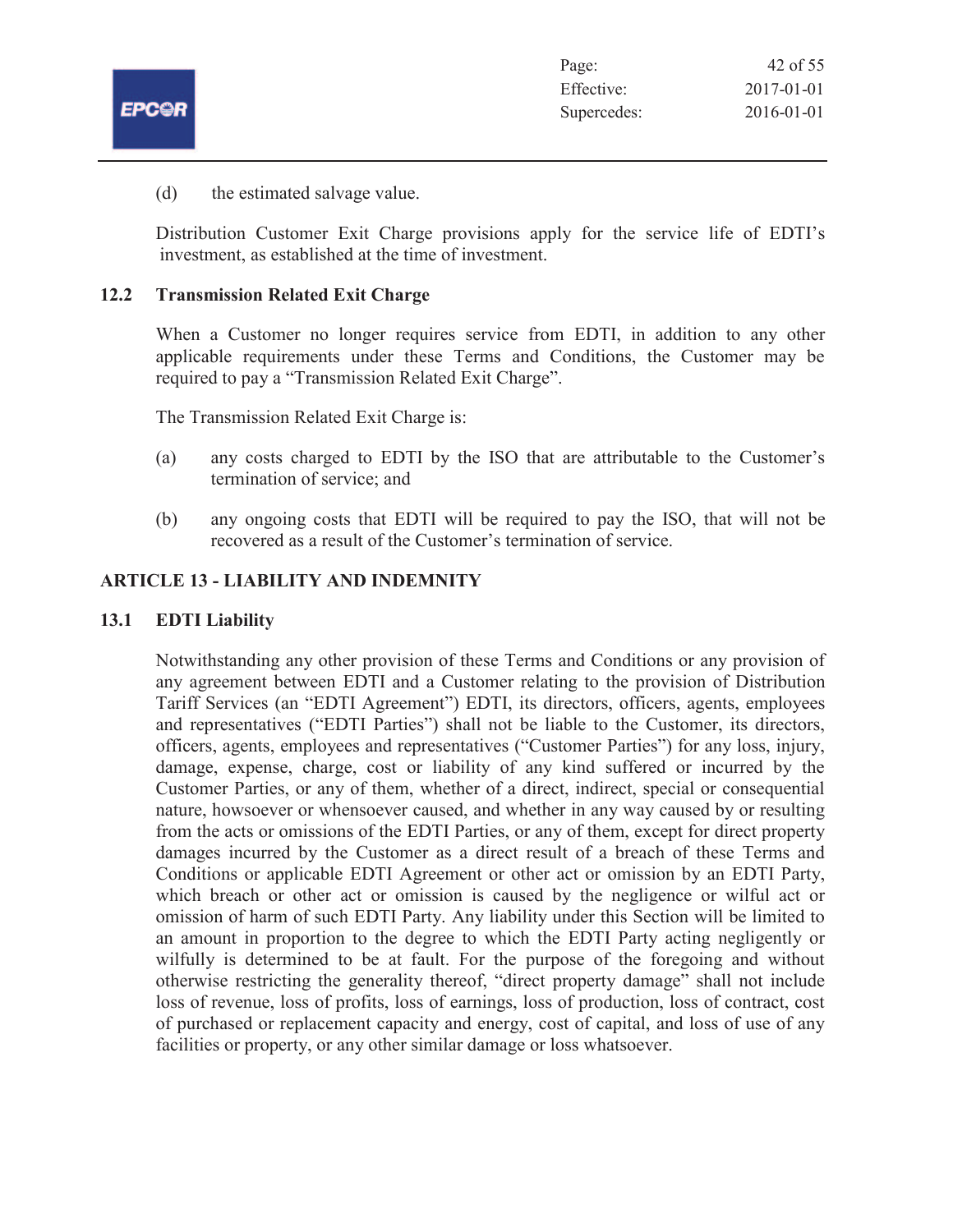|              | Page:       | 42 of 55   |
|--------------|-------------|------------|
|              | Effective:  | 2017-01-01 |
| <b>EPC@R</b> | Supercedes: | 2016-01-01 |

(d) the estimated salvage value.

Distribution Customer Exit Charge provisions apply for the service life of EDTI's investment, as established at the time of investment.

# **12.2 Transmission Related Exit Charge**

When a Customer no longer requires service from EDTI, in addition to any other applicable requirements under these Terms and Conditions, the Customer may be required to pay a "Transmission Related Exit Charge".

The Transmission Related Exit Charge is:

- (a) any costs charged to EDTI by the ISO that are attributable to the Customer's termination of service; and
- (b) any ongoing costs that EDTI will be required to pay the ISO, that will not be recovered as a result of the Customer's termination of service.

# **ARTICLE 13 - LIABILITY AND INDEMNITY**

# **13.1 EDTI Liability**

Notwithstanding any other provision of these Terms and Conditions or any provision of any agreement between EDTI and a Customer relating to the provision of Distribution Tariff Services (an "EDTI Agreement") EDTI, its directors, officers, agents, employees and representatives ("EDTI Parties") shall not be liable to the Customer, its directors, officers, agents, employees and representatives ("Customer Parties") for any loss, injury, damage, expense, charge, cost or liability of any kind suffered or incurred by the Customer Parties, or any of them, whether of a direct, indirect, special or consequential nature, howsoever or whensoever caused, and whether in any way caused by or resulting from the acts or omissions of the EDTI Parties, or any of them, except for direct property damages incurred by the Customer as a direct result of a breach of these Terms and Conditions or applicable EDTI Agreement or other act or omission by an EDTI Party, which breach or other act or omission is caused by the negligence or wilful act or omission of harm of such EDTI Party. Any liability under this Section will be limited to an amount in proportion to the degree to which the EDTI Party acting negligently or wilfully is determined to be at fault. For the purpose of the foregoing and without otherwise restricting the generality thereof, "direct property damage" shall not include loss of revenue, loss of profits, loss of earnings, loss of production, loss of contract, cost of purchased or replacement capacity and energy, cost of capital, and loss of use of any facilities or property, or any other similar damage or loss whatsoever.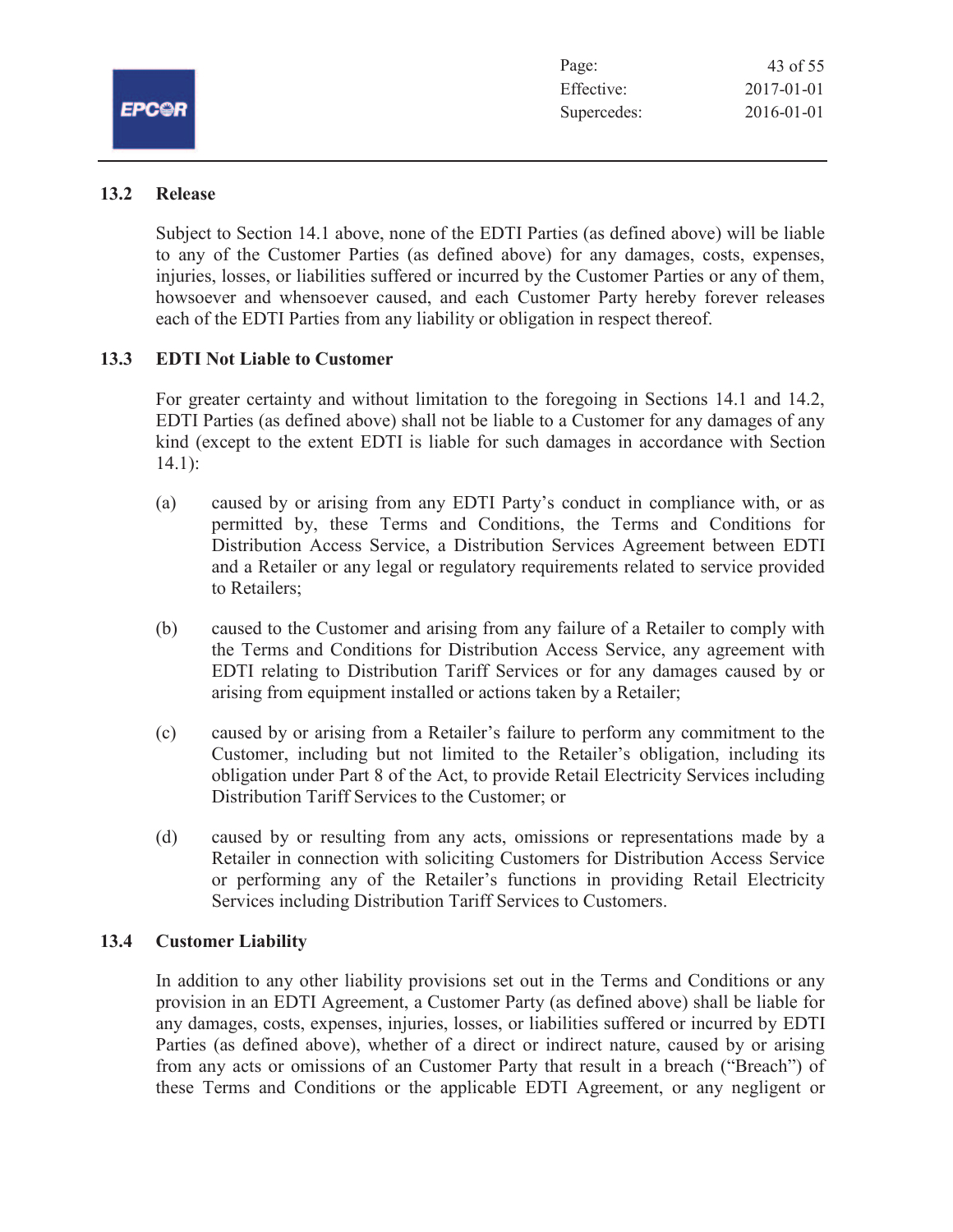| Page:       | 43 of 55         |
|-------------|------------------|
| Effective:  | $2017 - 01 - 01$ |
| Supercedes: | 2016-01-01       |

# **13.2 Release**

Subject to Section 14.1 above, none of the EDTI Parties (as defined above) will be liable to any of the Customer Parties (as defined above) for any damages, costs, expenses, injuries, losses, or liabilities suffered or incurred by the Customer Parties or any of them, howsoever and whensoever caused, and each Customer Party hereby forever releases each of the EDTI Parties from any liability or obligation in respect thereof.

# **13.3 EDTI Not Liable to Customer**

For greater certainty and without limitation to the foregoing in Sections 14.1 and 14.2, EDTI Parties (as defined above) shall not be liable to a Customer for any damages of any kind (except to the extent EDTI is liable for such damages in accordance with Section 14.1):

- (a) caused by or arising from any EDTI Party's conduct in compliance with, or as permitted by, these Terms and Conditions, the Terms and Conditions for Distribution Access Service, a Distribution Services Agreement between EDTI and a Retailer or any legal or regulatory requirements related to service provided to Retailers;
- (b) caused to the Customer and arising from any failure of a Retailer to comply with the Terms and Conditions for Distribution Access Service, any agreement with EDTI relating to Distribution Tariff Services or for any damages caused by or arising from equipment installed or actions taken by a Retailer;
- (c) caused by or arising from a Retailer's failure to perform any commitment to the Customer, including but not limited to the Retailer's obligation, including its obligation under Part 8 of the Act, to provide Retail Electricity Services including Distribution Tariff Services to the Customer; or
- (d) caused by or resulting from any acts, omissions or representations made by a Retailer in connection with soliciting Customers for Distribution Access Service or performing any of the Retailer's functions in providing Retail Electricity Services including Distribution Tariff Services to Customers.

#### **13.4 Customer Liability**

In addition to any other liability provisions set out in the Terms and Conditions or any provision in an EDTI Agreement, a Customer Party (as defined above) shall be liable for any damages, costs, expenses, injuries, losses, or liabilities suffered or incurred by EDTI Parties (as defined above), whether of a direct or indirect nature, caused by or arising from any acts or omissions of an Customer Party that result in a breach ("Breach") of these Terms and Conditions or the applicable EDTI Agreement, or any negligent or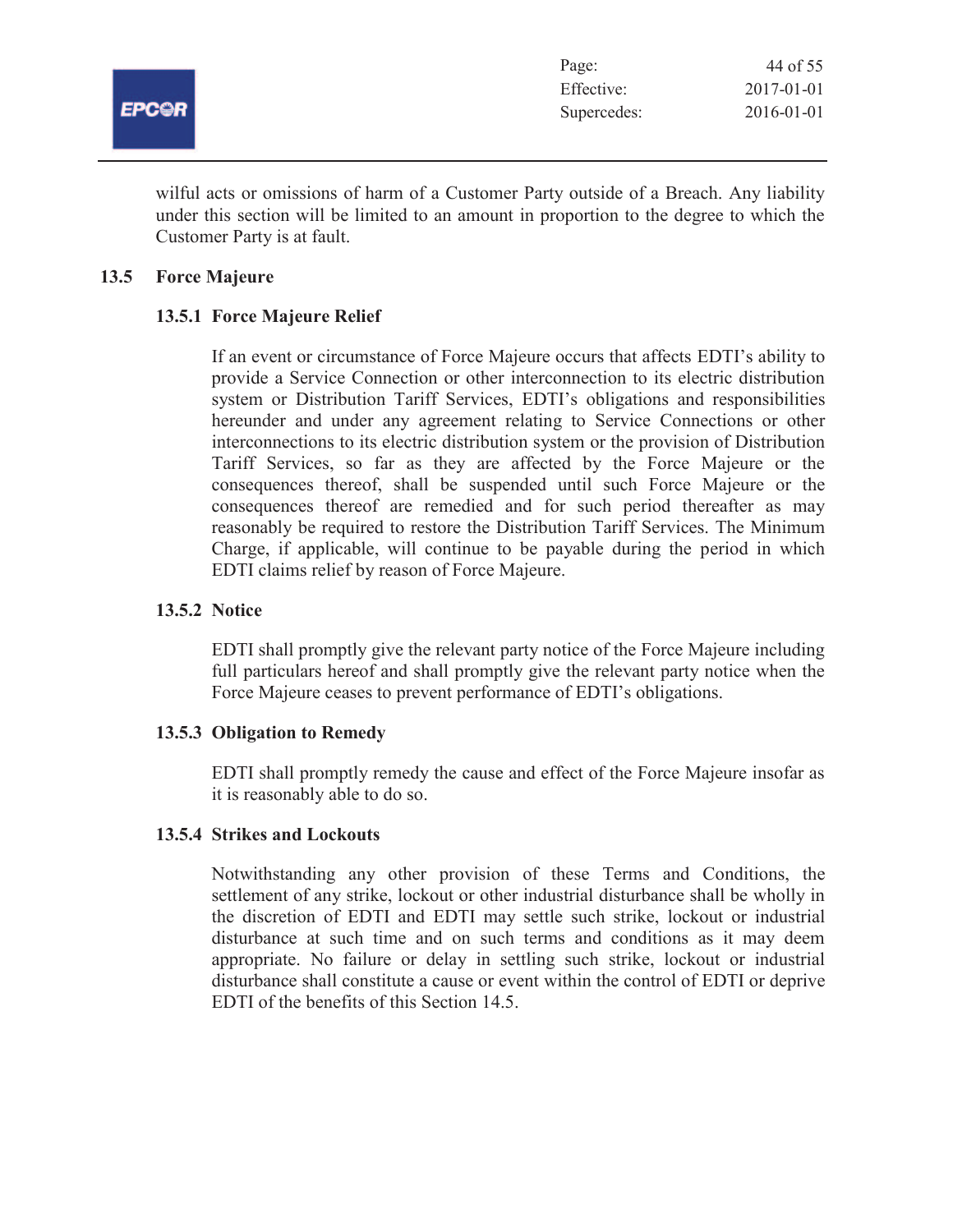

| Page:       | 44 of 55         |
|-------------|------------------|
| Effective:  | $2017 - 01 - 01$ |
| Supercedes: | 2016-01-01       |

wilful acts or omissions of harm of a Customer Party outside of a Breach. Any liability under this section will be limited to an amount in proportion to the degree to which the Customer Party is at fault.

# **13.5 Force Majeure**

# **13.5.1 Force Majeure Relief**

If an event or circumstance of Force Majeure occurs that affects EDTI's ability to provide a Service Connection or other interconnection to its electric distribution system or Distribution Tariff Services, EDTI's obligations and responsibilities hereunder and under any agreement relating to Service Connections or other interconnections to its electric distribution system or the provision of Distribution Tariff Services, so far as they are affected by the Force Majeure or the consequences thereof, shall be suspended until such Force Majeure or the consequences thereof are remedied and for such period thereafter as may reasonably be required to restore the Distribution Tariff Services. The Minimum Charge, if applicable, will continue to be payable during the period in which EDTI claims relief by reason of Force Majeure.

# **13.5.2 Notice**

EDTI shall promptly give the relevant party notice of the Force Majeure including full particulars hereof and shall promptly give the relevant party notice when the Force Majeure ceases to prevent performance of EDTI's obligations.

# **13.5.3 Obligation to Remedy**

EDTI shall promptly remedy the cause and effect of the Force Majeure insofar as it is reasonably able to do so.

# **13.5.4 Strikes and Lockouts**

Notwithstanding any other provision of these Terms and Conditions, the settlement of any strike, lockout or other industrial disturbance shall be wholly in the discretion of EDTI and EDTI may settle such strike, lockout or industrial disturbance at such time and on such terms and conditions as it may deem appropriate. No failure or delay in settling such strike, lockout or industrial disturbance shall constitute a cause or event within the control of EDTI or deprive EDTI of the benefits of this Section 14.5.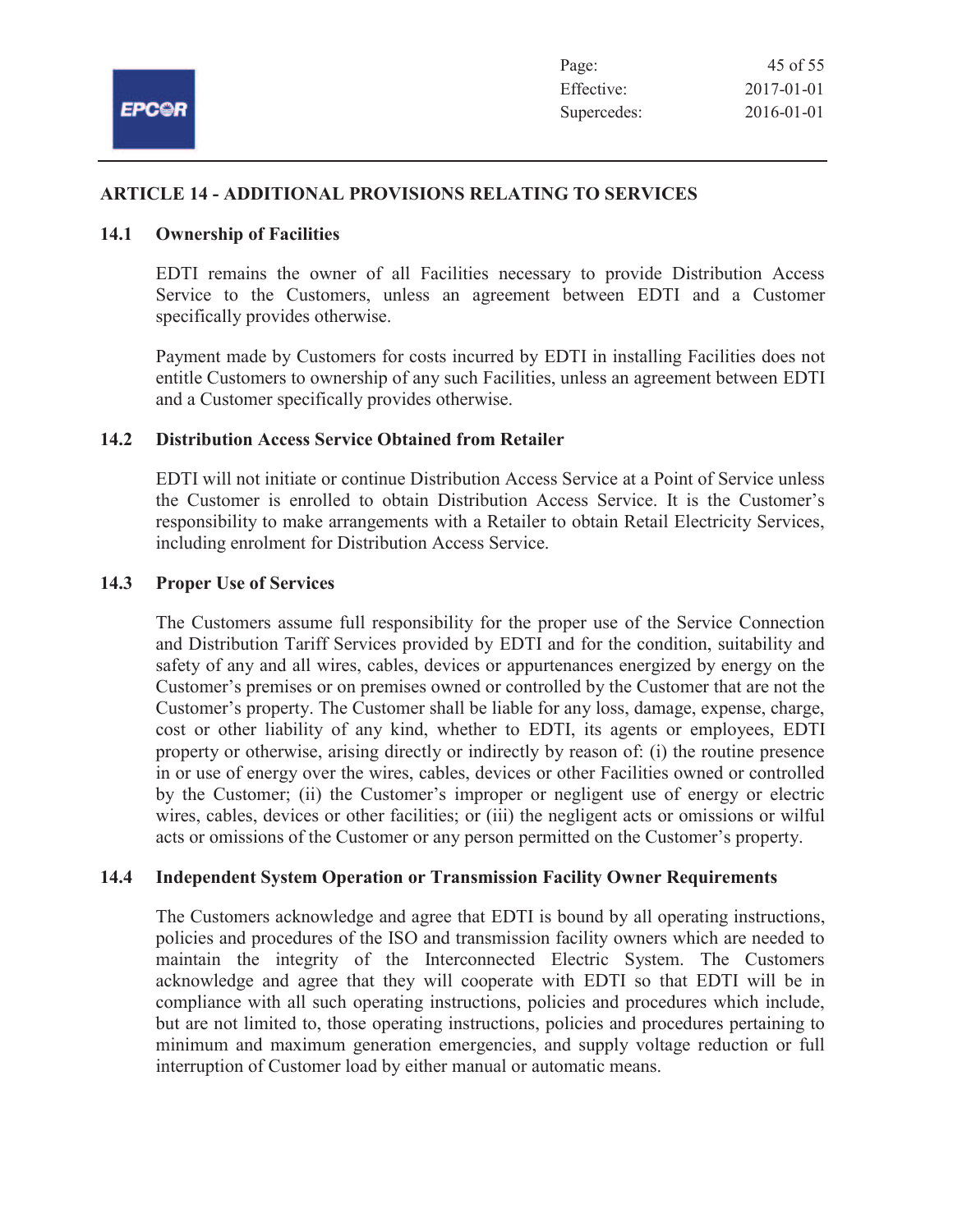

# **ARTICLE 14 - ADDITIONAL PROVISIONS RELATING TO SERVICES**

# **14.1 Ownership of Facilities**

EDTI remains the owner of all Facilities necessary to provide Distribution Access Service to the Customers, unless an agreement between EDTI and a Customer specifically provides otherwise.

Payment made by Customers for costs incurred by EDTI in installing Facilities does not entitle Customers to ownership of any such Facilities, unless an agreement between EDTI and a Customer specifically provides otherwise.

# **14.2 Distribution Access Service Obtained from Retailer**

EDTI will not initiate or continue Distribution Access Service at a Point of Service unless the Customer is enrolled to obtain Distribution Access Service. It is the Customer's responsibility to make arrangements with a Retailer to obtain Retail Electricity Services, including enrolment for Distribution Access Service.

#### **14.3 Proper Use of Services**

The Customers assume full responsibility for the proper use of the Service Connection and Distribution Tariff Services provided by EDTI and for the condition, suitability and safety of any and all wires, cables, devices or appurtenances energized by energy on the Customer's premises or on premises owned or controlled by the Customer that are not the Customer's property. The Customer shall be liable for any loss, damage, expense, charge, cost or other liability of any kind, whether to EDTI, its agents or employees, EDTI property or otherwise, arising directly or indirectly by reason of: (i) the routine presence in or use of energy over the wires, cables, devices or other Facilities owned or controlled by the Customer; (ii) the Customer's improper or negligent use of energy or electric wires, cables, devices or other facilities; or (iii) the negligent acts or omissions or wilful acts or omissions of the Customer or any person permitted on the Customer's property.

# **14.4 Independent System Operation or Transmission Facility Owner Requirements**

The Customers acknowledge and agree that EDTI is bound by all operating instructions, policies and procedures of the ISO and transmission facility owners which are needed to maintain the integrity of the Interconnected Electric System. The Customers acknowledge and agree that they will cooperate with EDTI so that EDTI will be in compliance with all such operating instructions, policies and procedures which include, but are not limited to, those operating instructions, policies and procedures pertaining to minimum and maximum generation emergencies, and supply voltage reduction or full interruption of Customer load by either manual or automatic means.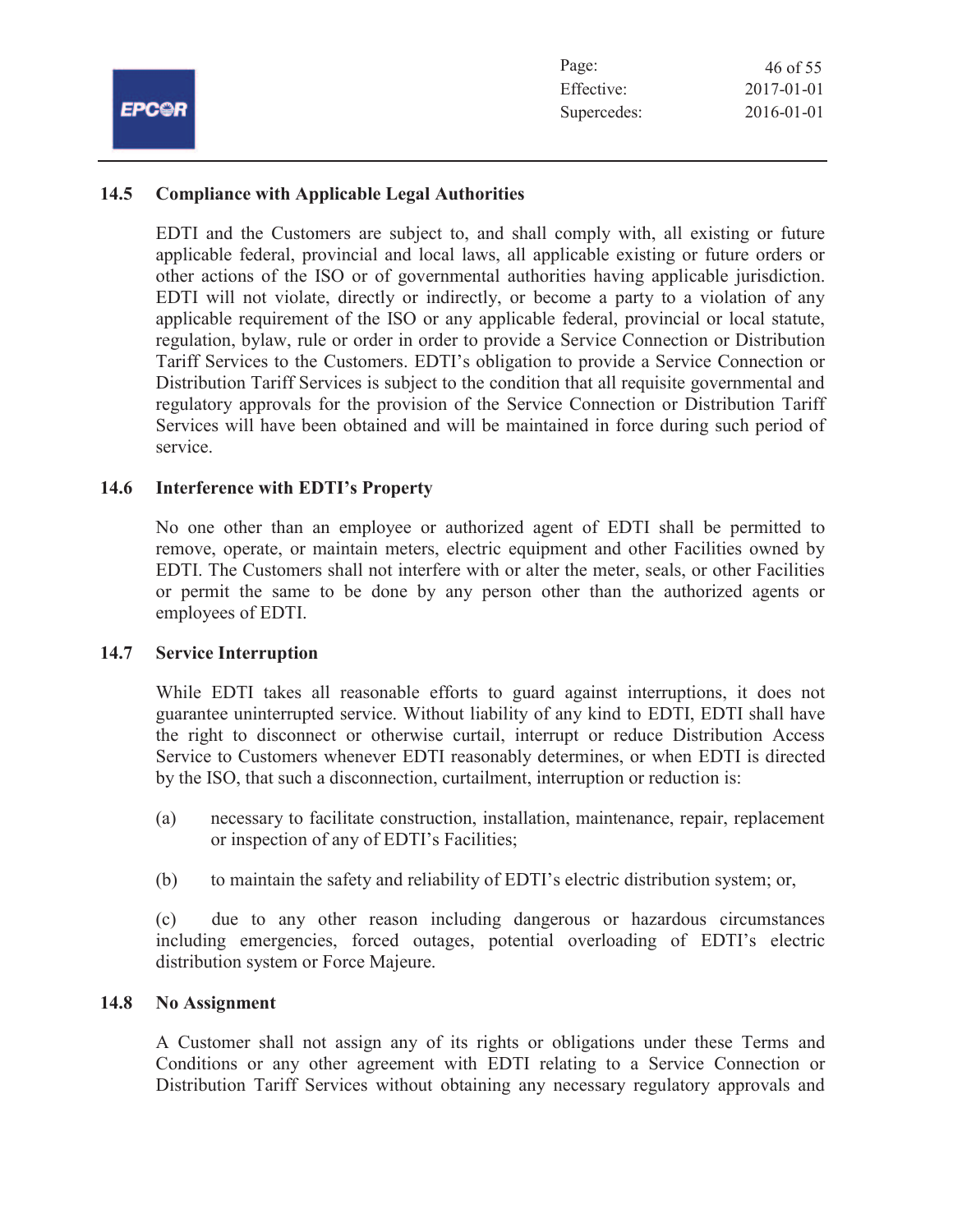|            | Page:       | 46 of 55   |
|------------|-------------|------------|
|            | Effective:  | 2017-01-01 |
| <b>COR</b> | Supercedes: | 2016-01-01 |

# **14.5 Compliance with Applicable Legal Authorities**

EDTI and the Customers are subject to, and shall comply with, all existing or future applicable federal, provincial and local laws, all applicable existing or future orders or other actions of the ISO or of governmental authorities having applicable jurisdiction. EDTI will not violate, directly or indirectly, or become a party to a violation of any applicable requirement of the ISO or any applicable federal, provincial or local statute, regulation, bylaw, rule or order in order to provide a Service Connection or Distribution Tariff Services to the Customers. EDTI's obligation to provide a Service Connection or Distribution Tariff Services is subject to the condition that all requisite governmental and regulatory approvals for the provision of the Service Connection or Distribution Tariff Services will have been obtained and will be maintained in force during such period of service.

# **14.6 Interference with EDTI's Property**

No one other than an employee or authorized agent of EDTI shall be permitted to remove, operate, or maintain meters, electric equipment and other Facilities owned by EDTI. The Customers shall not interfere with or alter the meter, seals, or other Facilities or permit the same to be done by any person other than the authorized agents or employees of EDTI.

# **14.7 Service Interruption**

EF

While EDTI takes all reasonable efforts to guard against interruptions, it does not guarantee uninterrupted service. Without liability of any kind to EDTI, EDTI shall have the right to disconnect or otherwise curtail, interrupt or reduce Distribution Access Service to Customers whenever EDTI reasonably determines, or when EDTI is directed by the ISO, that such a disconnection, curtailment, interruption or reduction is:

- (a) necessary to facilitate construction, installation, maintenance, repair, replacement or inspection of any of EDTI's Facilities;
- (b) to maintain the safety and reliability of EDTI's electric distribution system; or,

(c) due to any other reason including dangerous or hazardous circumstances including emergencies, forced outages, potential overloading of EDTI's electric distribution system or Force Majeure.

#### **14.8 No Assignment**

A Customer shall not assign any of its rights or obligations under these Terms and Conditions or any other agreement with EDTI relating to a Service Connection or Distribution Tariff Services without obtaining any necessary regulatory approvals and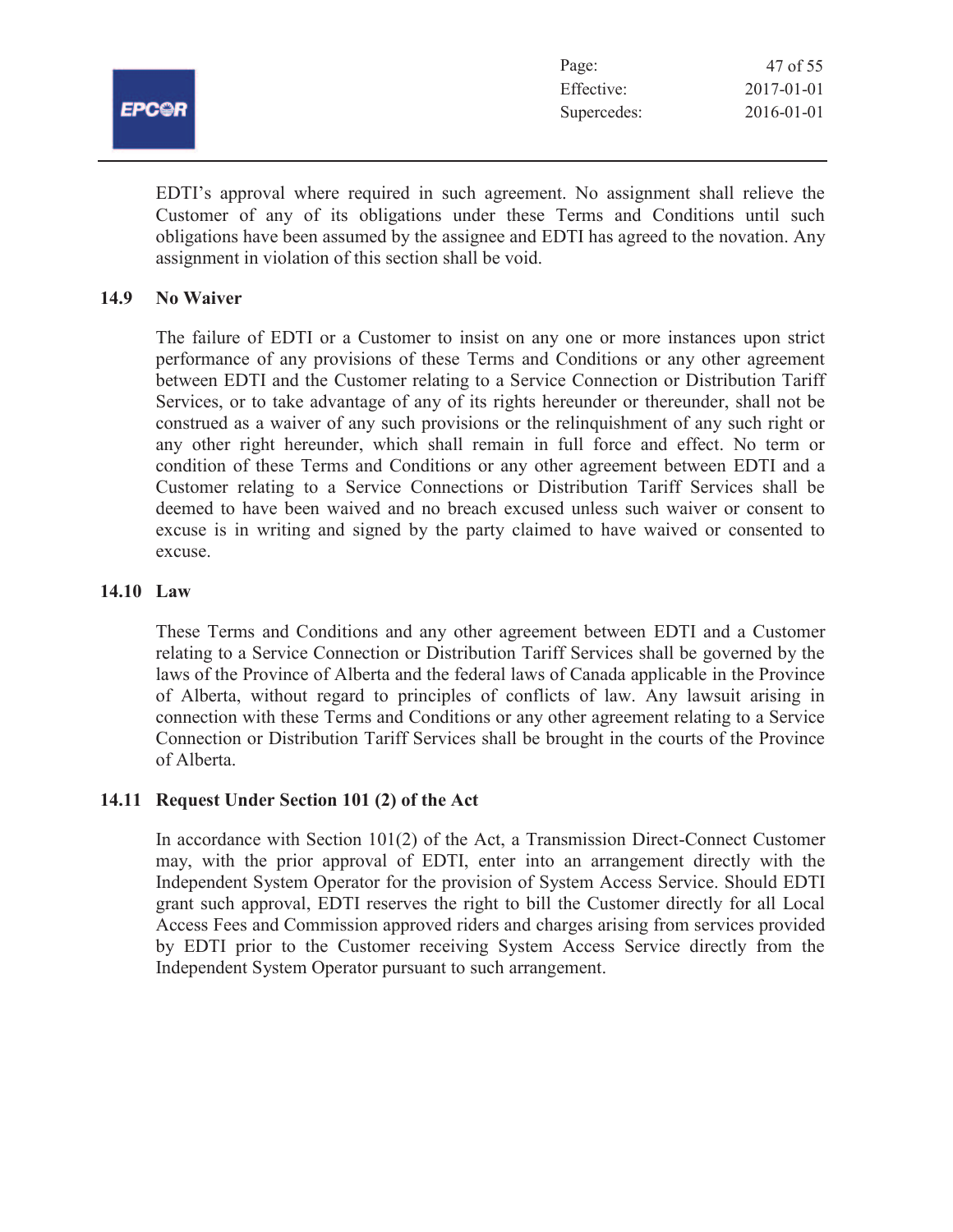|              | Page:       | 47 of 55   |
|--------------|-------------|------------|
|              | Effective:  | 2017-01-01 |
| <b>EPCOR</b> | Supercedes: | 2016-01-01 |
|              |             |            |

EDTI's approval where required in such agreement. No assignment shall relieve the Customer of any of its obligations under these Terms and Conditions until such obligations have been assumed by the assignee and EDTI has agreed to the novation. Any assignment in violation of this section shall be void.

# **14.9 No Waiver**

The failure of EDTI or a Customer to insist on any one or more instances upon strict performance of any provisions of these Terms and Conditions or any other agreement between EDTI and the Customer relating to a Service Connection or Distribution Tariff Services, or to take advantage of any of its rights hereunder or thereunder, shall not be construed as a waiver of any such provisions or the relinquishment of any such right or any other right hereunder, which shall remain in full force and effect. No term or condition of these Terms and Conditions or any other agreement between EDTI and a Customer relating to a Service Connections or Distribution Tariff Services shall be deemed to have been waived and no breach excused unless such waiver or consent to excuse is in writing and signed by the party claimed to have waived or consented to excuse.

# **14.10 Law**

These Terms and Conditions and any other agreement between EDTI and a Customer relating to a Service Connection or Distribution Tariff Services shall be governed by the laws of the Province of Alberta and the federal laws of Canada applicable in the Province of Alberta, without regard to principles of conflicts of law. Any lawsuit arising in connection with these Terms and Conditions or any other agreement relating to a Service Connection or Distribution Tariff Services shall be brought in the courts of the Province of Alberta.

# **14.11 Request Under Section 101 (2) of the Act**

In accordance with Section  $101(2)$  of the Act, a Transmission Direct-Connect Customer may, with the prior approval of EDTI, enter into an arrangement directly with the Independent System Operator for the provision of System Access Service. Should EDTI grant such approval, EDTI reserves the right to bill the Customer directly for all Local Access Fees and Commission approved riders and charges arising from services provided by EDTI prior to the Customer receiving System Access Service directly from the Independent System Operator pursuant to such arrangement.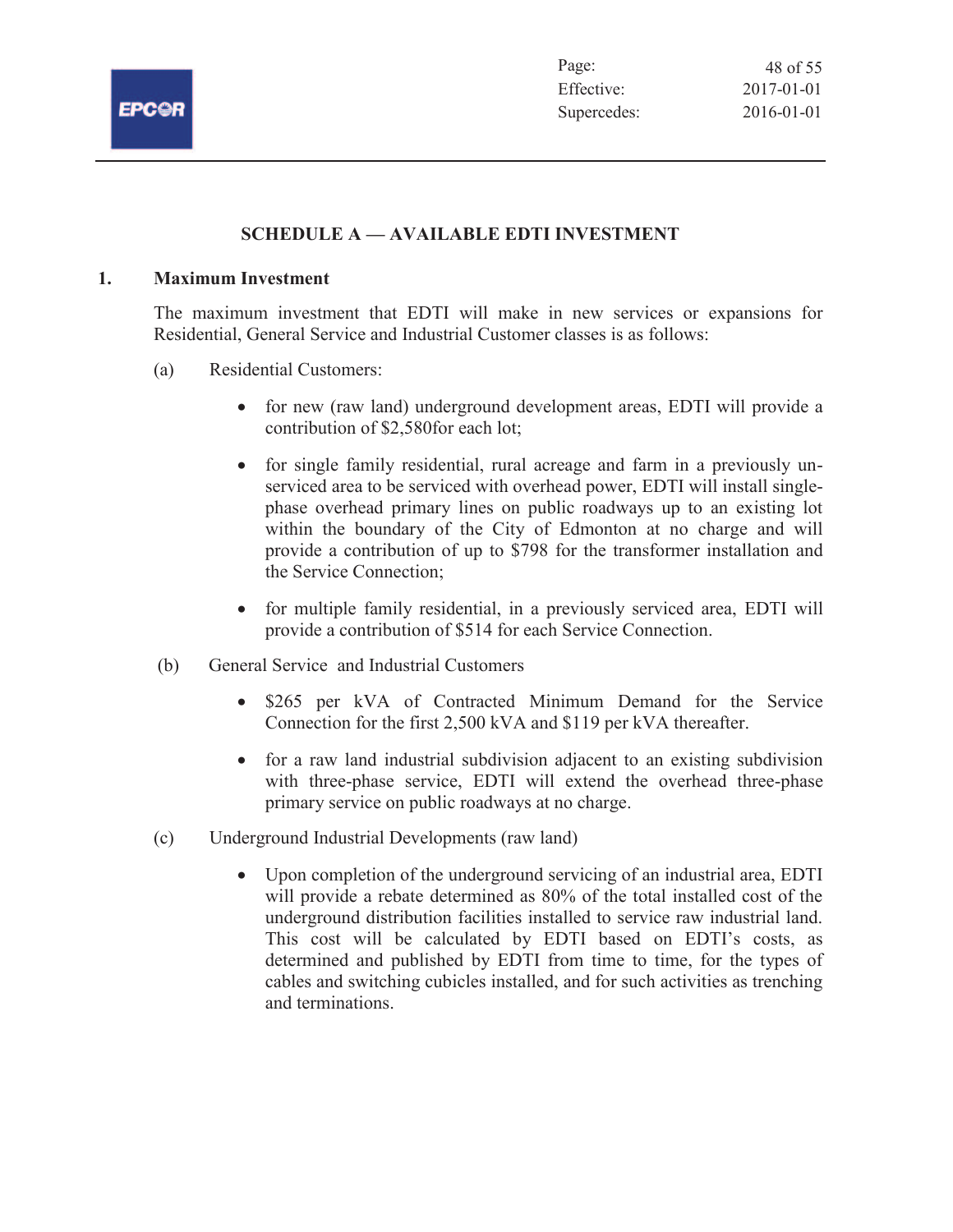

# **SCHEDULE A — AVAILABLE EDTI INVESTMENT**

# **1. Maximum Investment**

The maximum investment that EDTI will make in new services or expansions for Residential, General Service and Industrial Customer classes is as follows:

- (a) Residential Customers:
	- · for new (raw land) underground development areas, EDTI will provide a contribution of \$2,580for each lot;
	- for single family residential, rural acreage and farm in a previously unserviced area to be serviced with overhead power, EDTI will install singlephase overhead primary lines on public roadways up to an existing lot within the boundary of the City of Edmonton at no charge and will provide a contribution of up to \$798 for the transformer installation and the Service Connection;
	- for multiple family residential, in a previously serviced area, EDTI will provide a contribution of \$514 for each Service Connection.
- (b) General Service and Industrial Customers
	- · \$265 per kVA of Contracted Minimum Demand for the Service Connection for the first 2,500 kVA and \$119 per kVA thereafter.
	- for a raw land industrial subdivision adjacent to an existing subdivision with three-phase service, EDTI will extend the overhead three-phase primary service on public roadways at no charge.
- (c) Underground Industrial Developments (raw land)
	- · Upon completion of the underground servicing of an industrial area, EDTI will provide a rebate determined as 80% of the total installed cost of the underground distribution facilities installed to service raw industrial land. This cost will be calculated by EDTI based on EDTI's costs, as determined and published by EDTI from time to time, for the types of cables and switching cubicles installed, and for such activities as trenching and terminations.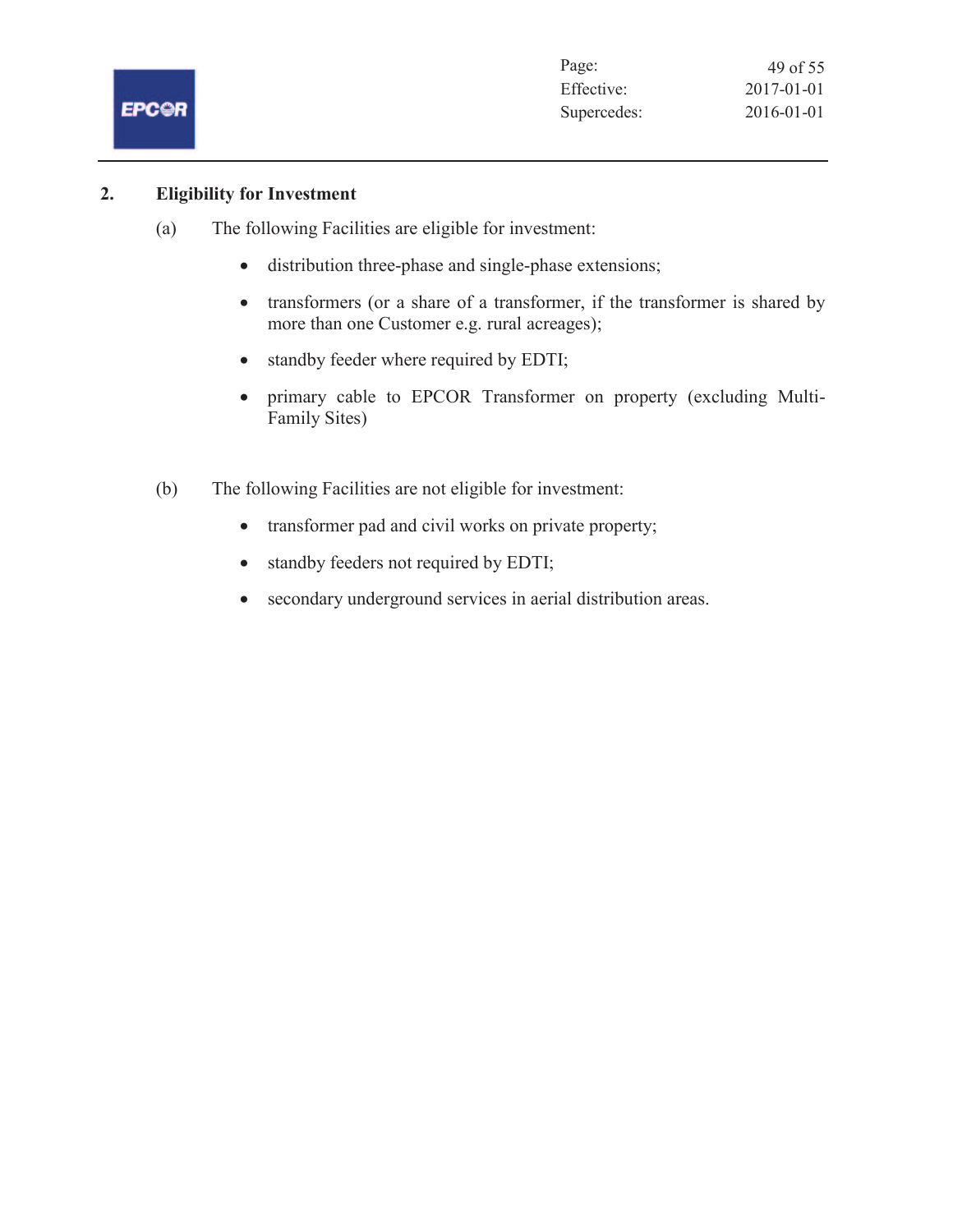

# **2. Eligibility for Investment**

- (a) The following Facilities are eligible for investment:
	- distribution three-phase and single-phase extensions;
	- transformers (or a share of a transformer, if the transformer is shared by more than one Customer e.g. rural acreages);
	- standby feeder where required by EDTI;
	- · primary cable to EPCOR Transformer on property (excluding Multi-Family Sites)
- (b) The following Facilities are not eligible for investment:
	- transformer pad and civil works on private property;
	- · standby feeders not required by EDTI;
	- · secondary underground services in aerial distribution areas.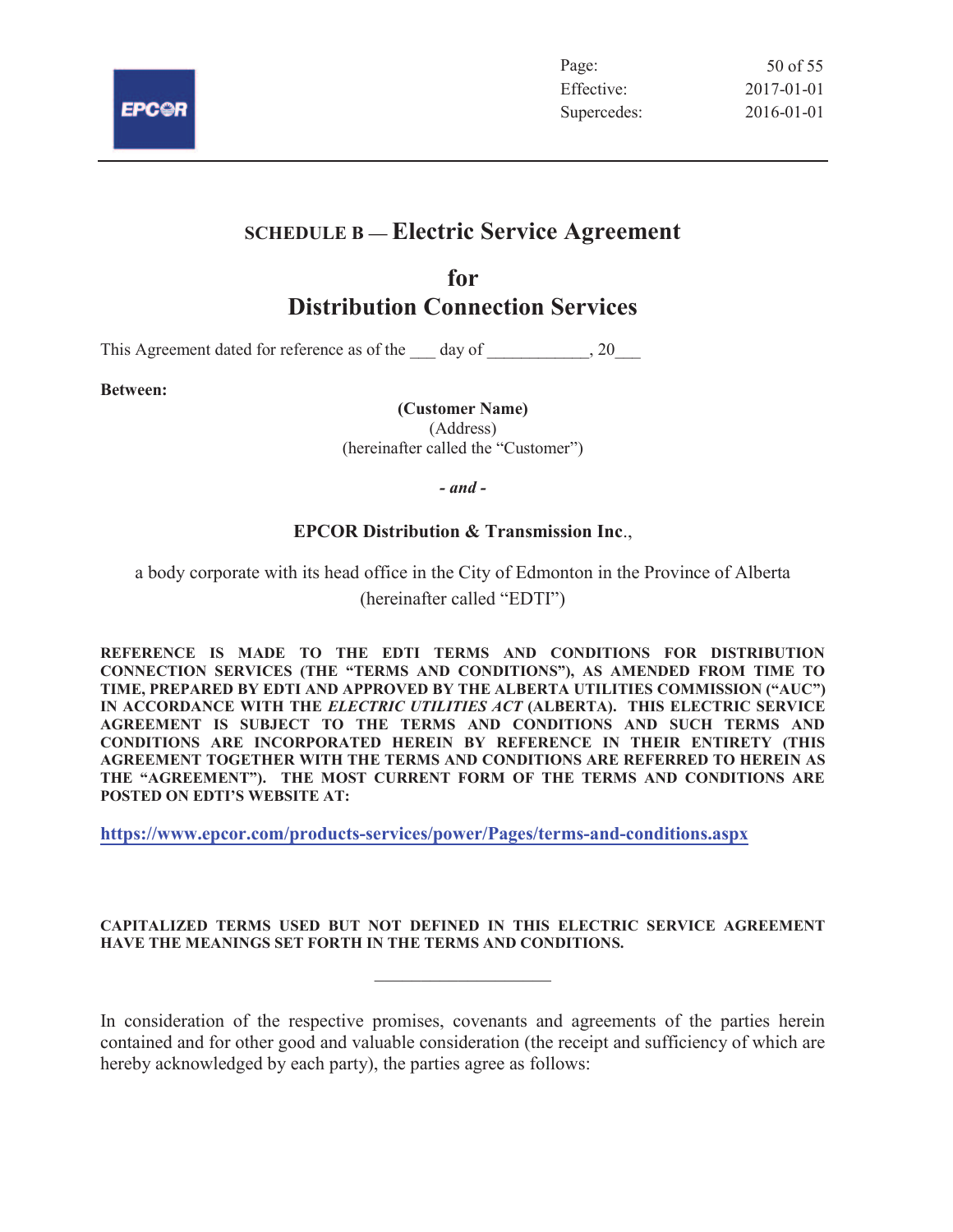

# **SCHEDULE B — Electric Service Agreement**

# **for Distribution Connection Services**

This Agreement dated for reference as of the \_\_\_ day of \_\_\_\_\_\_\_\_\_\_\_, 20\_\_\_

**Between:** 

**(Customer Name)**  (Address) (hereinafter called the "Customer")

*- and -*

# **EPCOR Distribution & Transmission Inc**.,

a body corporate with its head office in the City of Edmonton in the Province of Alberta

(hereinafter called "EDTI")

**REFERENCE IS MADE TO THE EDTI TERMS AND CONDITIONS FOR DISTRIBUTION CONNECTION SERVICES (THE "TERMS AND CONDITIONS"), AS AMENDED FROM TIME TO TIME, PREPARED BY EDTI AND APPROVED BY THE ALBERTA UTILITIES COMMISSION ("AUC") IN ACCORDANCE WITH THE** *ELECTRIC UTILITIES ACT* **(ALBERTA). THIS ELECTRIC SERVICE AGREEMENT IS SUBJECT TO THE TERMS AND CONDITIONS AND SUCH TERMS AND CONDITIONS ARE INCORPORATED HEREIN BY REFERENCE IN THEIR ENTIRETY (THIS AGREEMENT TOGETHER WITH THE TERMS AND CONDITIONS ARE REFERRED TO HEREIN AS THE "AGREEMENT"). THE MOST CURRENT FORM OF THE TERMS AND CONDITIONS ARE POSTED ON EDTI'S WEBSITE AT:**

**https://www.epcor.com/products-services/power/Pages/terms-and-conditions.aspx**

#### **CAPITALIZED TERMS USED BUT NOT DEFINED IN THIS ELECTRIC SERVICE AGREEMENT HAVE THE MEANINGS SET FORTH IN THE TERMS AND CONDITIONS.**

 $\overline{\phantom{a}}$  , where  $\overline{\phantom{a}}$  , where  $\overline{\phantom{a}}$  , where  $\overline{\phantom{a}}$ 

In consideration of the respective promises, covenants and agreements of the parties herein contained and for other good and valuable consideration (the receipt and sufficiency of which are hereby acknowledged by each party), the parties agree as follows: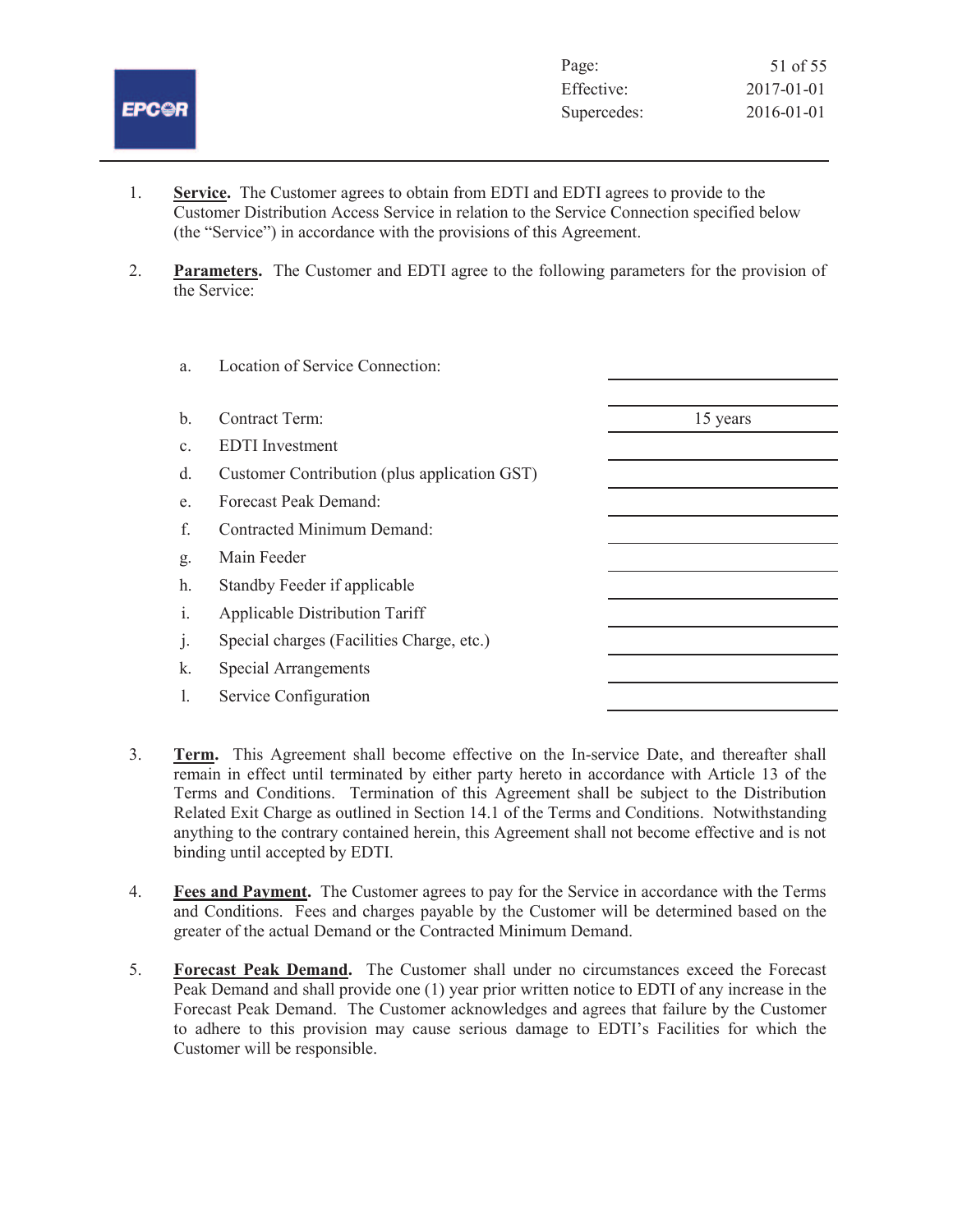

- 1. **Service.** The Customer agrees to obtain from EDTI and EDTI agrees to provide to the Customer Distribution Access Service in relation to the Service Connection specified below (the "Service") in accordance with the provisions of this Agreement.
- 2. **Parameters.** The Customer and EDTI agree to the following parameters for the provision of the Service:

| a.             | Location of Service Connection:              |          |
|----------------|----------------------------------------------|----------|
| b.             | Contract Term:                               | 15 years |
|                |                                              |          |
| C <sub>1</sub> | <b>EDTI</b> Investment                       |          |
| d.             | Customer Contribution (plus application GST) |          |
| e.             | Forecast Peak Demand:                        |          |
| f.             | Contracted Minimum Demand:                   |          |
| g.             | Main Feeder                                  |          |
| h.             | Standby Feeder if applicable                 |          |
| $\mathbf{i}$ . | <b>Applicable Distribution Tariff</b>        |          |
| $\cdot$        | Special charges (Facilities Charge, etc.)    |          |
| k.             | <b>Special Arrangements</b>                  |          |
| L              | Service Configuration                        |          |
|                |                                              |          |

- 3. **Term.** This Agreement shall become effective on the In-service Date, and thereafter shall remain in effect until terminated by either party hereto in accordance with Article 13 of the Terms and Conditions. Termination of this Agreement shall be subject to the Distribution Related Exit Charge as outlined in Section 14.1 of the Terms and Conditions. Notwithstanding anything to the contrary contained herein, this Agreement shall not become effective and is not binding until accepted by EDTI.
- 4. **Fees and Payment.** The Customer agrees to pay for the Service in accordance with the Terms and Conditions. Fees and charges payable by the Customer will be determined based on the greater of the actual Demand or the Contracted Minimum Demand.
- 5. **Forecast Peak Demand.** The Customer shall under no circumstances exceed the Forecast Peak Demand and shall provide one (1) year prior written notice to EDTI of any increase in the Forecast Peak Demand. The Customer acknowledges and agrees that failure by the Customer to adhere to this provision may cause serious damage to EDTI's Facilities for which the Customer will be responsible.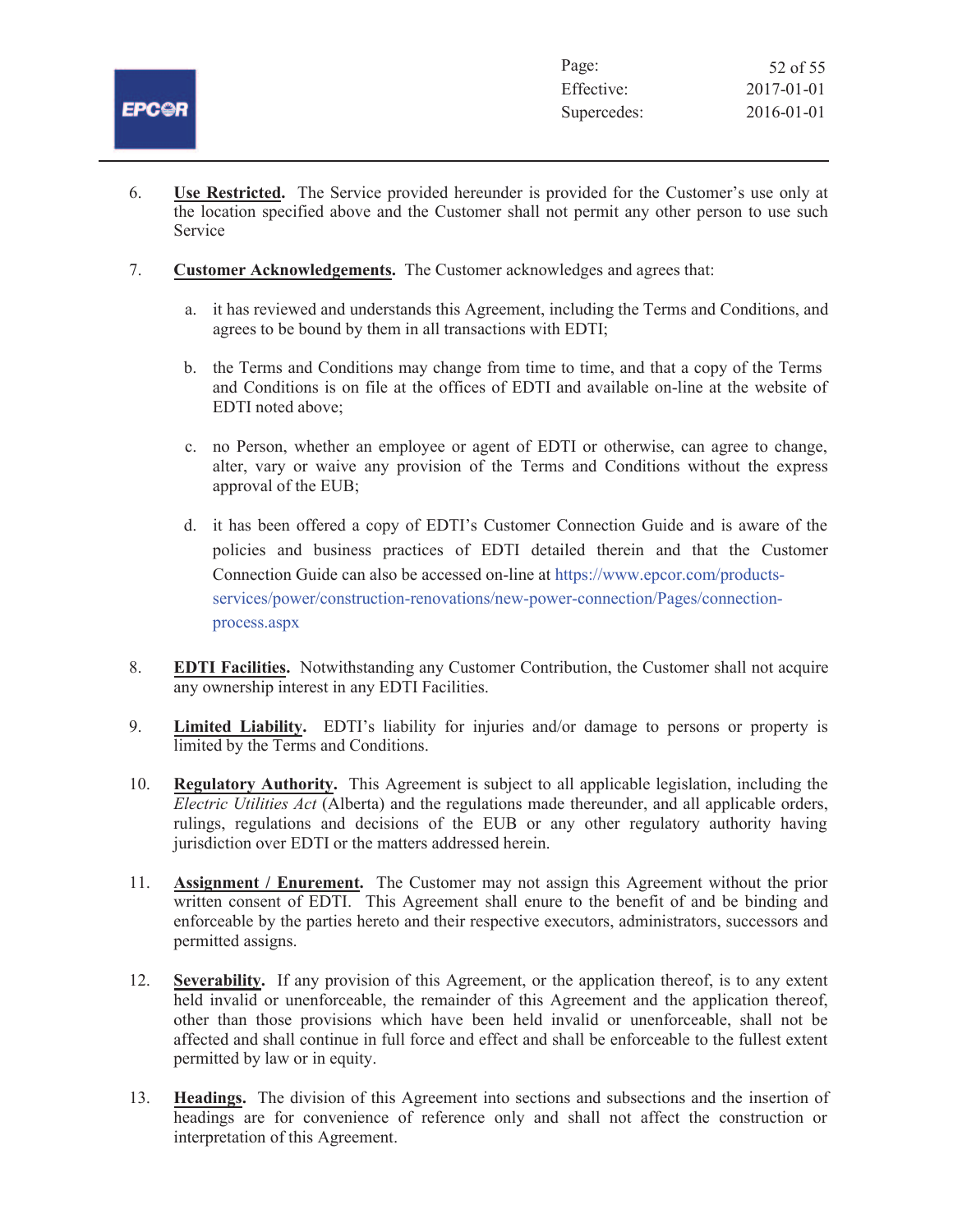

| Page:       | 52 of 55         |
|-------------|------------------|
| Effective:  | $2017 - 01 - 01$ |
| Supercedes: | 2016-01-01       |

- 6. **Use Restricted.** The Service provided hereunder is provided for the Customer's use only at the location specified above and the Customer shall not permit any other person to use such Service
- 7. **Customer Acknowledgements.** The Customer acknowledges and agrees that:
	- a. it has reviewed and understands this Agreement, including the Terms and Conditions, and agrees to be bound by them in all transactions with EDTI;
	- b. the Terms and Conditions may change from time to time, and that a copy of the Terms and Conditions is on file at the offices of EDTI and available on-line at the website of EDTI noted above;
	- c. no Person, whether an employee or agent of EDTI or otherwise, can agree to change, alter, vary or waive any provision of the Terms and Conditions without the express approval of the EUB;
	- d. it has been offered a copy of EDTI's Customer Connection Guide and is aware of the policies and business practices of EDTI detailed therein and that the Customer Connection Guide can also be accessed on-line at https://www.epcor.com/productsservices/power/construction-renovations/new-power-connection/Pages/connectionprocess.aspx
- 8. **EDTI Facilities.** Notwithstanding any Customer Contribution, the Customer shall not acquire any ownership interest in any EDTI Facilities.
- 9. **Limited Liability.** EDTI's liability for injuries and/or damage to persons or property is limited by the Terms and Conditions.
- 10. **Regulatory Authority.** This Agreement is subject to all applicable legislation, including the *Electric Utilities Act* (Alberta) and the regulations made thereunder, and all applicable orders, rulings, regulations and decisions of the EUB or any other regulatory authority having jurisdiction over EDTI or the matters addressed herein.
- 11. **Assignment / Enurement.** The Customer may not assign this Agreement without the prior written consent of EDTI. This Agreement shall enure to the benefit of and be binding and enforceable by the parties hereto and their respective executors, administrators, successors and permitted assigns.
- 12. **Severability.** If any provision of this Agreement, or the application thereof, is to any extent held invalid or unenforceable, the remainder of this Agreement and the application thereof, other than those provisions which have been held invalid or unenforceable, shall not be affected and shall continue in full force and effect and shall be enforceable to the fullest extent permitted by law or in equity.
- 13. **Headings.** The division of this Agreement into sections and subsections and the insertion of headings are for convenience of reference only and shall not affect the construction or interpretation of this Agreement.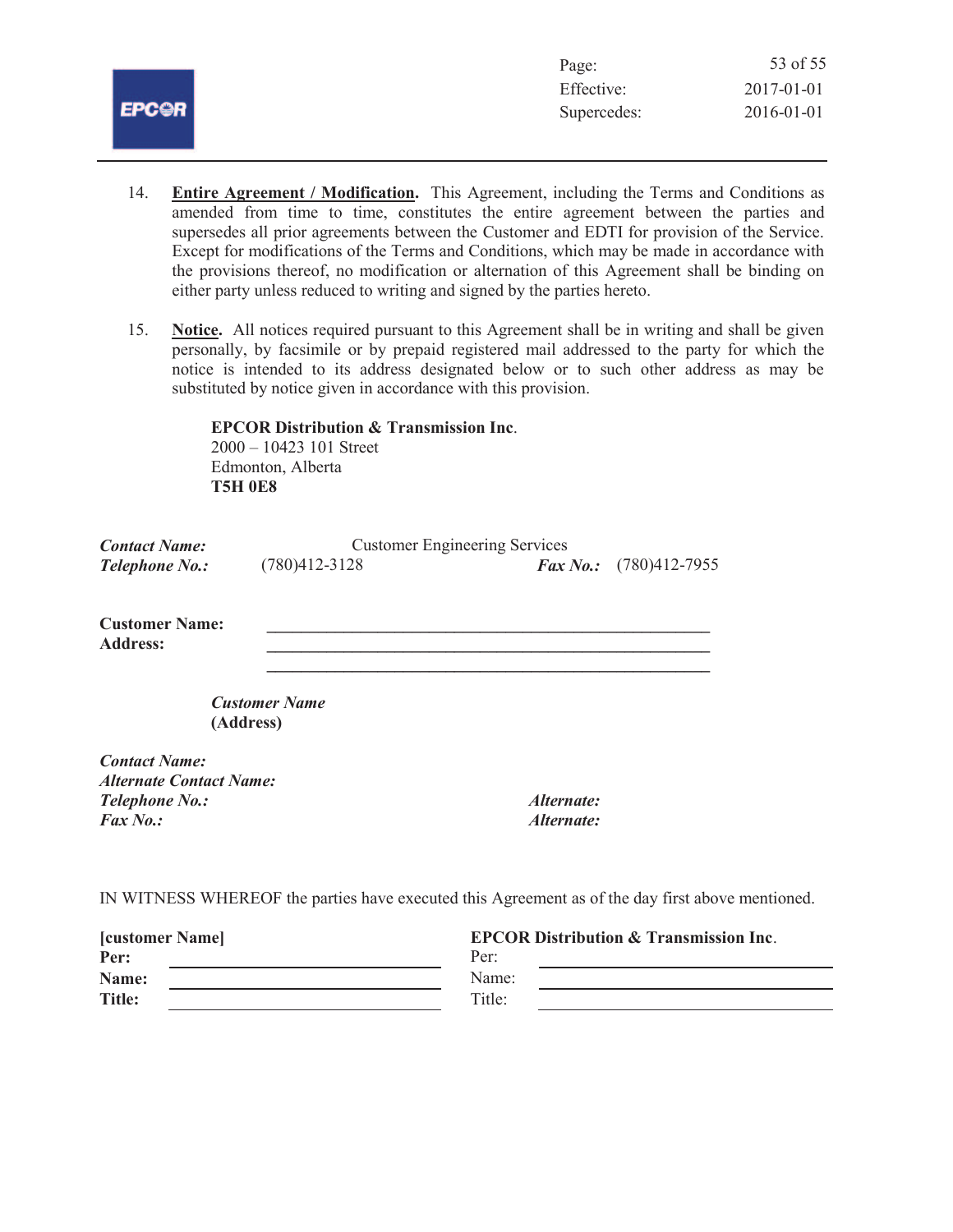

| 53 of 55         |
|------------------|
| $2017 - 01 - 01$ |
| 2016-01-01       |
|                  |

- 14. **Entire Agreement / Modification.** This Agreement, including the Terms and Conditions as amended from time to time, constitutes the entire agreement between the parties and supersedes all prior agreements between the Customer and EDTI for provision of the Service. Except for modifications of the Terms and Conditions, which may be made in accordance with the provisions thereof, no modification or alternation of this Agreement shall be binding on either party unless reduced to writing and signed by the parties hereto.
- 15. **Notice.** All notices required pursuant to this Agreement shall be in writing and shall be given personally, by facsimile or by prepaid registered mail addressed to the party for which the notice is intended to its address designated below or to such other address as may be substituted by notice given in accordance with this provision.

**EPCOR Distribution & Transmission Inc**. 2000 – 10423 101 Street Edmonton, Alberta **T5H 0E8**

| <b>Contact Name:</b>                                   | <b>Customer Engineering Services</b> |              |                                                                                                  |
|--------------------------------------------------------|--------------------------------------|--------------|--------------------------------------------------------------------------------------------------|
| <b>Telephone No.:</b>                                  | $(780)412 - 3128$                    | $Fax\,No.$ : | $(780)412 - 7955$                                                                                |
| <b>Customer Name:</b><br><b>Address:</b>               |                                      |              |                                                                                                  |
| (Address)                                              | <b>Customer Name</b>                 |              |                                                                                                  |
| <b>Contact Name:</b><br><b>Alternate Contact Name:</b> |                                      |              |                                                                                                  |
| <b>Telephone No.:</b>                                  |                                      | Alternate:   |                                                                                                  |
| $Fax\,No.$ :                                           |                                      | Alternate:   |                                                                                                  |
|                                                        |                                      |              | IN WITNESS WHEREOF the parties have executed this Agreement as of the day first above mentioned. |

| <b>[customer Name]</b> | <b>EPCOR Distribution &amp; Transmission Inc.</b> |
|------------------------|---------------------------------------------------|
| Per:                   | Per:                                              |
| Name:                  | Name:                                             |
| <b>Title:</b>          | Title:                                            |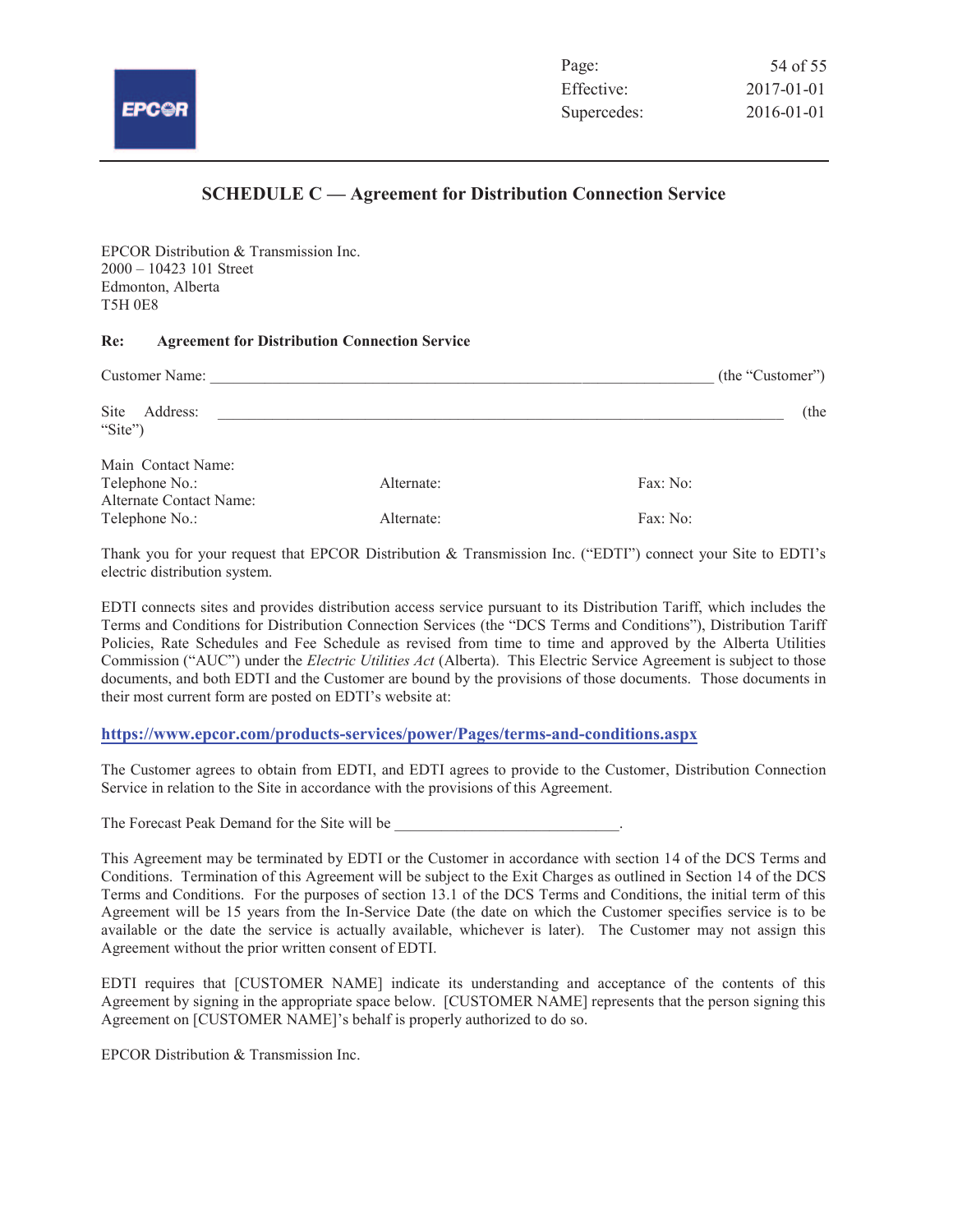

# **SCHEDULE C — Agreement for Distribution Connection Service**

EPCOR Distribution & Transmission Inc. 2000 – 10423 101 Street Edmonton, Alberta T5H 0E8

#### **Re: Agreement for Distribution Connection Service**

| Customer Name:                                                  | (the "Customer") |          |
|-----------------------------------------------------------------|------------------|----------|
| <b>Site</b><br>Address:<br>"Site")                              |                  | (the     |
| Main Contact Name:<br>Telephone No.:<br>Alternate Contact Name: | Alternate:       | Fax: No: |
| Telephone No.:                                                  | Alternate:       | Fax: No: |

Thank you for your request that EPCOR Distribution & Transmission Inc. ("EDTI") connect your Site to EDTI's electric distribution system.

EDTI connects sites and provides distribution access service pursuant to its Distribution Tariff, which includes the Terms and Conditions for Distribution Connection Services (the "DCS Terms and Conditions"), Distribution Tariff Policies, Rate Schedules and Fee Schedule as revised from time to time and approved by the Alberta Utilities Commission ("AUC") under the *Electric Utilities Act* (Alberta). This Electric Service Agreement is subject to those documents, and both EDTI and the Customer are bound by the provisions of those documents. Those documents in their most current form are posted on EDTI's website at:

#### **https://www.epcor.com/products-services/power/Pages/terms-and-conditions.aspx**

The Customer agrees to obtain from EDTI, and EDTI agrees to provide to the Customer, Distribution Connection Service in relation to the Site in accordance with the provisions of this Agreement.

The Forecast Peak Demand for the Site will be

This Agreement may be terminated by EDTI or the Customer in accordance with section 14 of the DCS Terms and Conditions. Termination of this Agreement will be subject to the Exit Charges as outlined in Section 14 of the DCS Terms and Conditions. For the purposes of section 13.1 of the DCS Terms and Conditions, the initial term of this Agreement will be 15 years from the In-Service Date (the date on which the Customer specifies service is to be available or the date the service is actually available, whichever is later). The Customer may not assign this Agreement without the prior written consent of EDTI.

EDTI requires that [CUSTOMER NAME] indicate its understanding and acceptance of the contents of this Agreement by signing in the appropriate space below. [CUSTOMER NAME] represents that the person signing this Agreement on [CUSTOMER NAME]'s behalf is properly authorized to do so.

EPCOR Distribution & Transmission Inc.